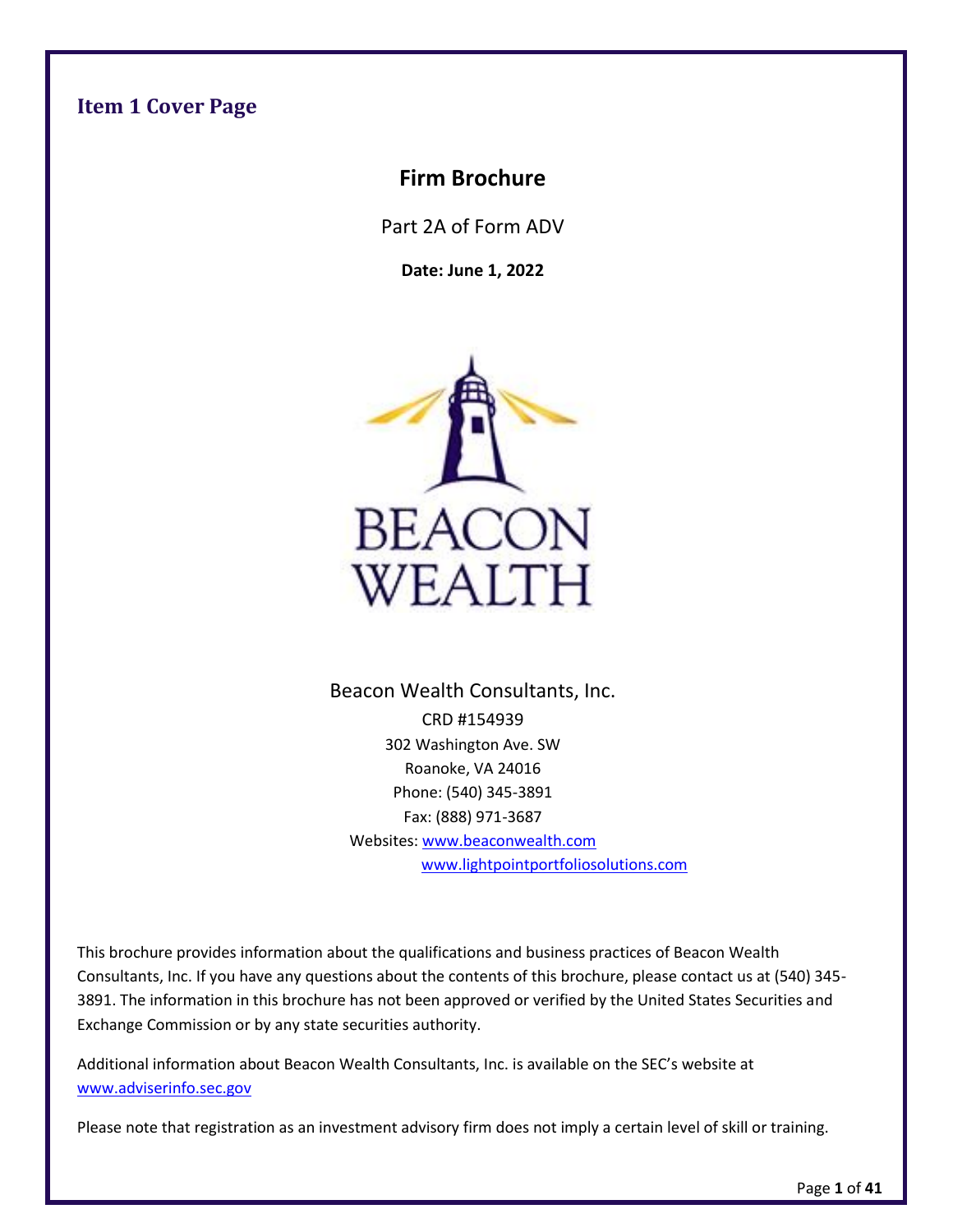## <span id="page-0-0"></span>**Item 1 Cover Page**

## **Firm Brochure**

Part 2A of Form ADV

**Date: June 1, 2022**



Beacon Wealth Consultants, Inc. CRD #154939 302 Washington Ave. SW Roanoke, VA 24016 Phone: (540) 345-3891 Fax: (888) 971-3687 Websites: [www.beaconwealth.com](http://www.beaconwealth.com/)  [www.lightpointportfoliosolutions.com](file:///C:/Users/mhasu/Downloads/www.lightpointportfoliosolutions.com)

This brochure provides information about the qualifications and business practices of Beacon Wealth Consultants, Inc. If you have any questions about the contents of this brochure, please contact us at (540) 345- 3891. The information in this brochure has not been approved or verified by the United States Securities and Exchange Commission or by any state securities authority.

Additional information about Beacon Wealth Consultants, Inc. is available on the SEC's website at [www.adviserinfo.sec.gov](http://www.adviserinfo.sec.gov/)

Please note that registration as an investment advisory firm does not imply a certain level of skill or training.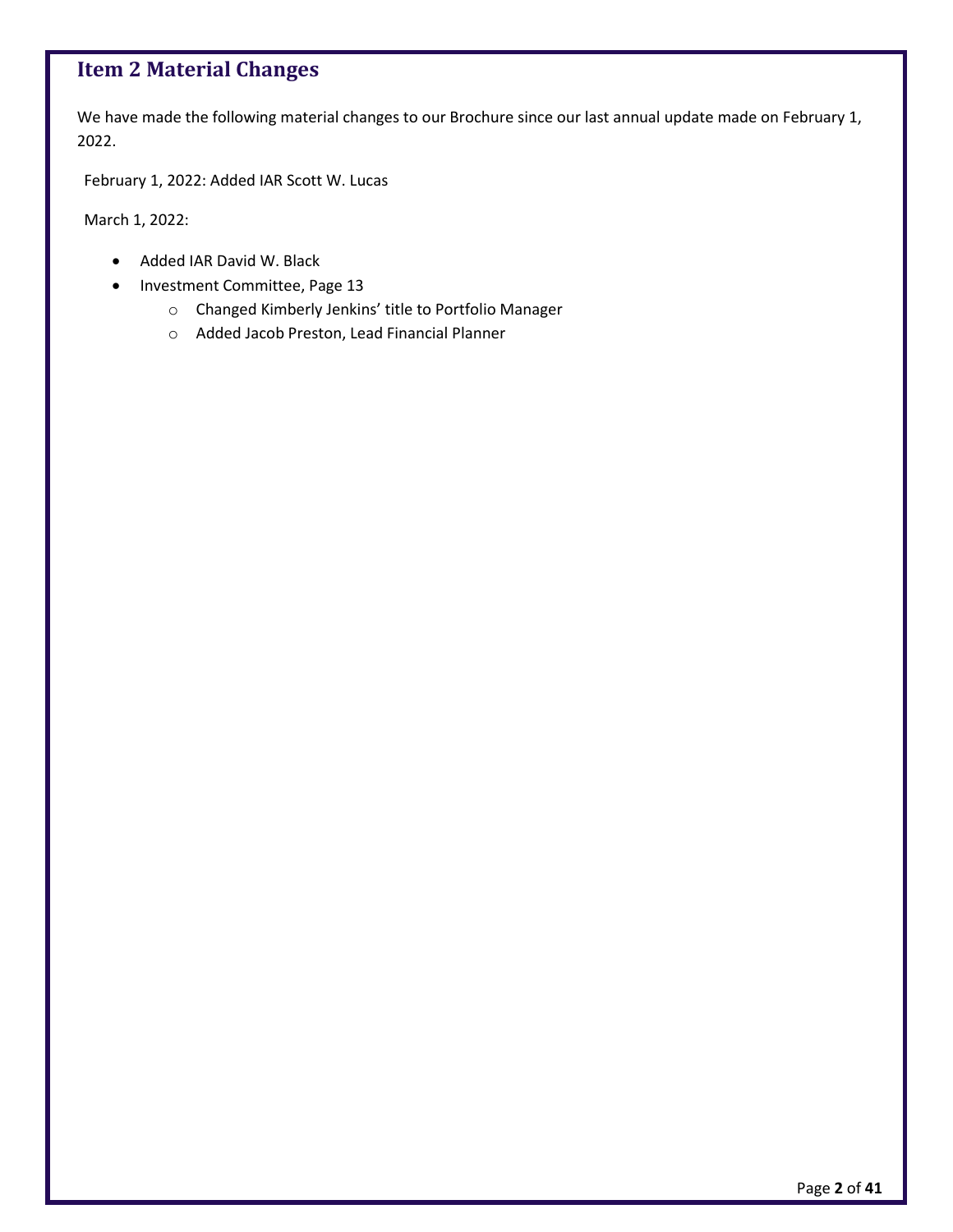## <span id="page-1-0"></span>**Item 2 Material Changes**

We have made the following material changes to our Brochure since our last annual update made on February 1, 2022.

February 1, 2022: Added IAR Scott W. Lucas

March 1, 2022:

- Added IAR David W. Black
- Investment Committee, Page 13
	- o Changed Kimberly Jenkins' title to Portfolio Manager
	- o Added Jacob Preston, Lead Financial Planner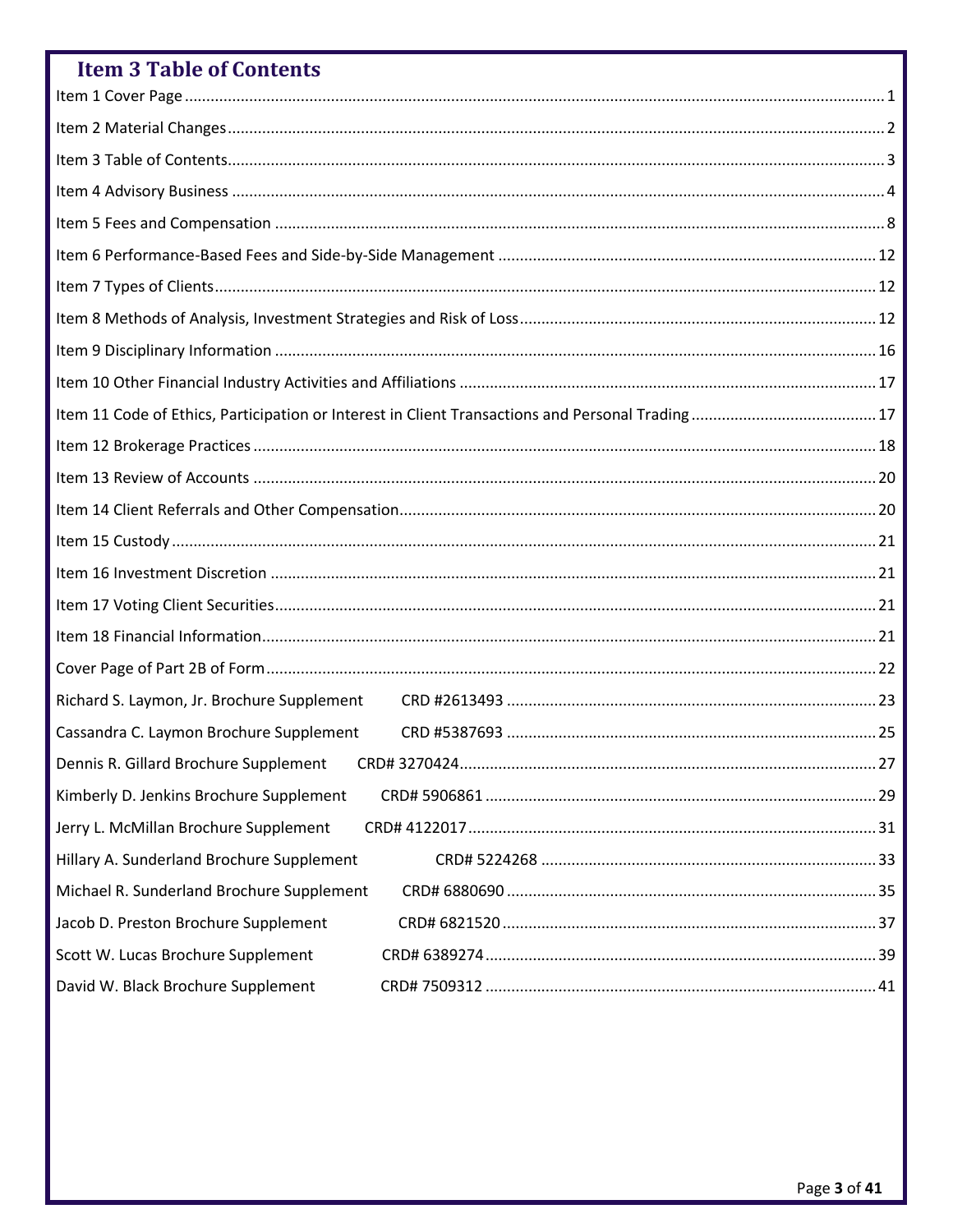<span id="page-2-0"></span>

| <b>Item 3 Table of Contents</b>            |
|--------------------------------------------|
|                                            |
|                                            |
|                                            |
|                                            |
|                                            |
|                                            |
|                                            |
|                                            |
|                                            |
|                                            |
|                                            |
|                                            |
|                                            |
|                                            |
|                                            |
|                                            |
|                                            |
|                                            |
|                                            |
| Richard S. Laymon, Jr. Brochure Supplement |
| Cassandra C. Laymon Brochure Supplement    |
| Dennis R. Gillard Brochure Supplement      |
| Kimberly D. Jenkins Brochure Supplement    |
| Jerry L. McMillan Brochure Supplement      |
| Hillary A. Sunderland Brochure Supplement  |
| Michael R. Sunderland Brochure Supplement  |
| Jacob D. Preston Brochure Supplement       |
| Scott W. Lucas Brochure Supplement         |
| David W. Black Brochure Supplement         |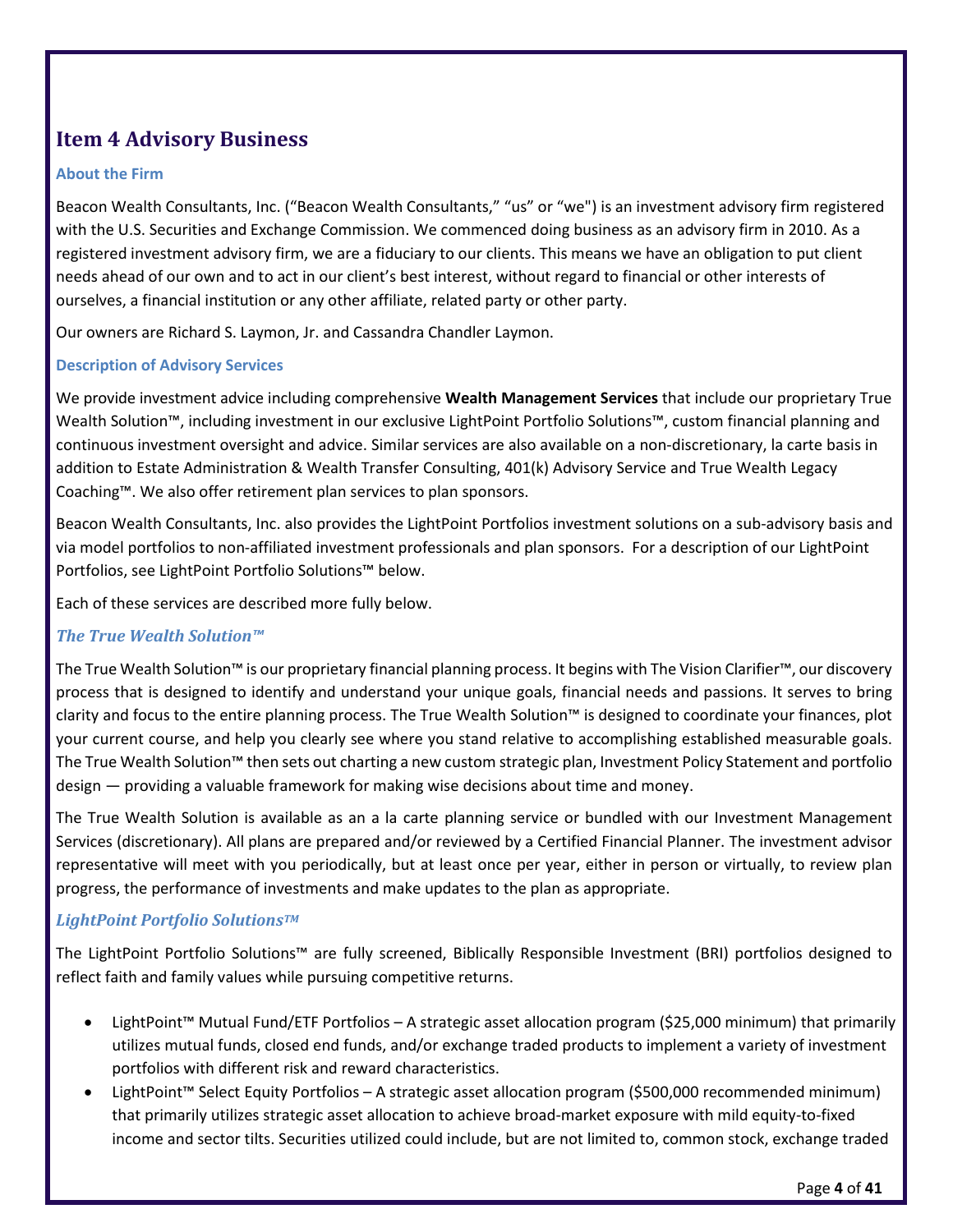## <span id="page-3-0"></span>**Item 4 Advisory Business**

#### **About the Firm**

Beacon Wealth Consultants, Inc. ("Beacon Wealth Consultants," "us" or "we") is an investment advisory firm registered with the U.S. Securities and Exchange Commission. We commenced doing business as an advisory firm in 2010. As a registered investment advisory firm, we are a fiduciary to our clients. This means we have an obligation to put client needs ahead of our own and to act in our client's best interest, without regard to financial or other interests of ourselves, a financial institution or any other affiliate, related party or other party.

Our owners are Richard S. Laymon, Jr. and Cassandra Chandler Laymon.

#### **Description of Advisory Services**

We provide investment advice including comprehensive **Wealth Management Services** that include our proprietary True Wealth Solution™, including investment in our exclusive LightPoint Portfolio Solutions™, custom financial planning and continuous investment oversight and advice. Similar services are also available on a non-discretionary, la carte basis in addition to Estate Administration & Wealth Transfer Consulting, 401(k) Advisory Service and True Wealth Legacy Coaching™. We also offer retirement plan services to plan sponsors.

Beacon Wealth Consultants, Inc. also provides the LightPoint Portfolios investment solutions on a sub-advisory basis and via model portfolios to non-affiliated investment professionals and plan sponsors. For a description of our LightPoint Portfolios, see LightPoint Portfolio Solutions™ below.

Each of these services are described more fully below.

#### *The True Wealth Solution™*

The True Wealth Solution™ is our proprietary financial planning process. It begins with The Vision Clarifier™, our discovery process that is designed to identify and understand your unique goals, financial needs and passions. It serves to bring clarity and focus to the entire planning process. The True Wealth Solution™ is designed to coordinate your finances, plot your current course, and help you clearly see where you stand relative to accomplishing established measurable goals. The True Wealth Solution™ then sets out charting a new custom strategic plan, Investment Policy Statement and portfolio design — providing a valuable framework for making wise decisions about time and money.

The True Wealth Solution is available as an a la carte planning service or bundled with our Investment Management Services (discretionary). All plans are prepared and/or reviewed by a Certified Financial Planner. The investment advisor representative will meet with you periodically, but at least once per year, either in person or virtually, to review plan progress, the performance of investments and make updates to the plan as appropriate.

#### *LightPoint Portfolio Solutions TM*

The LightPoint Portfolio Solutions™ are fully screened, Biblically Responsible Investment (BRI) portfolios designed to reflect faith and family values while pursuing competitive returns.

- LightPoint™ Mutual Fund/ETF Portfolios A strategic asset allocation program (\$25,000 minimum) that primarily utilizes mutual funds, closed end funds, and/or exchange traded products to implement a variety of investment portfolios with different risk and reward characteristics.
- LightPoint™ Select Equity Portfolios A strategic asset allocation program (\$500,000 recommended minimum) that primarily utilizes strategic asset allocation to achieve broad-market exposure with mild equity-to-fixed income and sector tilts. Securities utilized could include, but are not limited to, common stock, exchange traded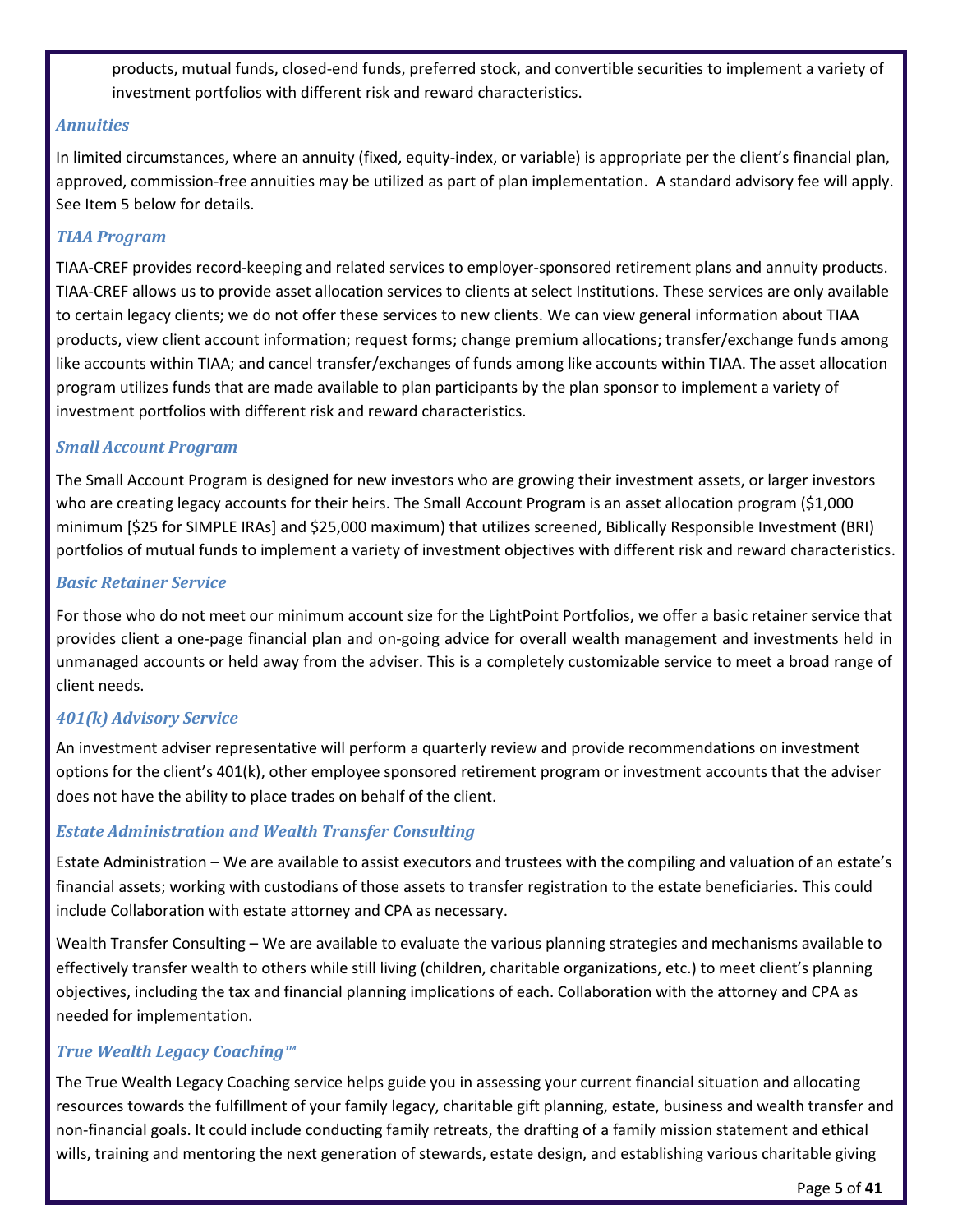products, mutual funds, closed-end funds, preferred stock, and convertible securities to implement a variety of investment portfolios with different risk and reward characteristics.

#### *Annuities*

In limited circumstances, where an annuity (fixed, equity-index, or variable) is appropriate per the client's financial plan, approved, commission-free annuities may be utilized as part of plan implementation. A standard advisory fee will apply. See Item 5 below for details.

#### *TIAA Program*

TIAA-CREF provides record-keeping and related services to employer-sponsored retirement plans and annuity products. TIAA-CREF allows us to provide asset allocation services to clients at select Institutions. These services are only available to certain legacy clients; we do not offer these services to new clients. We can view general information about TIAA products, view client account information; request forms; change premium allocations; transfer/exchange funds among like accounts within TIAA; and cancel transfer/exchanges of funds among like accounts within TIAA. The asset allocation program utilizes funds that are made available to plan participants by the plan sponsor to implement a variety of investment portfolios with different risk and reward characteristics.

#### *Small Account Program*

The Small Account Program is designed for new investors who are growing their investment assets, or larger investors who are creating legacy accounts for their heirs. The Small Account Program is an asset allocation program (\$1,000 minimum [\$25 for SIMPLE IRAs] and \$25,000 maximum) that utilizes screened, Biblically Responsible Investment (BRI) portfolios of mutual funds to implement a variety of investment objectives with different risk and reward characteristics.

#### *Basic Retainer Service*

For those who do not meet our minimum account size for the LightPoint Portfolios, we offer a basic retainer service that provides client a one-page financial plan and on-going advice for overall wealth management and investments held in unmanaged accounts or held away from the adviser. This is a completely customizable service to meet a broad range of client needs.

#### *401(k) Advisory Service*

An investment adviser representative will perform a quarterly review and provide recommendations on investment options for the client's 401(k), other employee sponsored retirement program or investment accounts that the adviser does not have the ability to place trades on behalf of the client.

#### *Estate Administration and Wealth Transfer Consulting*

Estate Administration – We are available to assist executors and trustees with the compiling and valuation of an estate's financial assets; working with custodians of those assets to transfer registration to the estate beneficiaries. This could include Collaboration with estate attorney and CPA as necessary.

Wealth Transfer Consulting – We are available to evaluate the various planning strategies and mechanisms available to effectively transfer wealth to others while still living (children, charitable organizations, etc.) to meet client's planning objectives, including the tax and financial planning implications of each. Collaboration with the attorney and CPA as needed for implementation.

#### *True Wealth Legacy Coaching™*

The True Wealth Legacy Coaching service helps guide you in assessing your current financial situation and allocating resources towards the fulfillment of your family legacy, charitable gift planning, estate, business and wealth transfer and non-financial goals. It could include conducting family retreats, the drafting of a family mission statement and ethical wills, training and mentoring the next generation of stewards, estate design, and establishing various charitable giving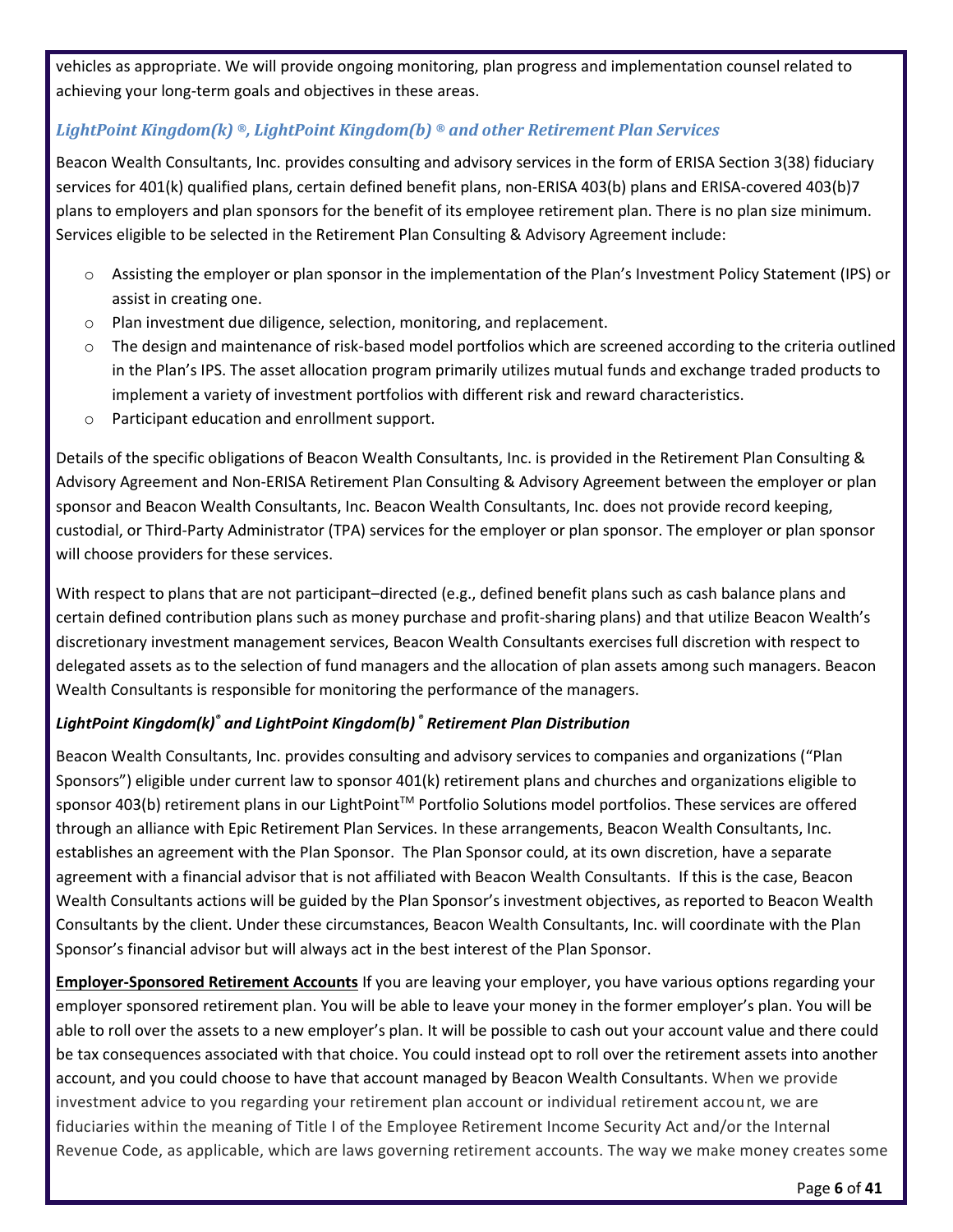vehicles as appropriate. We will provide ongoing monitoring, plan progress and implementation counsel related to achieving your long-term goals and objectives in these areas.

#### *LightPoint Kingdom(k) ®, LightPoint Kingdom(b) ® and other Retirement Plan Services*

Beacon Wealth Consultants, Inc. provides consulting and advisory services in the form of ERISA Section 3(38) fiduciary services for 401(k) qualified plans, certain defined benefit plans, non-ERISA 403(b) plans and ERISA-covered 403(b)7 plans to employers and plan sponsors for the benefit of its employee retirement plan. There is no plan size minimum. Services eligible to be selected in the Retirement Plan Consulting & Advisory Agreement include:

- o Assisting the employer or plan sponsor in the implementation of the Plan's Investment Policy Statement (IPS) or assist in creating one.
- o Plan investment due diligence, selection, monitoring, and replacement.
- $\circ$  The design and maintenance of risk-based model portfolios which are screened according to the criteria outlined in the Plan's IPS. The asset allocation program primarily utilizes mutual funds and exchange traded products to implement a variety of investment portfolios with different risk and reward characteristics.
- o Participant education and enrollment support.

Details of the specific obligations of Beacon Wealth Consultants, Inc. is provided in the Retirement Plan Consulting & Advisory Agreement and Non-ERISA Retirement Plan Consulting & Advisory Agreement between the employer or plan sponsor and Beacon Wealth Consultants, Inc. Beacon Wealth Consultants, Inc. does not provide record keeping, custodial, or Third-Party Administrator (TPA) services for the employer or plan sponsor. The employer or plan sponsor will choose providers for these services.

With respect to plans that are not participant–directed (e.g., defined benefit plans such as cash balance plans and certain defined contribution plans such as money purchase and profit-sharing plans) and that utilize Beacon Wealth's discretionary investment management services, Beacon Wealth Consultants exercises full discretion with respect to delegated assets as to the selection of fund managers and the allocation of plan assets among such managers. Beacon Wealth Consultants is responsible for monitoring the performance of the managers.

#### *LightPoint Kingdom(k)® and LightPoint Kingdom(b) ® Retirement Plan Distribution*

Beacon Wealth Consultants, Inc. provides consulting and advisory services to companies and organizations ("Plan Sponsors") eligible under current law to sponsor 401(k) retirement plans and churches and organizations eligible to sponsor 403(b) retirement plans in our LightPoint™ Portfolio Solutions model portfolios. These services are offered through an alliance with Epic Retirement Plan Services. In these arrangements, Beacon Wealth Consultants, Inc. establishes an agreement with the Plan Sponsor. The Plan Sponsor could, at its own discretion, have a separate agreement with a financial advisor that is not affiliated with Beacon Wealth Consultants. If this is the case, Beacon Wealth Consultants actions will be guided by the Plan Sponsor's investment objectives, as reported to Beacon Wealth Consultants by the client. Under these circumstances, Beacon Wealth Consultants, Inc. will coordinate with the Plan Sponsor's financial advisor but will always act in the best interest of the Plan Sponsor.

**Employer-Sponsored Retirement Accounts** If you are leaving your employer, you have various options regarding your employer sponsored retirement plan. You will be able to leave your money in the former employer's plan. You will be able to roll over the assets to a new employer's plan. It will be possible to cash out your account value and there could be tax consequences associated with that choice. You could instead opt to roll over the retirement assets into another account, and you could choose to have that account managed by Beacon Wealth Consultants. When we provide investment advice to you regarding your retirement plan account or individual retirement account, we are fiduciaries within the meaning of Title I of the Employee Retirement Income Security Act and/or the Internal Revenue Code, as applicable, which are laws governing retirement accounts. The way we make money creates some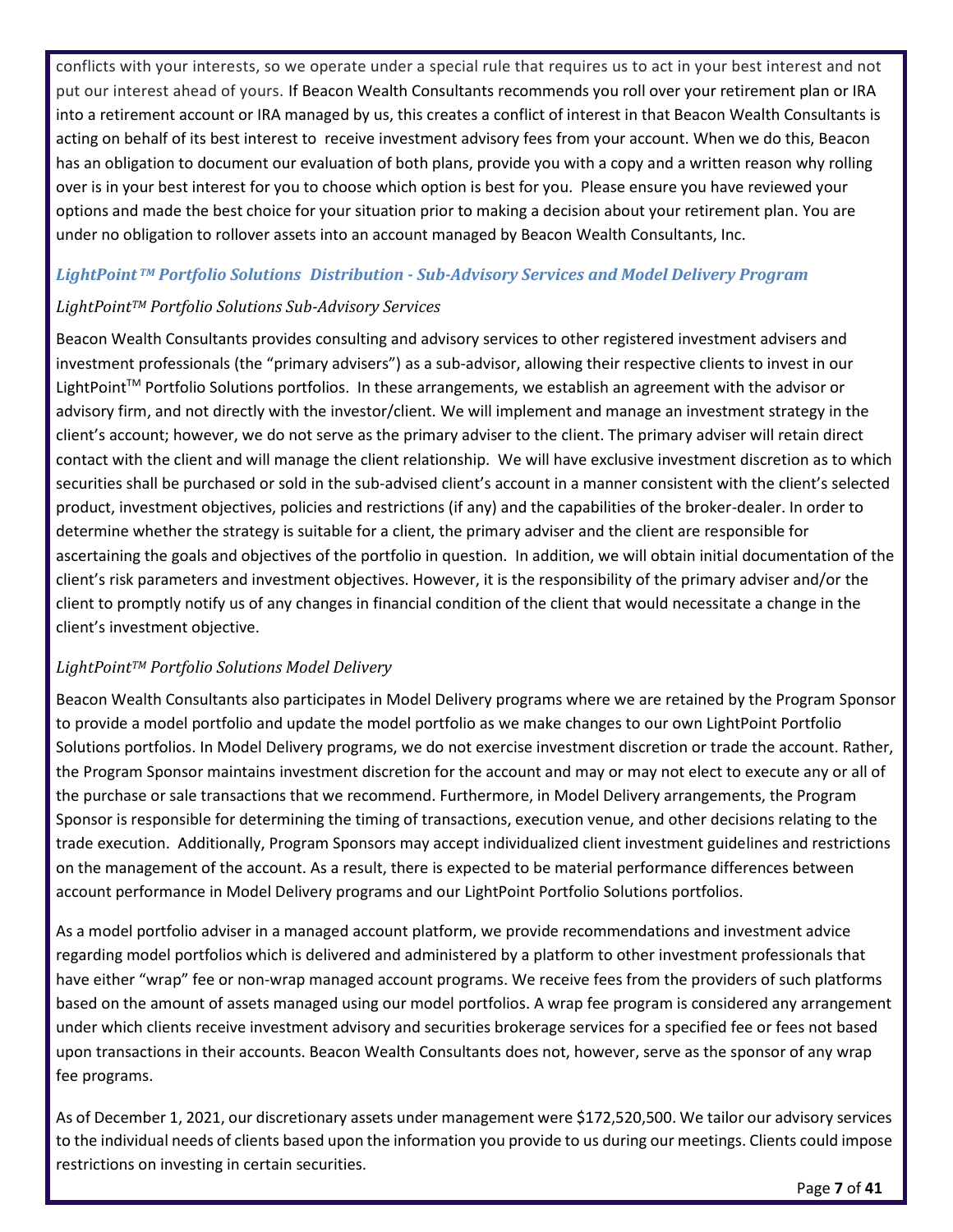conflicts with your interests, so we operate under a special rule that requires us to act in your best interest and not put our interest ahead of yours. If Beacon Wealth Consultants recommends you roll over your retirement plan or IRA into a retirement account or IRA managed by us, this creates a conflict of interest in that Beacon Wealth Consultants is acting on behalf of its best interest to receive investment advisory fees from your account. When we do this, Beacon has an obligation to document our evaluation of both plans, provide you with a copy and a written reason why rolling over is in your best interest for you to choose which option is best for you. Please ensure you have reviewed your options and made the best choice for your situation prior to making a decision about your retirement plan. You are under no obligation to rollover assets into an account managed by Beacon Wealth Consultants, Inc.

#### *LightPoint TM Portfolio Solutions Distribution - Sub-Advisory Services and Model Delivery Program*

#### *LightPointTM Portfolio Solutions Sub-Advisory Services*

Beacon Wealth Consultants provides consulting and advisory services to other registered investment advisers and investment professionals (the "primary advisers") as a sub-advisor, allowing their respective clients to invest in our LightPoint<sup>™</sup> Portfolio Solutions portfolios. In these arrangements, we establish an agreement with the advisor or advisory firm, and not directly with the investor/client. We will implement and manage an investment strategy in the client's account; however, we do not serve as the primary adviser to the client. The primary adviser will retain direct contact with the client and will manage the client relationship. We will have exclusive investment discretion as to which securities shall be purchased or sold in the sub-advised client's account in a manner consistent with the client's selected product, investment objectives, policies and restrictions (if any) and the capabilities of the broker-dealer. In order to determine whether the strategy is suitable for a client, the primary adviser and the client are responsible for ascertaining the goals and objectives of the portfolio in question. In addition, we will obtain initial documentation of the client's risk parameters and investment objectives. However, it is the responsibility of the primary adviser and/or the client to promptly notify us of any changes in financial condition of the client that would necessitate a change in the client's investment objective.

#### *LightPointTM Portfolio Solutions Model Delivery*

Beacon Wealth Consultants also participates in Model Delivery programs where we are retained by the Program Sponsor to provide a model portfolio and update the model portfolio as we make changes to our own LightPoint Portfolio Solutions portfolios. In Model Delivery programs, we do not exercise investment discretion or trade the account. Rather, the Program Sponsor maintains investment discretion for the account and may or may not elect to execute any or all of the purchase or sale transactions that we recommend. Furthermore, in Model Delivery arrangements, the Program Sponsor is responsible for determining the timing of transactions, execution venue, and other decisions relating to the trade execution. Additionally, Program Sponsors may accept individualized client investment guidelines and restrictions on the management of the account. As a result, there is expected to be material performance differences between account performance in Model Delivery programs and our LightPoint Portfolio Solutions portfolios.

As a model portfolio adviser in a managed account platform, we provide recommendations and investment advice regarding model portfolios which is delivered and administered by a platform to other investment professionals that have either "wrap" fee or non-wrap managed account programs. We receive fees from the providers of such platforms based on the amount of assets managed using our model portfolios. A wrap fee program is considered any arrangement under which clients receive investment advisory and securities brokerage services for a specified fee or fees not based upon transactions in their accounts. Beacon Wealth Consultants does not, however, serve as the sponsor of any wrap fee programs.

As of December 1, 2021, our discretionary assets under management were \$172,520,500. We tailor our advisory services to the individual needs of clients based upon the information you provide to us during our meetings. Clients could impose restrictions on investing in certain securities.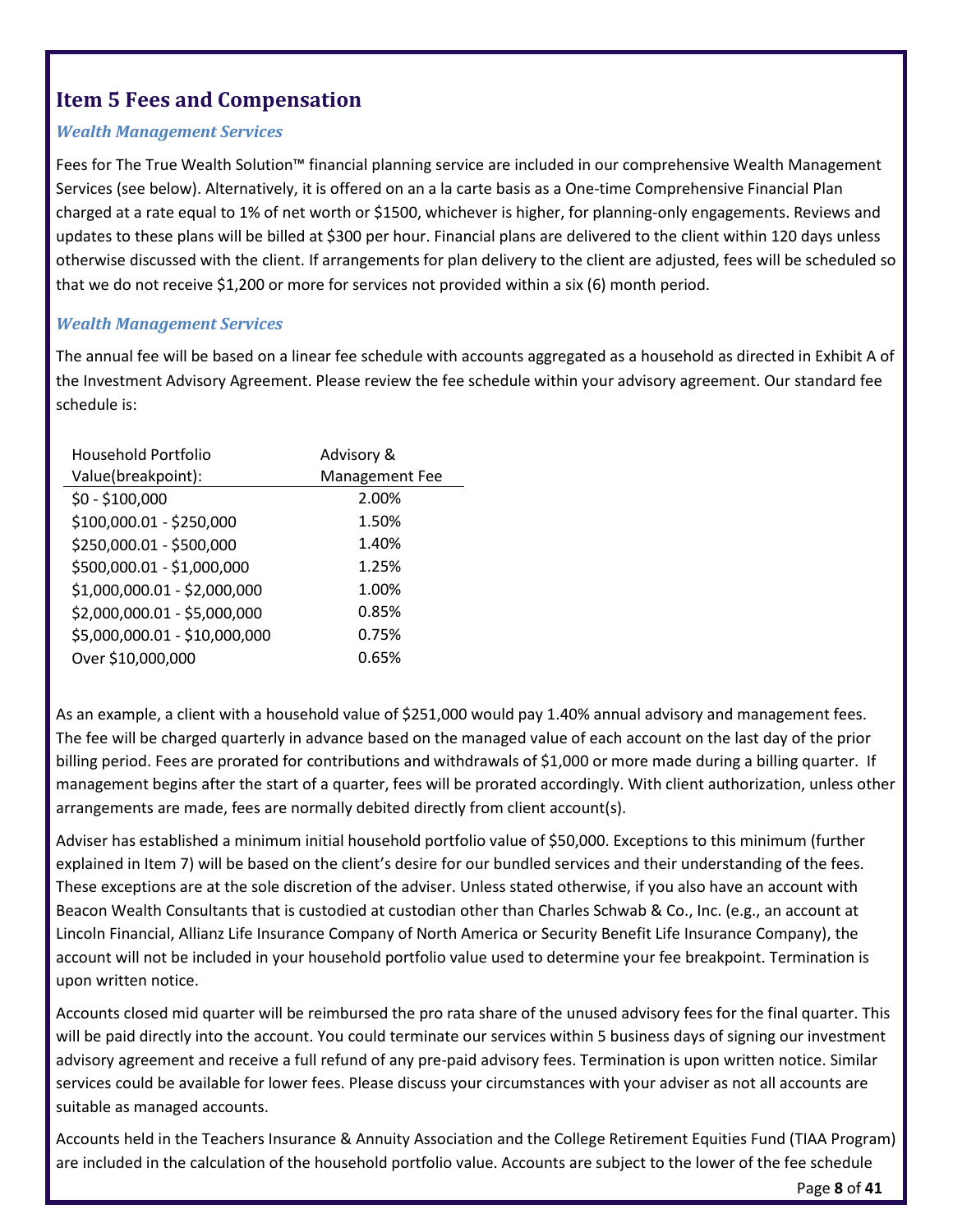## <span id="page-7-0"></span>**Item 5 Fees and Compensation**

#### *Wealth Management Services*

Fees for The True Wealth Solution™ financial planning service are included in our comprehensive Wealth Management Services (see below). Alternatively, it is offered on an a la carte basis as a One-time Comprehensive Financial Plan charged at a rate equal to 1% of net worth or \$1500, whichever is higher, for planning-only engagements. Reviews and updates to these plans will be billed at \$300 per hour. Financial plans are delivered to the client within 120 days unless otherwise discussed with the client. If arrangements for plan delivery to the client are adjusted, fees will be scheduled so that we do not receive \$1,200 or more for services not provided within a six (6) month period.

#### *Wealth Management Services*

The annual fee will be based on a linear fee schedule with accounts aggregated as a household as directed in Exhibit A of the Investment Advisory Agreement. Please review the fee schedule within your advisory agreement. Our standard fee schedule is:

| Household Portfolio           | Advisory &     |
|-------------------------------|----------------|
| Value(breakpoint):            | Management Fee |
| $$0 - $100,000$               | 2.00%          |
| \$100,000.01 - \$250,000      | 1.50%          |
| \$250,000.01 - \$500,000      | 1.40%          |
| \$500,000.01 - \$1,000,000    | 1.25%          |
| \$1,000,000.01 - \$2,000,000  | 1.00%          |
| \$2,000,000.01 - \$5,000,000  | 0.85%          |
| \$5,000,000.01 - \$10,000,000 | 0.75%          |
| Over \$10,000,000             | 0.65%          |

As an example, a client with a household value of \$251,000 would pay 1.40% annual advisory and management fees. The fee will be charged quarterly in advance based on the managed value of each account on the last day of the prior billing period. Fees are prorated for contributions and withdrawals of \$1,000 or more made during a billing quarter. If management begins after the start of a quarter, fees will be prorated accordingly. With client authorization, unless other arrangements are made, fees are normally debited directly from client account(s).

Adviser has established a minimum initial household portfolio value of \$50,000. Exceptions to this minimum (further explained in Item 7) will be based on the client's desire for our bundled services and their understanding of the fees. These exceptions are at the sole discretion of the adviser. Unless stated otherwise, if you also have an account with Beacon Wealth Consultants that is custodied at custodian other than Charles Schwab & Co., Inc. (e.g., an account at Lincoln Financial, Allianz Life Insurance Company of North America or Security Benefit Life Insurance Company), the account will not be included in your household portfolio value used to determine your fee breakpoint. Termination is upon written notice.

Accounts closed mid quarter will be reimbursed the pro rata share of the unused advisory fees for the final quarter. This will be paid directly into the account. You could terminate our services within 5 business days of signing our investment advisory agreement and receive a full refund of any pre-paid advisory fees. Termination is upon written notice. Similar services could be available for lower fees. Please discuss your circumstances with your adviser as not all accounts are suitable as managed accounts.

Accounts held in the Teachers Insurance & Annuity Association and the College Retirement Equities Fund (TIAA Program) are included in the calculation of the household portfolio value. Accounts are subject to the lower of the fee schedule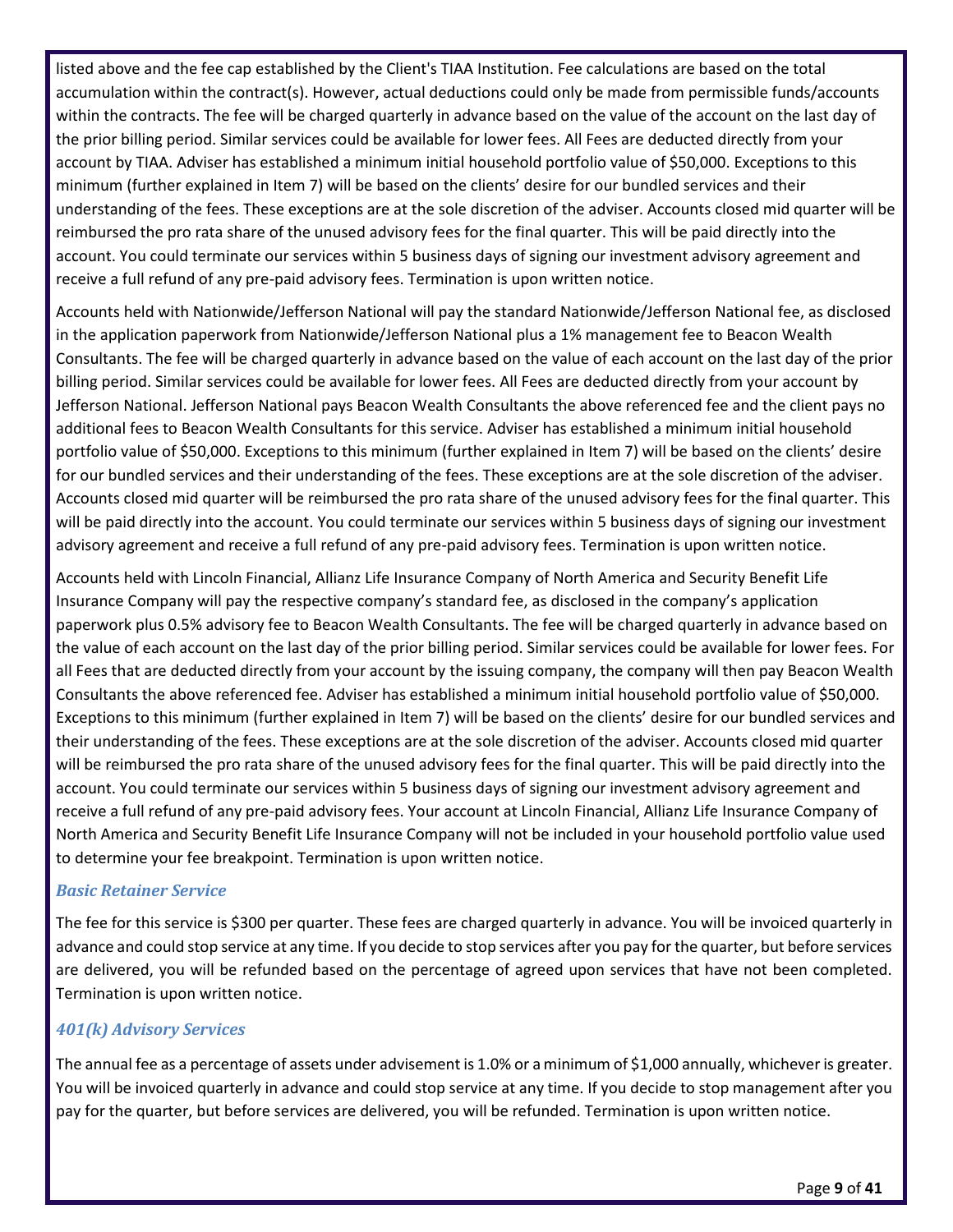listed above and the fee cap established by the Client's TIAA Institution. Fee calculations are based on the total accumulation within the contract(s). However, actual deductions could only be made from permissible funds/accounts within the contracts. The fee will be charged quarterly in advance based on the value of the account on the last day of the prior billing period. Similar services could be available for lower fees. All Fees are deducted directly from your account by TIAA. Adviser has established a minimum initial household portfolio value of \$50,000. Exceptions to this minimum (further explained in Item 7) will be based on the clients' desire for our bundled services and their understanding of the fees. These exceptions are at the sole discretion of the adviser. Accounts closed mid quarter will be reimbursed the pro rata share of the unused advisory fees for the final quarter. This will be paid directly into the account. You could terminate our services within 5 business days of signing our investment advisory agreement and receive a full refund of any pre-paid advisory fees. Termination is upon written notice.

Accounts held with Nationwide/Jefferson National will pay the standard Nationwide/Jefferson National fee, as disclosed in the application paperwork from Nationwide/Jefferson National plus a 1% management fee to Beacon Wealth Consultants. The fee will be charged quarterly in advance based on the value of each account on the last day of the prior billing period. Similar services could be available for lower fees. All Fees are deducted directly from your account by Jefferson National. Jefferson National pays Beacon Wealth Consultants the above referenced fee and the client pays no additional fees to Beacon Wealth Consultants for this service. Adviser has established a minimum initial household portfolio value of \$50,000. Exceptions to this minimum (further explained in Item 7) will be based on the clients' desire for our bundled services and their understanding of the fees. These exceptions are at the sole discretion of the adviser. Accounts closed mid quarter will be reimbursed the pro rata share of the unused advisory fees for the final quarter. This will be paid directly into the account. You could terminate our services within 5 business days of signing our investment advisory agreement and receive a full refund of any pre-paid advisory fees. Termination is upon written notice.

Accounts held with Lincoln Financial, Allianz Life Insurance Company of North America and Security Benefit Life Insurance Company will pay the respective company's standard fee, as disclosed in the company's application paperwork plus 0.5% advisory fee to Beacon Wealth Consultants. The fee will be charged quarterly in advance based on the value of each account on the last day of the prior billing period. Similar services could be available for lower fees. For all Fees that are deducted directly from your account by the issuing company, the company will then pay Beacon Wealth Consultants the above referenced fee. Adviser has established a minimum initial household portfolio value of \$50,000. Exceptions to this minimum (further explained in Item 7) will be based on the clients' desire for our bundled services and their understanding of the fees. These exceptions are at the sole discretion of the adviser. Accounts closed mid quarter will be reimbursed the pro rata share of the unused advisory fees for the final quarter. This will be paid directly into the account. You could terminate our services within 5 business days of signing our investment advisory agreement and receive a full refund of any pre-paid advisory fees. Your account at Lincoln Financial, Allianz Life Insurance Company of North America and Security Benefit Life Insurance Company will not be included in your household portfolio value used to determine your fee breakpoint. Termination is upon written notice.

#### *Basic Retainer Service*

The fee for this service is \$300 per quarter. These fees are charged quarterly in advance. You will be invoiced quarterly in advance and could stop service at any time. If you decide to stop services after you pay for the quarter, but before services are delivered, you will be refunded based on the percentage of agreed upon services that have not been completed. Termination is upon written notice.

#### *401(k) Advisory Services*

The annual fee as a percentage of assets under advisement is 1.0% or a minimum of \$1,000 annually, whichever is greater. You will be invoiced quarterly in advance and could stop service at any time. If you decide to stop management after you pay for the quarter, but before services are delivered, you will be refunded. Termination is upon written notice.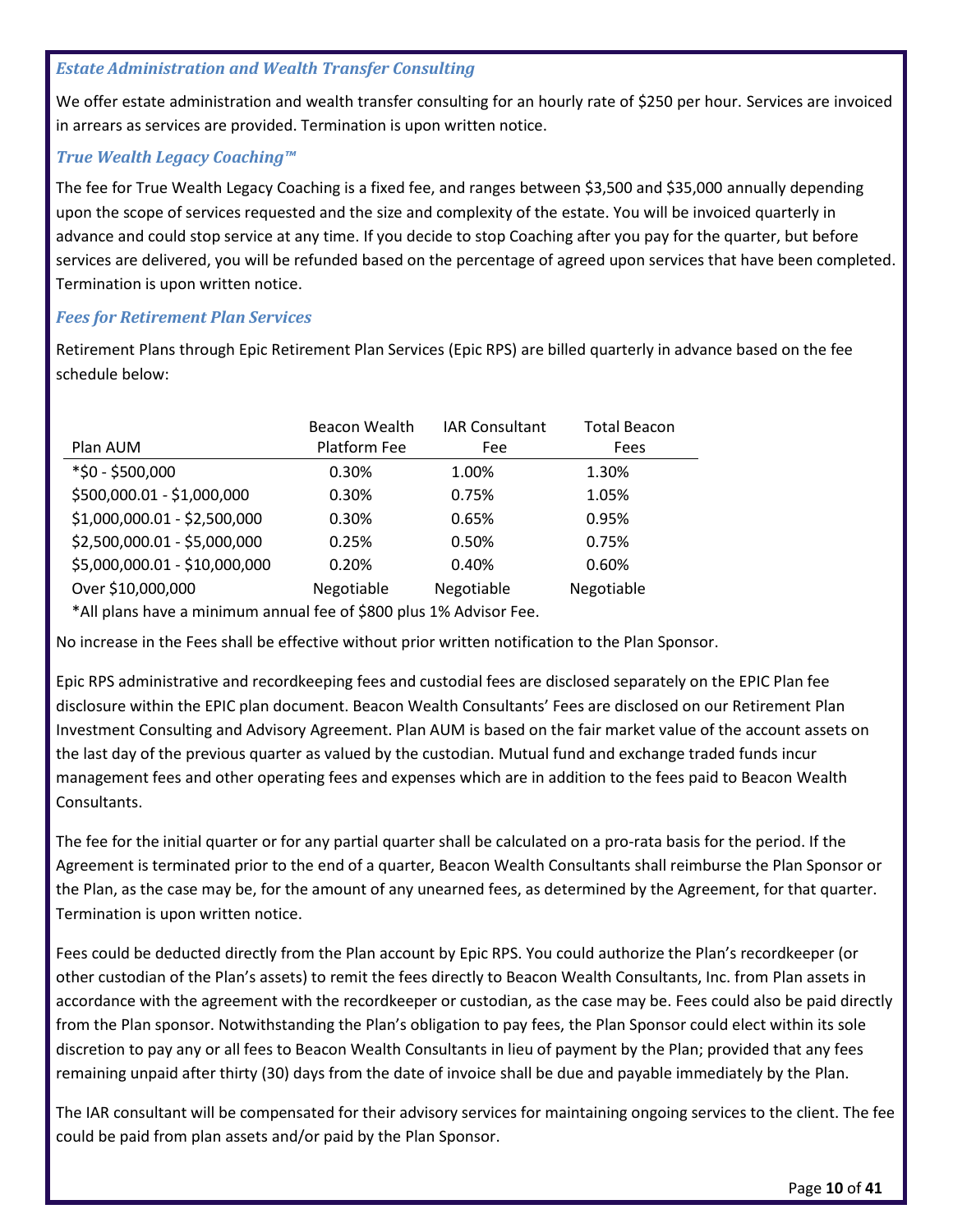#### *Estate Administration and Wealth Transfer Consulting*

We offer estate administration and wealth transfer consulting for an hourly rate of \$250 per hour. Services are invoiced in arrears as services are provided. Termination is upon written notice.

#### *True Wealth Legacy Coaching™*

The fee for True Wealth Legacy Coaching is a fixed fee, and ranges between \$3,500 and \$35,000 annually depending upon the scope of services requested and the size and complexity of the estate. You will be invoiced quarterly in advance and could stop service at any time. If you decide to stop Coaching after you pay for the quarter, but before services are delivered, you will be refunded based on the percentage of agreed upon services that have been completed. Termination is upon written notice.

#### *Fees for Retirement Plan Services*

Retirement Plans through Epic Retirement Plan Services (Epic RPS) are billed quarterly in advance based on the fee schedule below:

|                                                                            | Beacon Wealth | <b>IAR Consultant</b> | <b>Total Beacon</b> |
|----------------------------------------------------------------------------|---------------|-----------------------|---------------------|
| Plan AUM                                                                   | Platform Fee  | Fee                   | Fees                |
| *\$0 - \$500,000                                                           | 0.30%         | 1.00%                 | 1.30%               |
| \$500,000.01 - \$1,000,000                                                 | 0.30%         | 0.75%                 | 1.05%               |
| \$1,000,000.01 - \$2,500,000                                               | 0.30%         | 0.65%                 | 0.95%               |
| \$2,500,000.01 - \$5,000,000                                               | 0.25%         | 0.50%                 | 0.75%               |
| \$5,000,000.01 - \$10,000,000                                              | 0.20%         | 0.40%                 | 0.60%               |
| Over \$10,000,000                                                          | Negotiable    | Negotiable            | Negotiable          |
| $*$ All plans have a minimum annual fee of $\zeta$ 800 plus 1% Advisor Eee |               |                       |                     |

All plans have a minimum annual fee of \$800 plus 1% Advisor Fee.

No increase in the Fees shall be effective without prior written notification to the Plan Sponsor.

Epic RPS administrative and recordkeeping fees and custodial fees are disclosed separately on the EPIC Plan fee disclosure within the EPIC plan document. Beacon Wealth Consultants' Fees are disclosed on our Retirement Plan Investment Consulting and Advisory Agreement. Plan AUM is based on the fair market value of the account assets on the last day of the previous quarter as valued by the custodian. Mutual fund and exchange traded funds incur management fees and other operating fees and expenses which are in addition to the fees paid to Beacon Wealth Consultants.

The fee for the initial quarter or for any partial quarter shall be calculated on a pro-rata basis for the period. If the Agreement is terminated prior to the end of a quarter, Beacon Wealth Consultants shall reimburse the Plan Sponsor or the Plan, as the case may be, for the amount of any unearned fees, as determined by the Agreement, for that quarter. Termination is upon written notice.

Fees could be deducted directly from the Plan account by Epic RPS. You could authorize the Plan's recordkeeper (or other custodian of the Plan's assets) to remit the fees directly to Beacon Wealth Consultants, Inc. from Plan assets in accordance with the agreement with the recordkeeper or custodian, as the case may be. Fees could also be paid directly from the Plan sponsor. Notwithstanding the Plan's obligation to pay fees, the Plan Sponsor could elect within its sole discretion to pay any or all fees to Beacon Wealth Consultants in lieu of payment by the Plan; provided that any fees remaining unpaid after thirty (30) days from the date of invoice shall be due and payable immediately by the Plan.

The IAR consultant will be compensated for their advisory services for maintaining ongoing services to the client. The fee could be paid from plan assets and/or paid by the Plan Sponsor.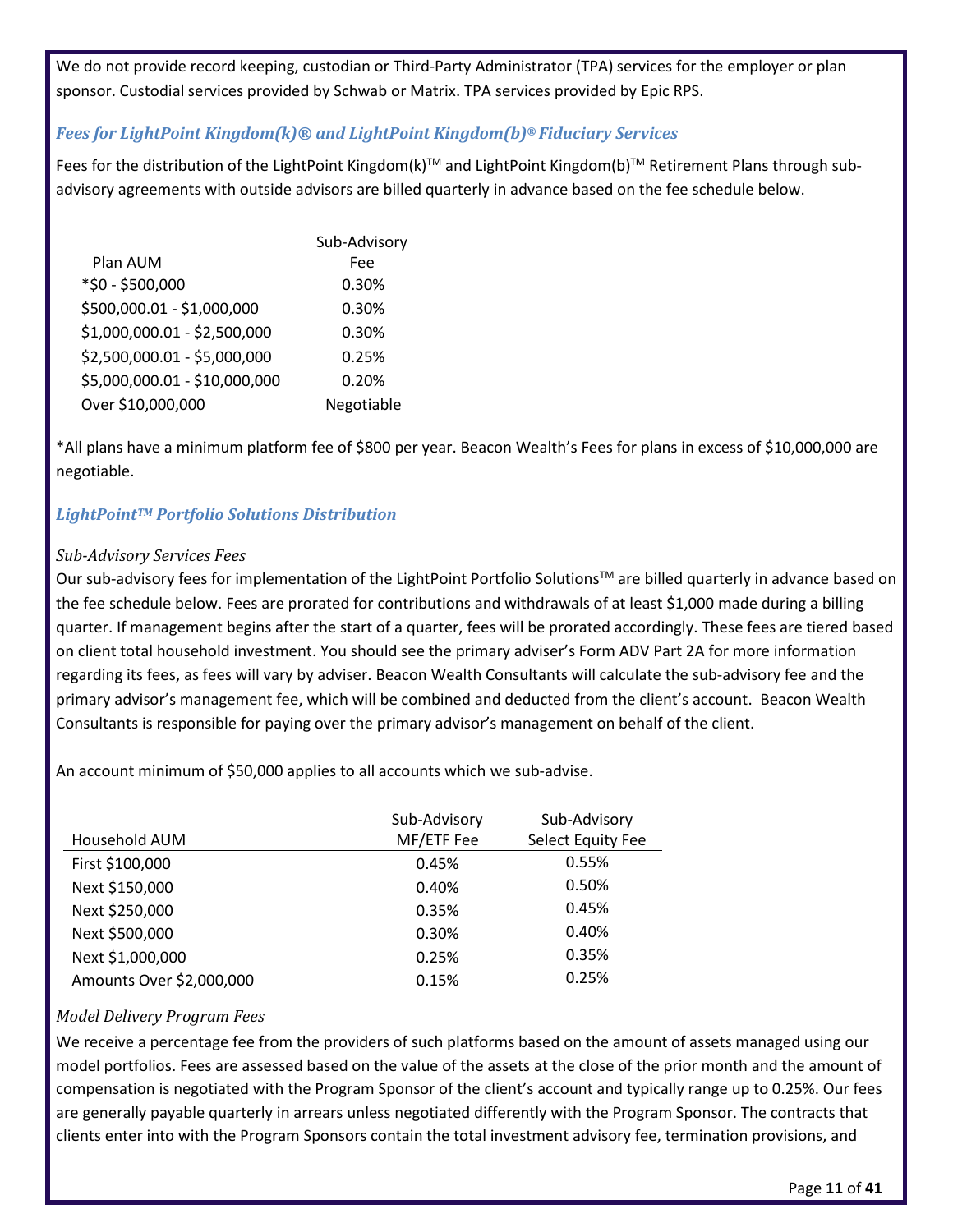We do not provide record keeping, custodian or Third-Party Administrator (TPA) services for the employer or plan sponsor. Custodial services provided by Schwab or Matrix. TPA services provided by Epic RPS.

#### *Fees for LightPoint Kingdom(k)® and LightPoint Kingdom(b)® Fiduciary Services*

Fees for the distribution of the LightPoint Kingdom(k)™ and LightPoint Kingdom(b)™ Retirement Plans through subadvisory agreements with outside advisors are billed quarterly in advance based on the fee schedule below.

|                               | Sub-Advisory |
|-------------------------------|--------------|
| Plan AUM                      | Fee          |
| *\$0 - \$500,000              | 0.30%        |
| \$500,000.01 - \$1,000,000    | 0.30%        |
| \$1,000,000.01 - \$2,500,000  | 0.30%        |
| \$2,500,000.01 - \$5,000,000  | 0.25%        |
| \$5,000,000.01 - \$10,000,000 | 0.20%        |
| Over \$10,000,000             | Negotiable   |

\*All plans have a minimum platform fee of \$800 per year. Beacon Wealth's Fees for plans in excess of \$10,000,000 are negotiable.

#### *LightPointTM Portfolio Solutions Distribution*

#### *Sub-Advisory Services Fees*

Our sub-advisory fees for implementation of the LightPoint Portfolio Solutions<sup>TM</sup> are billed quarterly in advance based on the fee schedule below. Fees are prorated for contributions and withdrawals of at least \$1,000 made during a billing quarter. If management begins after the start of a quarter, fees will be prorated accordingly. These fees are tiered based on client total household investment. You should see the primary adviser's Form ADV Part 2A for more information regarding its fees, as fees will vary by adviser. Beacon Wealth Consultants will calculate the sub-advisory fee and the primary advisor's management fee, which will be combined and deducted from the client's account. Beacon Wealth Consultants is responsible for paying over the primary advisor's management on behalf of the client.

An account minimum of \$50,000 applies to all accounts which we sub-advise.

|                          | Sub-Advisory | Sub-Advisory      |
|--------------------------|--------------|-------------------|
| Household AUM            | MF/ETF Fee   | Select Equity Fee |
| First \$100,000          | 0.45%        | 0.55%             |
| Next \$150,000           | 0.40%        | 0.50%             |
| Next \$250,000           | 0.35%        | 0.45%             |
| Next \$500,000           | 0.30%        | 0.40%             |
| Next \$1,000,000         | 0.25%        | 0.35%             |
| Amounts Over \$2,000,000 | 0.15%        | 0.25%             |

#### *Model Delivery Program Fees*

We receive a percentage fee from the providers of such platforms based on the amount of assets managed using our model portfolios. Fees are assessed based on the value of the assets at the close of the prior month and the amount of compensation is negotiated with the Program Sponsor of the client's account and typically range up to 0.25%. Our fees are generally payable quarterly in arrears unless negotiated differently with the Program Sponsor. The contracts that clients enter into with the Program Sponsors contain the total investment advisory fee, termination provisions, and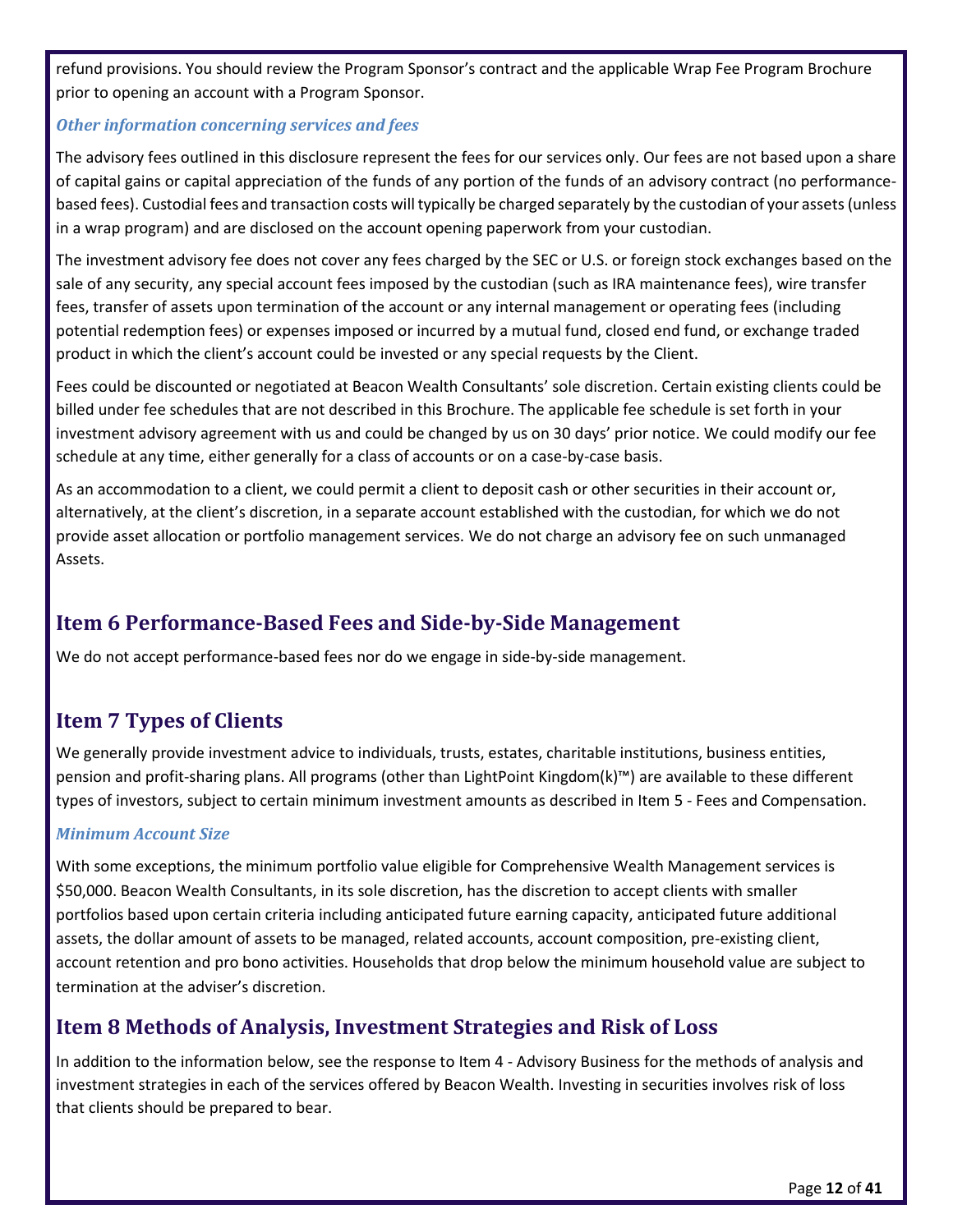refund provisions. You should review the Program Sponsor's contract and the applicable Wrap Fee Program Brochure prior to opening an account with a Program Sponsor.

#### *Other information concerning services and fees*

The advisory fees outlined in this disclosure represent the fees for our services only. Our fees are not based upon a share of capital gains or capital appreciation of the funds of any portion of the funds of an advisory contract (no performancebased fees). Custodial fees and transaction costs will typically be charged separately by the custodian of your assets(unless in a wrap program) and are disclosed on the account opening paperwork from your custodian.

The investment advisory fee does not cover any fees charged by the SEC or U.S. or foreign stock exchanges based on the sale of any security, any special account fees imposed by the custodian (such as IRA maintenance fees), wire transfer fees, transfer of assets upon termination of the account or any internal management or operating fees (including potential redemption fees) or expenses imposed or incurred by a mutual fund, closed end fund, or exchange traded product in which the client's account could be invested or any special requests by the Client.

Fees could be discounted or negotiated at Beacon Wealth Consultants' sole discretion. Certain existing clients could be billed under fee schedules that are not described in this Brochure. The applicable fee schedule is set forth in your investment advisory agreement with us and could be changed by us on 30 days' prior notice. We could modify our fee schedule at any time, either generally for a class of accounts or on a case-by-case basis.

As an accommodation to a client, we could permit a client to deposit cash or other securities in their account or, alternatively, at the client's discretion, in a separate account established with the custodian, for which we do not provide asset allocation or portfolio management services. We do not charge an advisory fee on such unmanaged Assets.

## <span id="page-11-0"></span>**Item 6 Performance-Based Fees and Side-by-Side Management**

We do not accept performance-based fees nor do we engage in side-by-side management.

## <span id="page-11-1"></span>**Item 7 Types of Clients**

We generally provide investment advice to individuals, trusts, estates, charitable institutions, business entities, pension and profit-sharing plans. All programs (other than LightPoint Kingdom(k)™) are available to these different types of investors, subject to certain minimum investment amounts as described in Item 5 - Fees and Compensation.

#### *Minimum Account Size*

With some exceptions, the minimum portfolio value eligible for Comprehensive Wealth Management services is \$50,000. Beacon Wealth Consultants, in its sole discretion, has the discretion to accept clients with smaller portfolios based upon certain criteria including anticipated future earning capacity, anticipated future additional assets, the dollar amount of assets to be managed, related accounts, account composition, pre-existing client, account retention and pro bono activities. Households that drop below the minimum household value are subject to termination at the adviser's discretion.

## <span id="page-11-2"></span>**Item 8 Methods of Analysis, Investment Strategies and Risk of Loss**

In addition to the information below, see the response to Item 4 - Advisory Business for the methods of analysis and investment strategies in each of the services offered by Beacon Wealth. Investing in securities involves risk of loss that clients should be prepared to bear.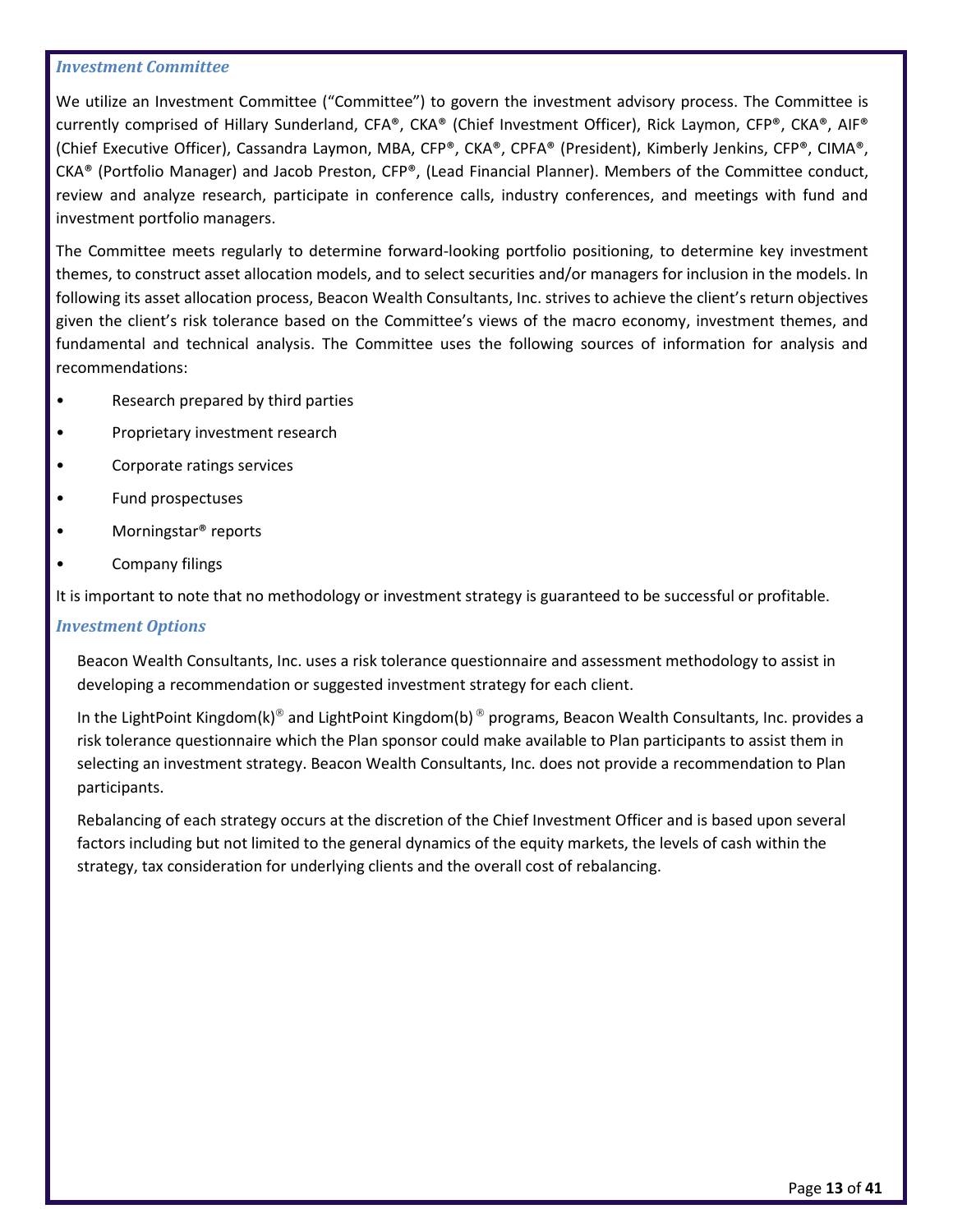#### *Investment Committee*

We utilize an Investment Committee ("Committee") to govern the investment advisory process. The Committee is currently comprised of Hillary Sunderland, CFA®, CKA® (Chief Investment Officer), Rick Laymon, CFP®, CKA®, AIF® (Chief Executive Officer), Cassandra Laymon, MBA, CFP®, CKA®, CPFA® (President), Kimberly Jenkins, CFP®, CIMA®, CKA® (Portfolio Manager) and Jacob Preston, CFP®, (Lead Financial Planner). Members of the Committee conduct, review and analyze research, participate in conference calls, industry conferences, and meetings with fund and investment portfolio managers.

The Committee meets regularly to determine forward-looking portfolio positioning, to determine key investment themes, to construct asset allocation models, and to select securities and/or managers for inclusion in the models. In following its asset allocation process, Beacon Wealth Consultants, Inc. strives to achieve the client's return objectives given the client's risk tolerance based on the Committee's views of the macro economy, investment themes, and fundamental and technical analysis. The Committee uses the following sources of information for analysis and recommendations:

- Research prepared by third parties
- Proprietary investment research
- Corporate ratings services
- Fund prospectuses
- Morningstar® reports
- Company filings

It is important to note that no methodology or investment strategy is guaranteed to be successful or profitable.

#### *Investment Options*

Beacon Wealth Consultants, Inc. uses a risk tolerance questionnaire and assessment methodology to assist in developing a recommendation or suggested investment strategy for each client.

In the LightPoint Kingdom(k)<sup>®</sup> and LightPoint Kingdom(b)<sup>®</sup> programs, Beacon Wealth Consultants, Inc. provides a risk tolerance questionnaire which the Plan sponsor could make available to Plan participants to assist them in selecting an investment strategy. Beacon Wealth Consultants, Inc. does not provide a recommendation to Plan participants.

Rebalancing of each strategy occurs at the discretion of the Chief Investment Officer and is based upon several factors including but not limited to the general dynamics of the equity markets, the levels of cash within the strategy, tax consideration for underlying clients and the overall cost of rebalancing.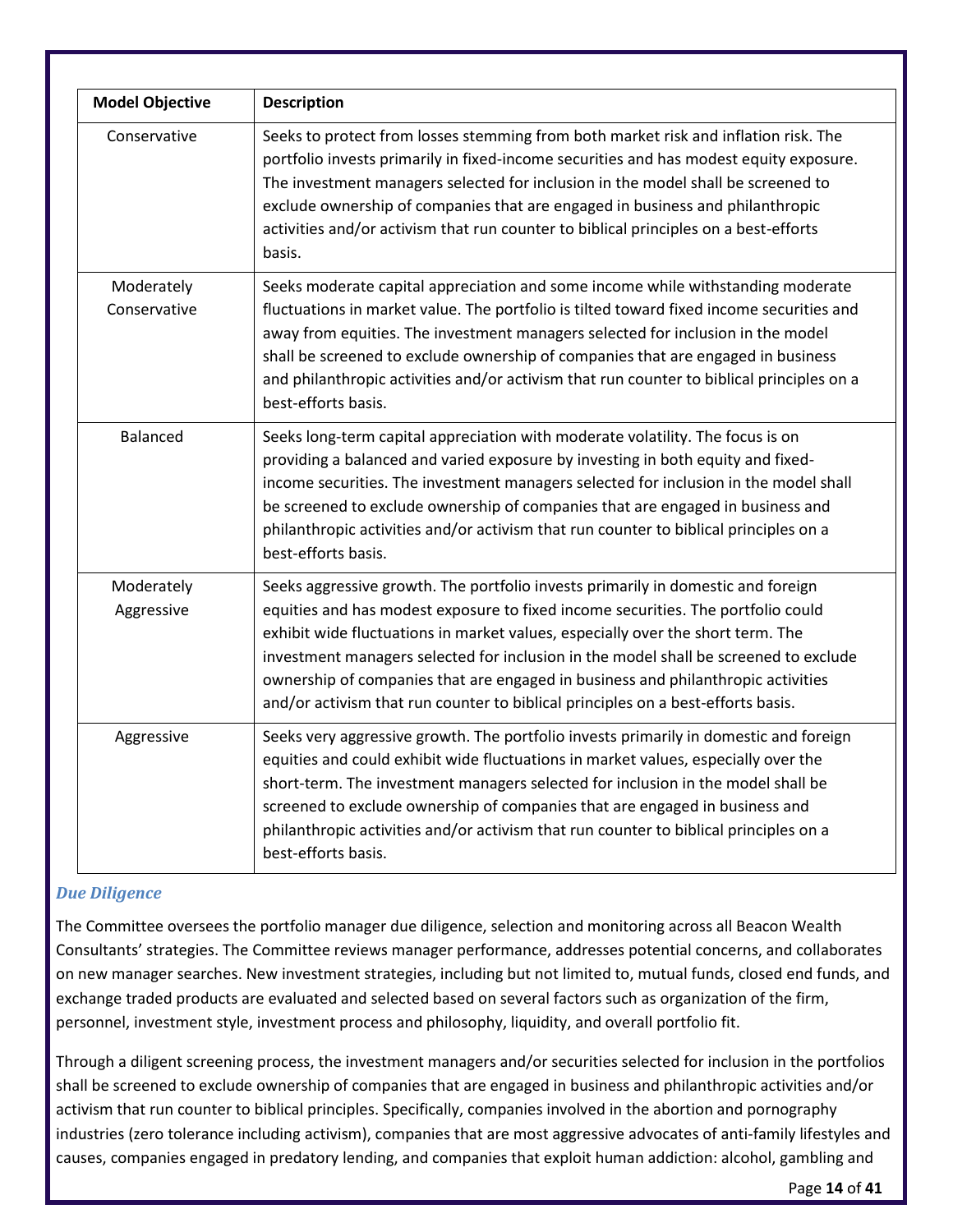| <b>Model Objective</b>     | <b>Description</b>                                                                                                                                                                                                                                                                                                                                                                                                                                                                                                      |
|----------------------------|-------------------------------------------------------------------------------------------------------------------------------------------------------------------------------------------------------------------------------------------------------------------------------------------------------------------------------------------------------------------------------------------------------------------------------------------------------------------------------------------------------------------------|
| Conservative               | Seeks to protect from losses stemming from both market risk and inflation risk. The<br>portfolio invests primarily in fixed-income securities and has modest equity exposure.<br>The investment managers selected for inclusion in the model shall be screened to<br>exclude ownership of companies that are engaged in business and philanthropic<br>activities and/or activism that run counter to biblical principles on a best-efforts<br>basis.                                                                    |
| Moderately<br>Conservative | Seeks moderate capital appreciation and some income while withstanding moderate<br>fluctuations in market value. The portfolio is tilted toward fixed income securities and<br>away from equities. The investment managers selected for inclusion in the model<br>shall be screened to exclude ownership of companies that are engaged in business<br>and philanthropic activities and/or activism that run counter to biblical principles on a<br>best-efforts basis.                                                  |
| <b>Balanced</b>            | Seeks long-term capital appreciation with moderate volatility. The focus is on<br>providing a balanced and varied exposure by investing in both equity and fixed-<br>income securities. The investment managers selected for inclusion in the model shall<br>be screened to exclude ownership of companies that are engaged in business and<br>philanthropic activities and/or activism that run counter to biblical principles on a<br>best-efforts basis.                                                             |
| Moderately<br>Aggressive   | Seeks aggressive growth. The portfolio invests primarily in domestic and foreign<br>equities and has modest exposure to fixed income securities. The portfolio could<br>exhibit wide fluctuations in market values, especially over the short term. The<br>investment managers selected for inclusion in the model shall be screened to exclude<br>ownership of companies that are engaged in business and philanthropic activities<br>and/or activism that run counter to biblical principles on a best-efforts basis. |
| Aggressive                 | Seeks very aggressive growth. The portfolio invests primarily in domestic and foreign<br>equities and could exhibit wide fluctuations in market values, especially over the<br>short-term. The investment managers selected for inclusion in the model shall be<br>screened to exclude ownership of companies that are engaged in business and<br>philanthropic activities and/or activism that run counter to biblical principles on a<br>best-efforts basis.                                                          |

#### *Due Diligence*

The Committee oversees the portfolio manager due diligence, selection and monitoring across all Beacon Wealth Consultants' strategies. The Committee reviews manager performance, addresses potential concerns, and collaborates on new manager searches. New investment strategies, including but not limited to, mutual funds, closed end funds, and exchange traded products are evaluated and selected based on several factors such as organization of the firm, personnel, investment style, investment process and philosophy, liquidity, and overall portfolio fit.

Through a diligent screening process, the investment managers and/or securities selected for inclusion in the portfolios shall be screened to exclude ownership of companies that are engaged in business and philanthropic activities and/or activism that run counter to biblical principles. Specifically, companies involved in the abortion and pornography industries (zero tolerance including activism), companies that are most aggressive advocates of anti-family lifestyles and causes, companies engaged in predatory lending, and companies that exploit human addiction: alcohol, gambling and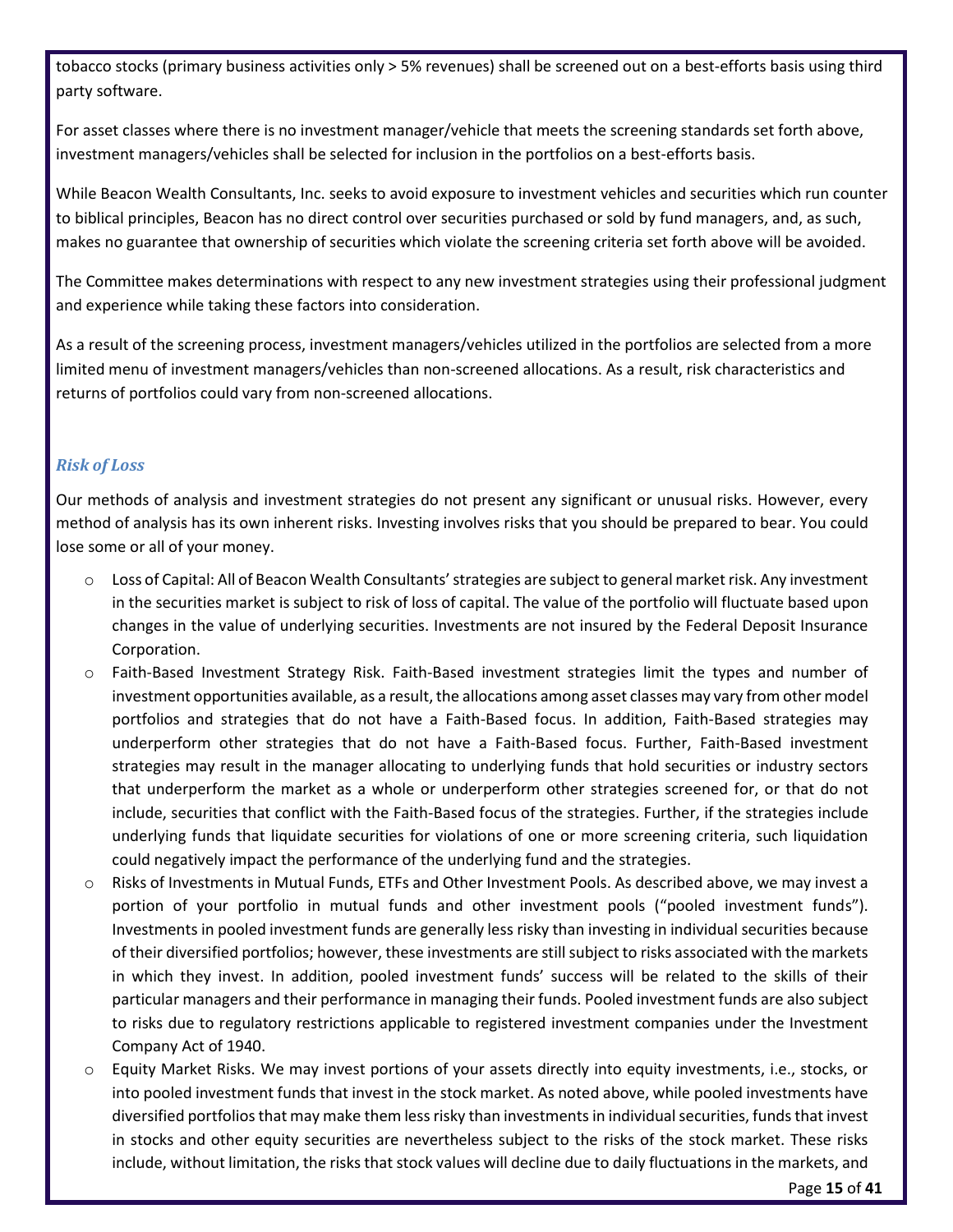tobacco stocks (primary business activities only > 5% revenues) shall be screened out on a best-efforts basis using third party software.

For asset classes where there is no investment manager/vehicle that meets the screening standards set forth above, investment managers/vehicles shall be selected for inclusion in the portfolios on a best-efforts basis.

While Beacon Wealth Consultants, Inc. seeks to avoid exposure to investment vehicles and securities which run counter to biblical principles, Beacon has no direct control over securities purchased or sold by fund managers, and, as such, makes no guarantee that ownership of securities which violate the screening criteria set forth above will be avoided.

The Committee makes determinations with respect to any new investment strategies using their professional judgment and experience while taking these factors into consideration.

As a result of the screening process, investment managers/vehicles utilized in the portfolios are selected from a more limited menu of investment managers/vehicles than non-screened allocations. As a result, risk characteristics and returns of portfolios could vary from non-screened allocations.

#### *Risk of Loss*

Our methods of analysis and investment strategies do not present any significant or unusual risks. However, every method of analysis has its own inherent risks. Investing involves risks that you should be prepared to bear. You could lose some or all of your money.

- o Loss of Capital: All of Beacon Wealth Consultants'strategies are subject to general market risk. Any investment in the securities market is subject to risk of loss of capital. The value of the portfolio will fluctuate based upon changes in the value of underlying securities. Investments are not insured by the Federal Deposit Insurance Corporation.
- o Faith-Based Investment Strategy Risk. Faith-Based investment strategies limit the types and number of investment opportunities available, as a result, the allocations among asset classes may vary from other model portfolios and strategies that do not have a Faith-Based focus. In addition, Faith-Based strategies may underperform other strategies that do not have a Faith-Based focus. Further, Faith-Based investment strategies may result in the manager allocating to underlying funds that hold securities or industry sectors that underperform the market as a whole or underperform other strategies screened for, or that do not include, securities that conflict with the Faith-Based focus of the strategies. Further, if the strategies include underlying funds that liquidate securities for violations of one or more screening criteria, such liquidation could negatively impact the performance of the underlying fund and the strategies.
- o Risks of Investments in Mutual Funds, ETFs and Other Investment Pools. As described above, we may invest a portion of your portfolio in mutual funds and other investment pools ("pooled investment funds"). Investments in pooled investment funds are generally less risky than investing in individual securities because of their diversified portfolios; however, these investments are still subject to risks associated with the markets in which they invest. In addition, pooled investment funds' success will be related to the skills of their particular managers and their performance in managing their funds. Pooled investment funds are also subject to risks due to regulatory restrictions applicable to registered investment companies under the Investment Company Act of 1940.
- o Equity Market Risks. We may invest portions of your assets directly into equity investments, i.e., stocks, or into pooled investment funds that invest in the stock market. As noted above, while pooled investments have diversified portfolios that may make them less risky than investments in individual securities, funds that invest in stocks and other equity securities are nevertheless subject to the risks of the stock market. These risks include, without limitation, the risks that stock values will decline due to daily fluctuations in the markets, and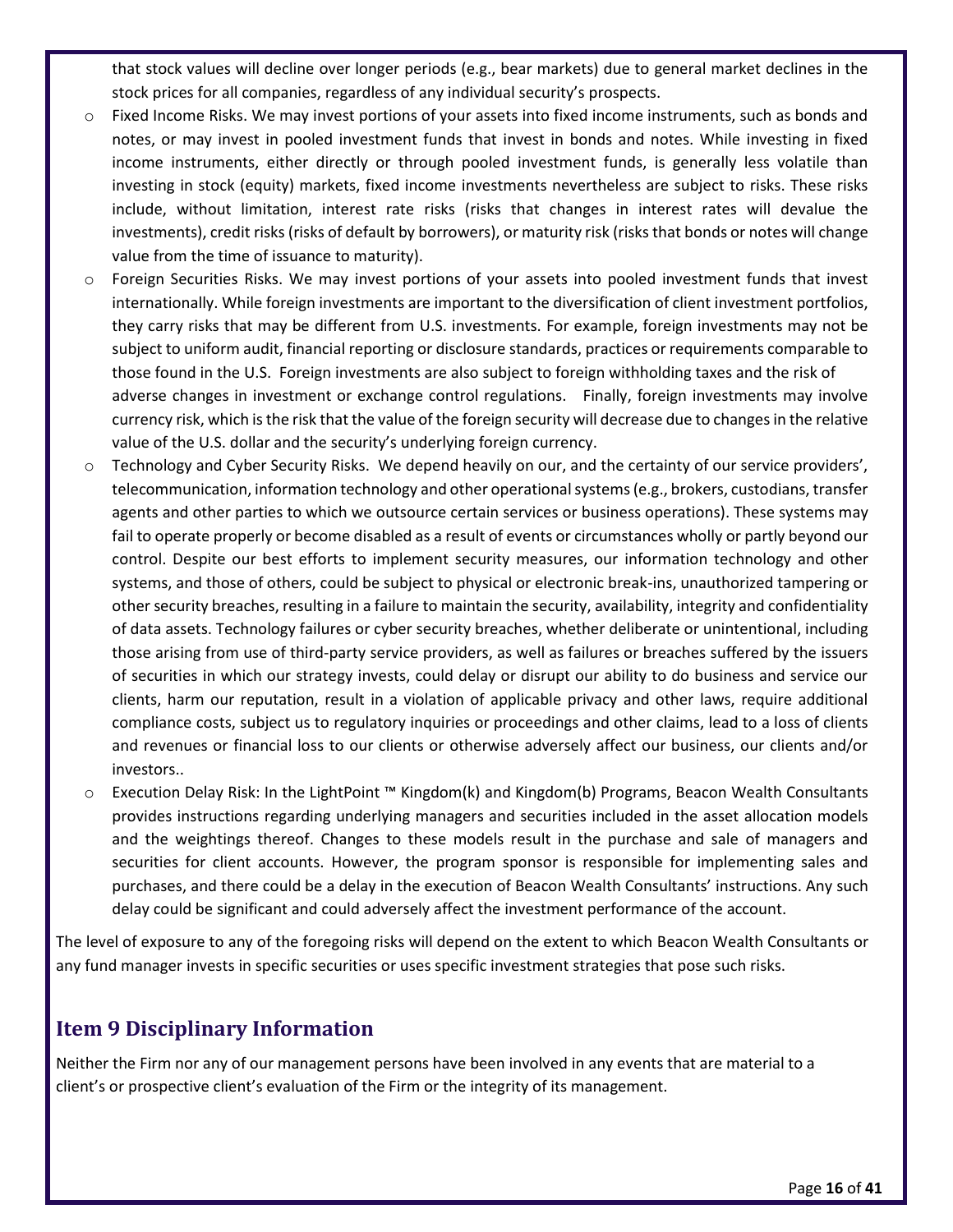that stock values will decline over longer periods (e.g., bear markets) due to general market declines in the stock prices for all companies, regardless of any individual security's prospects.

- o Fixed Income Risks. We may invest portions of your assets into fixed income instruments, such as bonds and notes, or may invest in pooled investment funds that invest in bonds and notes. While investing in fixed income instruments, either directly or through pooled investment funds, is generally less volatile than investing in stock (equity) markets, fixed income investments nevertheless are subject to risks. These risks include, without limitation, interest rate risks (risks that changes in interest rates will devalue the investments), credit risks (risks of default by borrowers), or maturity risk (risks that bonds or notes will change value from the time of issuance to maturity).
- o Foreign Securities Risks. We may invest portions of your assets into pooled investment funds that invest internationally. While foreign investments are important to the diversification of client investment portfolios, they carry risks that may be different from U.S. investments. For example, foreign investments may not be subject to uniform audit, financial reporting or disclosure standards, practices or requirements comparable to those found in the U.S. Foreign investments are also subject to foreign withholding taxes and the risk of adverse changes in investment or exchange control regulations. Finally, foreign investments may involve currency risk, which is the risk that the value of the foreign security will decrease due to changes in the relative value of the U.S. dollar and the security's underlying foreign currency.
- $\circ$  Technology and Cyber Security Risks. We depend heavily on our, and the certainty of our service providers', telecommunication, information technology and other operational systems (e.g., brokers, custodians, transfer agents and other parties to which we outsource certain services or business operations). These systems may fail to operate properly or become disabled as a result of events or circumstances wholly or partly beyond our control. Despite our best efforts to implement security measures, our information technology and other systems, and those of others, could be subject to physical or electronic break-ins, unauthorized tampering or other security breaches, resulting in a failure to maintain the security, availability, integrity and confidentiality of data assets. Technology failures or cyber security breaches, whether deliberate or unintentional, including those arising from use of third-party service providers, as well as failures or breaches suffered by the issuers of securities in which our strategy invests, could delay or disrupt our ability to do business and service our clients, harm our reputation, result in a violation of applicable privacy and other laws, require additional compliance costs, subject us to regulatory inquiries or proceedings and other claims, lead to a loss of clients and revenues or financial loss to our clients or otherwise adversely affect our business, our clients and/or investors..
- o Execution Delay Risk: In the LightPoint ™ Kingdom(k) and Kingdom(b) Programs, Beacon Wealth Consultants provides instructions regarding underlying managers and securities included in the asset allocation models and the weightings thereof. Changes to these models result in the purchase and sale of managers and securities for client accounts. However, the program sponsor is responsible for implementing sales and purchases, and there could be a delay in the execution of Beacon Wealth Consultants' instructions. Any such delay could be significant and could adversely affect the investment performance of the account.

The level of exposure to any of the foregoing risks will depend on the extent to which Beacon Wealth Consultants or any fund manager invests in specific securities or uses specific investment strategies that pose such risks.

## <span id="page-15-0"></span>**Item 9 Disciplinary Information**

Neither the Firm nor any of our management persons have been involved in any events that are material to a client's or prospective client's evaluation of the Firm or the integrity of its management.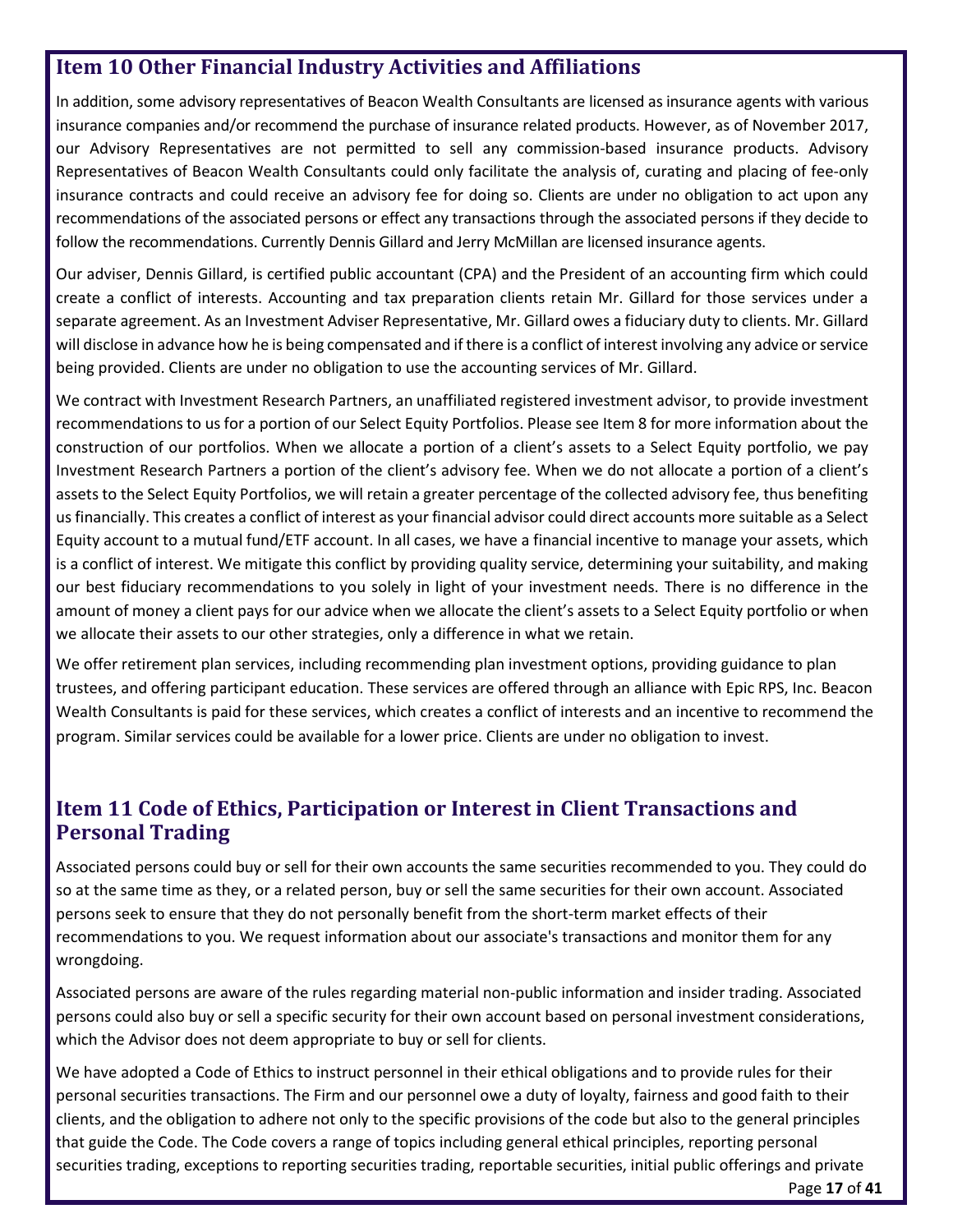## <span id="page-16-0"></span>**Item 10 Other Financial Industry Activities and Affiliations**

In addition, some advisory representatives of Beacon Wealth Consultants are licensed as insurance agents with various insurance companies and/or recommend the purchase of insurance related products. However, as of November 2017, our Advisory Representatives are not permitted to sell any commission-based insurance products. Advisory Representatives of Beacon Wealth Consultants could only facilitate the analysis of, curating and placing of fee-only insurance contracts and could receive an advisory fee for doing so. Clients are under no obligation to act upon any recommendations of the associated persons or effect any transactions through the associated persons if they decide to follow the recommendations. Currently Dennis Gillard and Jerry McMillan are licensed insurance agents.

Our adviser, Dennis Gillard, is certified public accountant (CPA) and the President of an accounting firm which could create a conflict of interests. Accounting and tax preparation clients retain Mr. Gillard for those services under a separate agreement. As an Investment Adviser Representative, Mr. Gillard owes a fiduciary duty to clients. Mr. Gillard will disclose in advance how he is being compensated and if there is a conflict of interest involving any advice or service being provided. Clients are under no obligation to use the accounting services of Mr. Gillard.

We contract with Investment Research Partners, an unaffiliated registered investment advisor, to provide investment recommendations to us for a portion of our Select Equity Portfolios. Please see Item 8 for more information about the construction of our portfolios. When we allocate a portion of a client's assets to a Select Equity portfolio, we pay Investment Research Partners a portion of the client's advisory fee. When we do not allocate a portion of a client's assets to the Select Equity Portfolios, we will retain a greater percentage of the collected advisory fee, thus benefiting us financially. This creates a conflict of interest as your financial advisor could direct accounts more suitable as a Select Equity account to a mutual fund/ETF account. In all cases, we have a financial incentive to manage your assets, which is a conflict of interest. We mitigate this conflict by providing quality service, determining your suitability, and making our best fiduciary recommendations to you solely in light of your investment needs. There is no difference in the amount of money a client pays for our advice when we allocate the client's assets to a Select Equity portfolio or when we allocate their assets to our other strategies, only a difference in what we retain.

We offer retirement plan services, including recommending plan investment options, providing guidance to plan trustees, and offering participant education. These services are offered through an alliance with Epic RPS, Inc. Beacon Wealth Consultants is paid for these services, which creates a conflict of interests and an incentive to recommend the program. Similar services could be available for a lower price. Clients are under no obligation to invest.

## <span id="page-16-1"></span>**Item 11 Code of Ethics, Participation or Interest in Client Transactions and Personal Trading**

Associated persons could buy or sell for their own accounts the same securities recommended to you. They could do so at the same time as they, or a related person, buy or sell the same securities for their own account. Associated persons seek to ensure that they do not personally benefit from the short-term market effects of their recommendations to you. We request information about our associate's transactions and monitor them for any wrongdoing.

Associated persons are aware of the rules regarding material non-public information and insider trading. Associated persons could also buy or sell a specific security for their own account based on personal investment considerations, which the Advisor does not deem appropriate to buy or sell for clients.

We have adopted a Code of Ethics to instruct personnel in their ethical obligations and to provide rules for their personal securities transactions. The Firm and our personnel owe a duty of loyalty, fairness and good faith to their clients, and the obligation to adhere not only to the specific provisions of the code but also to the general principles that guide the Code. The Code covers a range of topics including general ethical principles, reporting personal securities trading, exceptions to reporting securities trading, reportable securities, initial public offerings and private

Page **17** of **41**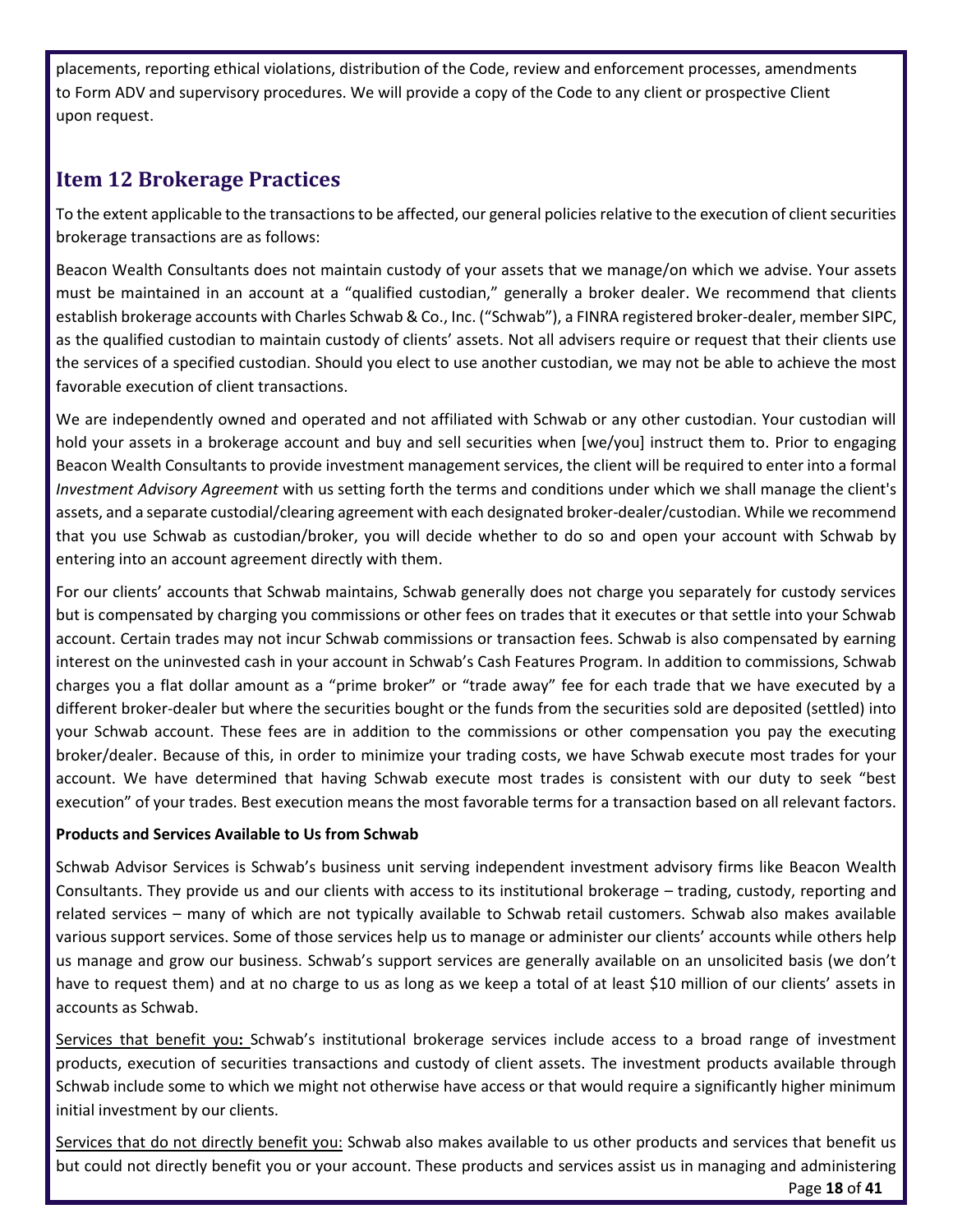placements, reporting ethical violations, distribution of the Code, review and enforcement processes, amendments to Form ADV and supervisory procedures. We will provide a copy of the Code to any client or prospective Client upon request.

## <span id="page-17-0"></span>**Item 12 Brokerage Practices**

To the extent applicable to the transactions to be affected, our general policies relative to the execution of client securities brokerage transactions are as follows:

Beacon Wealth Consultants does not maintain custody of your assets that we manage/on which we advise. Your assets must be maintained in an account at a "qualified custodian," generally a broker dealer. We recommend that clients establish brokerage accounts with Charles Schwab & Co., Inc. ("Schwab"), a FINRA registered broker-dealer, member SIPC, as the qualified custodian to maintain custody of clients' assets. Not all advisers require or request that their clients use the services of a specified custodian. Should you elect to use another custodian, we may not be able to achieve the most favorable execution of client transactions.

We are independently owned and operated and not affiliated with Schwab or any other custodian. Your custodian will hold your assets in a brokerage account and buy and sell securities when [we/you] instruct them to. Prior to engaging Beacon Wealth Consultants to provide investment management services, the client will be required to enter into a formal *Investment Advisory Agreement* with us setting forth the terms and conditions under which we shall manage the client's assets, and a separate custodial/clearing agreement with each designated broker-dealer/custodian. While we recommend that you use Schwab as custodian/broker, you will decide whether to do so and open your account with Schwab by entering into an account agreement directly with them.

For our clients' accounts that Schwab maintains, Schwab generally does not charge you separately for custody services but is compensated by charging you commissions or other fees on trades that it executes or that settle into your Schwab account. Certain trades may not incur Schwab commissions or transaction fees. Schwab is also compensated by earning interest on the uninvested cash in your account in Schwab's Cash Features Program. In addition to commissions, Schwab charges you a flat dollar amount as a "prime broker" or "trade away" fee for each trade that we have executed by a different broker-dealer but where the securities bought or the funds from the securities sold are deposited (settled) into your Schwab account. These fees are in addition to the commissions or other compensation you pay the executing broker/dealer. Because of this, in order to minimize your trading costs, we have Schwab execute most trades for your account. We have determined that having Schwab execute most trades is consistent with our duty to seek "best execution" of your trades. Best execution means the most favorable terms for a transaction based on all relevant factors.

#### **Products and Services Available to Us from Schwab**

Schwab Advisor Services is Schwab's business unit serving independent investment advisory firms like Beacon Wealth Consultants. They provide us and our clients with access to its institutional brokerage – trading, custody, reporting and related services – many of which are not typically available to Schwab retail customers. Schwab also makes available various support services. Some of those services help us to manage or administer our clients' accounts while others help us manage and grow our business. Schwab's support services are generally available on an unsolicited basis (we don't have to request them) and at no charge to us as long as we keep a total of at least \$10 million of our clients' assets in accounts as Schwab.

Services that benefit you**:** Schwab's institutional brokerage services include access to a broad range of investment products, execution of securities transactions and custody of client assets. The investment products available through Schwab include some to which we might not otherwise have access or that would require a significantly higher minimum initial investment by our clients.

Services that do not directly benefit you: Schwab also makes available to us other products and services that benefit us but could not directly benefit you or your account. These products and services assist us in managing and administering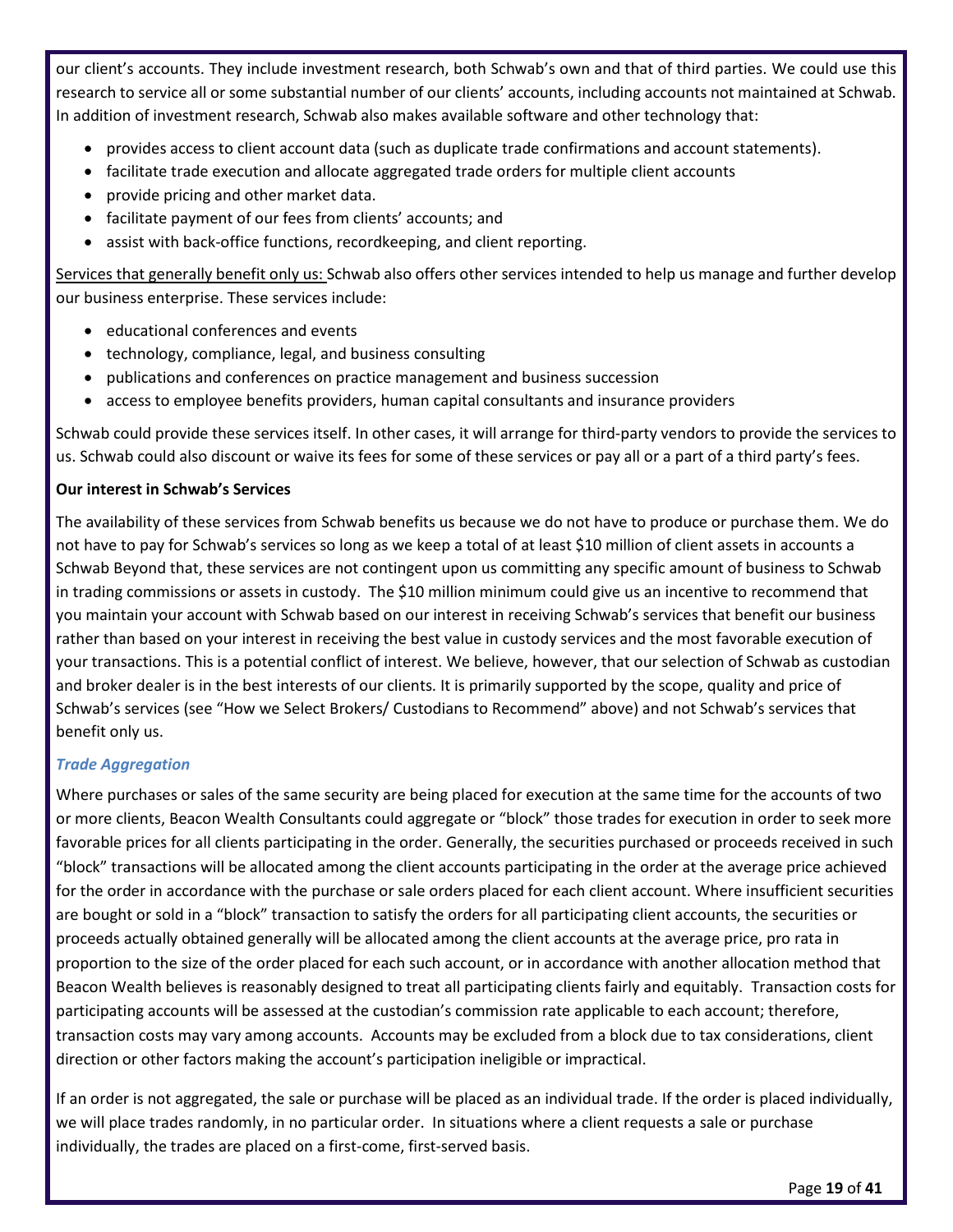our client's accounts. They include investment research, both Schwab's own and that of third parties. We could use this research to service all or some substantial number of our clients' accounts, including accounts not maintained at Schwab. In addition of investment research, Schwab also makes available software and other technology that:

- provides access to client account data (such as duplicate trade confirmations and account statements).
- facilitate trade execution and allocate aggregated trade orders for multiple client accounts
- provide pricing and other market data.
- facilitate payment of our fees from clients' accounts; and
- assist with back-office functions, recordkeeping, and client reporting.

Services that generally benefit only us: Schwab also offers other services intended to help us manage and further develop our business enterprise. These services include:

- educational conferences and events
- technology, compliance, legal, and business consulting
- publications and conferences on practice management and business succession
- access to employee benefits providers, human capital consultants and insurance providers

Schwab could provide these services itself. In other cases, it will arrange for third-party vendors to provide the services to us. Schwab could also discount or waive its fees for some of these services or pay all or a part of a third party's fees.

#### **Our interest in Schwab's Services**

The availability of these services from Schwab benefits us because we do not have to produce or purchase them. We do not have to pay for Schwab's services so long as we keep a total of at least \$10 million of client assets in accounts a Schwab Beyond that, these services are not contingent upon us committing any specific amount of business to Schwab in trading commissions or assets in custody. The \$10 million minimum could give us an incentive to recommend that you maintain your account with Schwab based on our interest in receiving Schwab's services that benefit our business rather than based on your interest in receiving the best value in custody services and the most favorable execution of your transactions. This is a potential conflict of interest. We believe, however, that our selection of Schwab as custodian and broker dealer is in the best interests of our clients. It is primarily supported by the scope, quality and price of Schwab's services (see "How we Select Brokers/ Custodians to Recommend" above) and not Schwab's services that benefit only us.

#### *Trade Aggregation*

Where purchases or sales of the same security are being placed for execution at the same time for the accounts of two or more clients, Beacon Wealth Consultants could aggregate or "block" those trades for execution in order to seek more favorable prices for all clients participating in the order. Generally, the securities purchased or proceeds received in such "block" transactions will be allocated among the client accounts participating in the order at the average price achieved for the order in accordance with the purchase or sale orders placed for each client account. Where insufficient securities are bought or sold in a "block" transaction to satisfy the orders for all participating client accounts, the securities or proceeds actually obtained generally will be allocated among the client accounts at the average price, pro rata in proportion to the size of the order placed for each such account, or in accordance with another allocation method that Beacon Wealth believes is reasonably designed to treat all participating clients fairly and equitably. Transaction costs for participating accounts will be assessed at the custodian's commission rate applicable to each account; therefore, transaction costs may vary among accounts. Accounts may be excluded from a block due to tax considerations, client direction or other factors making the account's participation ineligible or impractical.

If an order is not aggregated, the sale or purchase will be placed as an individual trade. If the order is placed individually, we will place trades randomly, in no particular order. In situations where a client requests a sale or purchase individually, the trades are placed on a first-come, first-served basis.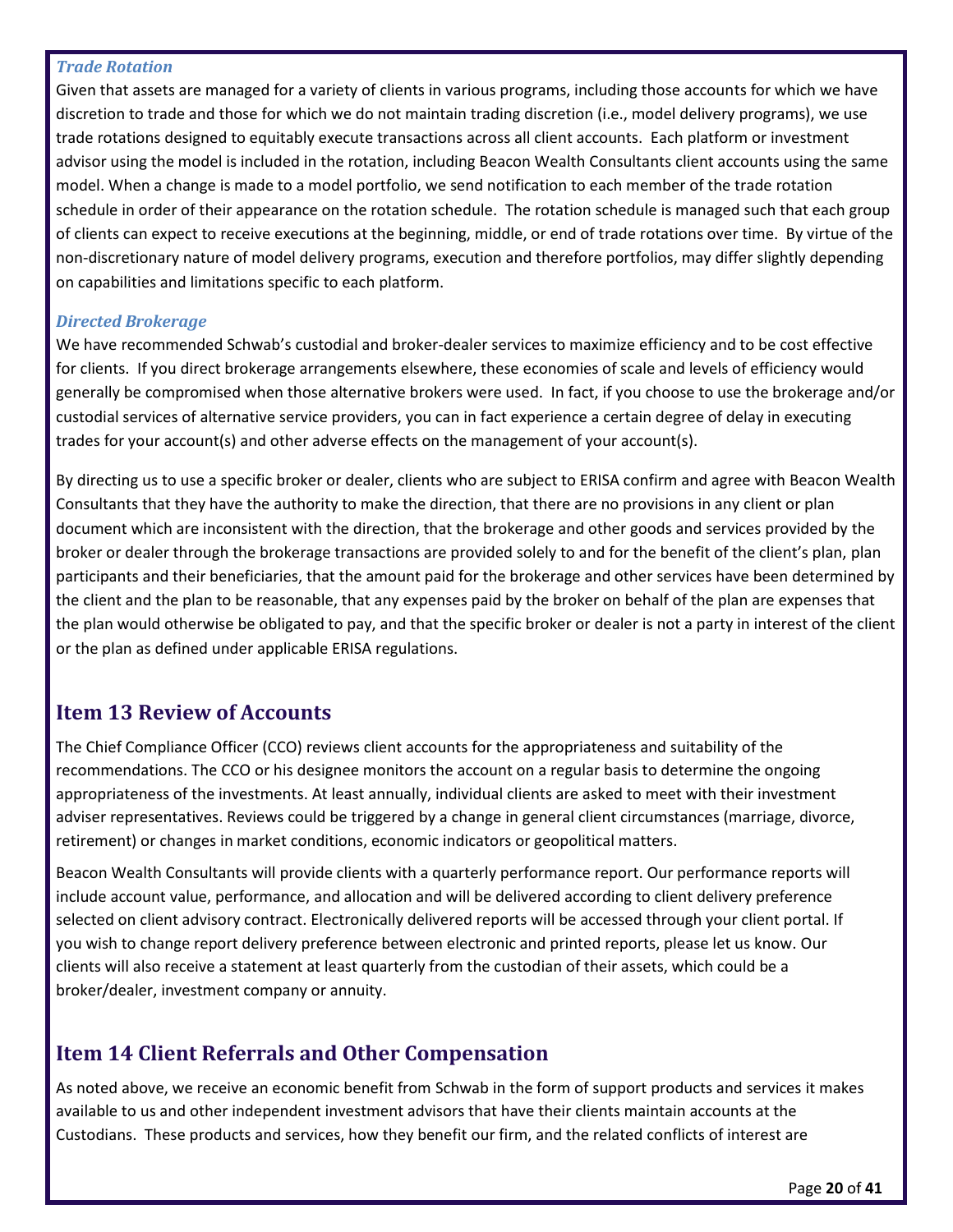#### *Trade Rotation*

Given that assets are managed for a variety of clients in various programs, including those accounts for which we have discretion to trade and those for which we do not maintain trading discretion (i.e., model delivery programs), we use trade rotations designed to equitably execute transactions across all client accounts. Each platform or investment advisor using the model is included in the rotation, including Beacon Wealth Consultants client accounts using the same model. When a change is made to a model portfolio, we send notification to each member of the trade rotation schedule in order of their appearance on the rotation schedule. The rotation schedule is managed such that each group of clients can expect to receive executions at the beginning, middle, or end of trade rotations over time. By virtue of the non-discretionary nature of model delivery programs, execution and therefore portfolios, may differ slightly depending on capabilities and limitations specific to each platform.

#### *Directed Brokerage*

We have recommended Schwab's custodial and broker-dealer services to maximize efficiency and to be cost effective for clients. If you direct brokerage arrangements elsewhere, these economies of scale and levels of efficiency would generally be compromised when those alternative brokers were used. In fact, if you choose to use the brokerage and/or custodial services of alternative service providers, you can in fact experience a certain degree of delay in executing trades for your account(s) and other adverse effects on the management of your account(s).

By directing us to use a specific broker or dealer, clients who are subject to ERISA confirm and agree with Beacon Wealth Consultants that they have the authority to make the direction, that there are no provisions in any client or plan document which are inconsistent with the direction, that the brokerage and other goods and services provided by the broker or dealer through the brokerage transactions are provided solely to and for the benefit of the client's plan, plan participants and their beneficiaries, that the amount paid for the brokerage and other services have been determined by the client and the plan to be reasonable, that any expenses paid by the broker on behalf of the plan are expenses that the plan would otherwise be obligated to pay, and that the specific broker or dealer is not a party in interest of the client or the plan as defined under applicable ERISA regulations.

## <span id="page-19-0"></span>**Item 13 Review of Accounts**

The Chief Compliance Officer (CCO) reviews client accounts for the appropriateness and suitability of the recommendations. The CCO or his designee monitors the account on a regular basis to determine the ongoing appropriateness of the investments. At least annually, individual clients are asked to meet with their investment adviser representatives. Reviews could be triggered by a change in general client circumstances (marriage, divorce, retirement) or changes in market conditions, economic indicators or geopolitical matters.

Beacon Wealth Consultants will provide clients with a quarterly performance report. Our performance reports will include account value, performance, and allocation and will be delivered according to client delivery preference selected on client advisory contract. Electronically delivered reports will be accessed through your client portal. If you wish to change report delivery preference between electronic and printed reports, please let us know. Our clients will also receive a statement at least quarterly from the custodian of their assets, which could be a broker/dealer, investment company or annuity.

## <span id="page-19-1"></span>**Item 14 Client Referrals and Other Compensation**

As noted above, we receive an economic benefit from Schwab in the form of support products and services it makes available to us and other independent investment advisors that have their clients maintain accounts at the Custodians. These products and services, how they benefit our firm, and the related conflicts of interest are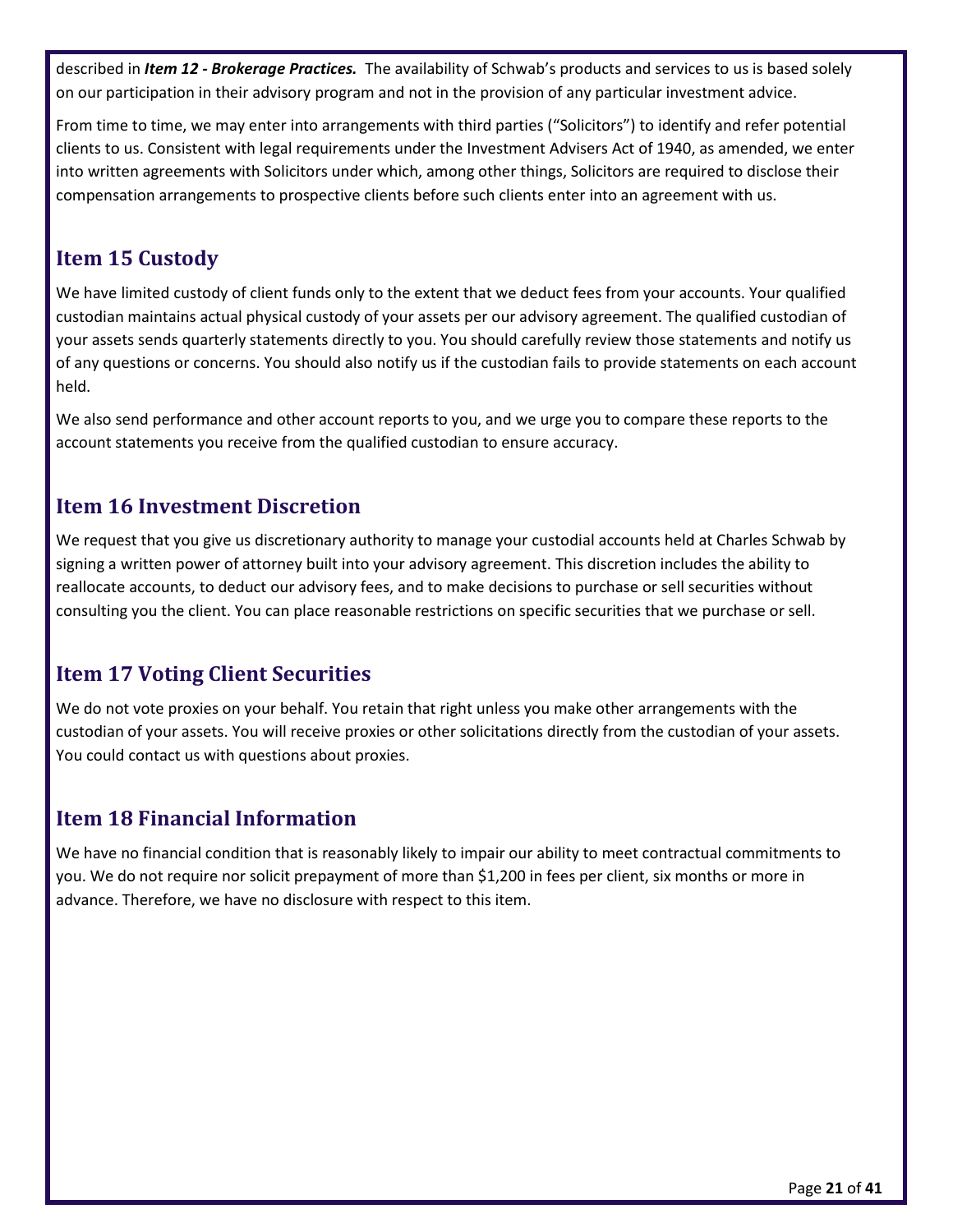described in *Item 12 - Brokerage Practices.* The availability of Schwab's products and services to us is based solely on our participation in their advisory program and not in the provision of any particular investment advice.

From time to time, we may enter into arrangements with third parties ("Solicitors") to identify and refer potential clients to us. Consistent with legal requirements under the Investment Advisers Act of 1940, as amended, we enter into written agreements with Solicitors under which, among other things, Solicitors are required to disclose their compensation arrangements to prospective clients before such clients enter into an agreement with us.

## <span id="page-20-0"></span>**Item 15 Custody**

We have limited custody of client funds only to the extent that we deduct fees from your accounts. Your qualified custodian maintains actual physical custody of your assets per our advisory agreement. The qualified custodian of your assets sends quarterly statements directly to you. You should carefully review those statements and notify us of any questions or concerns. You should also notify us if the custodian fails to provide statements on each account held.

We also send performance and other account reports to you, and we urge you to compare these reports to the account statements you receive from the qualified custodian to ensure accuracy.

## <span id="page-20-1"></span>**Item 16 Investment Discretion**

We request that you give us discretionary authority to manage your custodial accounts held at Charles Schwab by signing a written power of attorney built into your advisory agreement. This discretion includes the ability to reallocate accounts, to deduct our advisory fees, and to make decisions to purchase or sell securities without consulting you the client. You can place reasonable restrictions on specific securities that we purchase or sell.

## <span id="page-20-2"></span>**Item 17 Voting Client Securities**

We do not vote proxies on your behalf. You retain that right unless you make other arrangements with the custodian of your assets. You will receive proxies or other solicitations directly from the custodian of your assets. You could contact us with questions about proxies.

## <span id="page-20-3"></span>**Item 18 Financial Information**

We have no financial condition that is reasonably likely to impair our ability to meet contractual commitments to you. We do not require nor solicit prepayment of more than \$1,200 in fees per client, six months or more in advance. Therefore, we have no disclosure with respect to this item.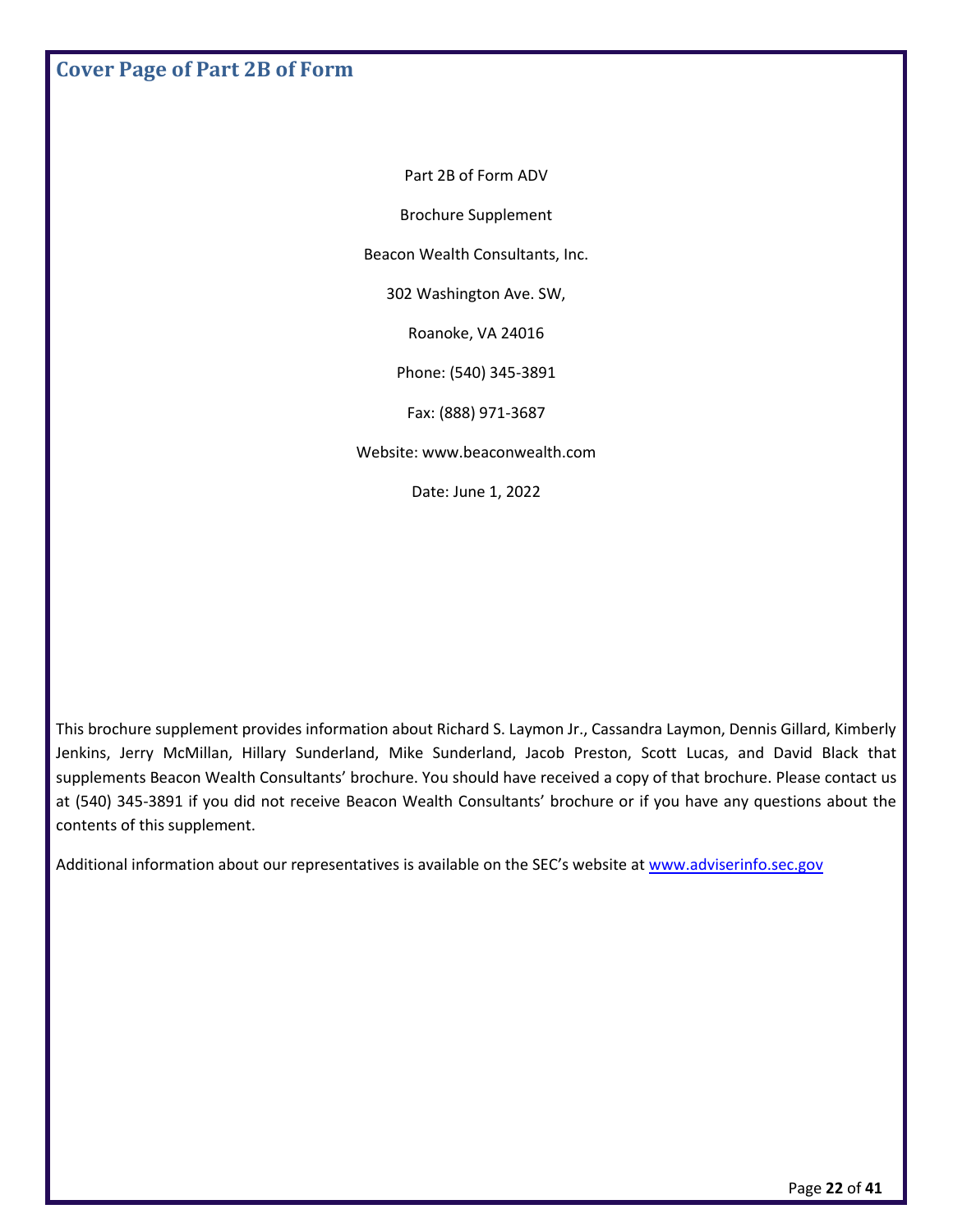<span id="page-21-0"></span>**Cover Page of Part 2B of Form**

Part 2B of Form ADV

Brochure Supplement

Beacon Wealth Consultants, Inc.

302 Washington Ave. SW,

Roanoke, VA 24016

Phone: (540) 345-3891

Fax: (888) 971-3687

Website: www.beaconwealth.com

Date: June 1, 2022

This brochure supplement provides information about Richard S. Laymon Jr., Cassandra Laymon, Dennis Gillard, Kimberly Jenkins, Jerry McMillan, Hillary Sunderland, Mike Sunderland, Jacob Preston, Scott Lucas, and David Black that supplements Beacon Wealth Consultants' brochure. You should have received a copy of that brochure. Please contact us at (540) 345-3891 if you did not receive Beacon Wealth Consultants' brochure or if you have any questions about the contents of this supplement.

Additional information about our representatives is available on the SEC's website at [www.adviserinfo.sec.gov](http://www.adviserinfo.sec.gov/)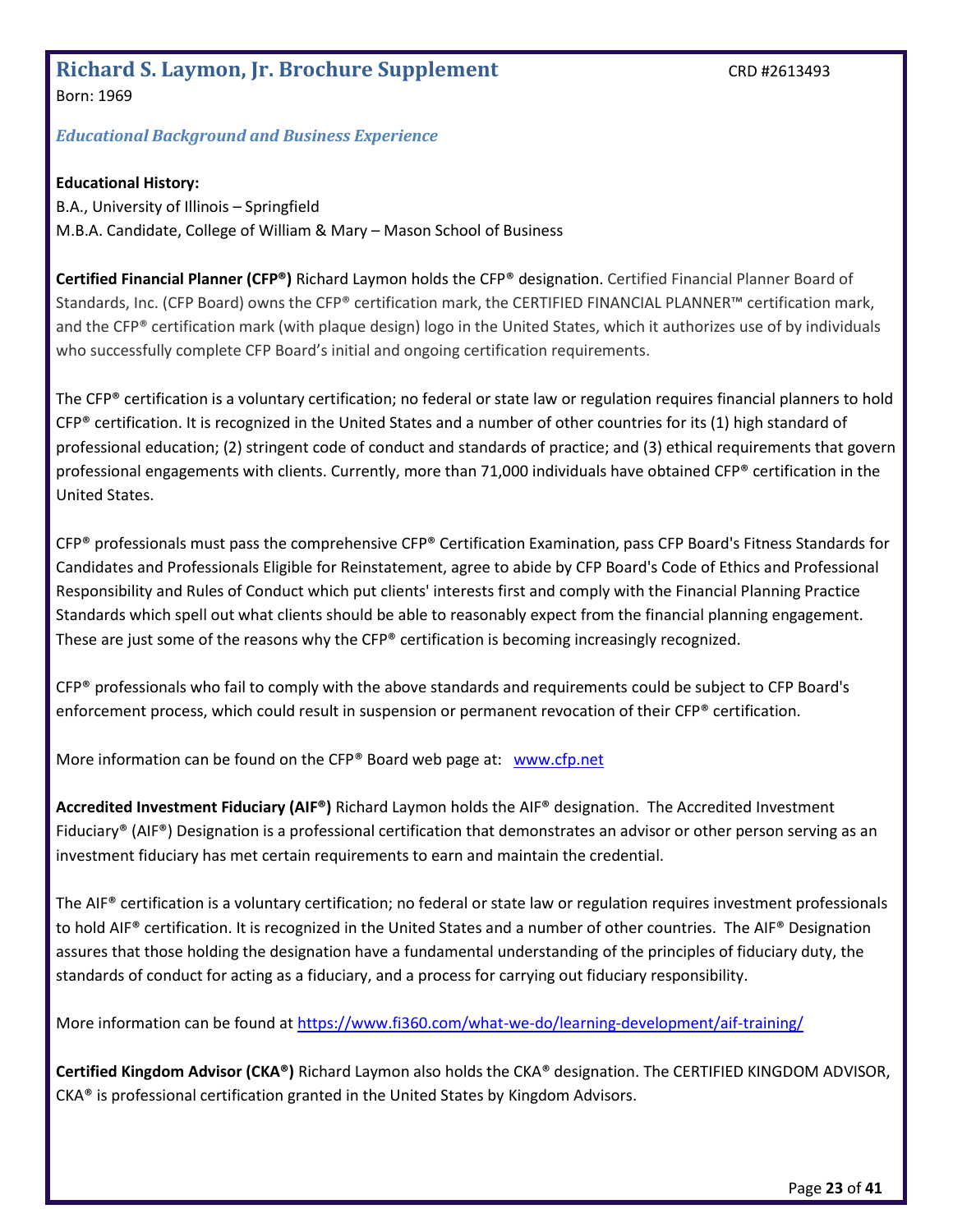# <span id="page-22-0"></span>**Richard S. Laymon, Jr. Brochure Supplement** CRD #2613493

Born: 1969

#### *Educational Background and Business Experience*

#### **Educational History:**

B.A., University of Illinois – Springfield M.B.A. Candidate, College of William & Mary – Mason School of Business

**Certified Financial Planner (CFP®)** Richard Laymon holds the CFP® designation. Certified Financial Planner Board of Standards, Inc. (CFP Board) owns the CFP® certification mark, the CERTIFIED FINANCIAL PLANNER™ certification mark, and the CFP® certification mark (with plaque design) logo in the United States, which it authorizes use of by individuals who successfully complete CFP Board's initial and ongoing certification requirements.

The CFP® certification is a voluntary certification; no federal or state law or regulation requires financial planners to hold  $CFP<sup>®</sup>$  certification. It is recognized in the United States and a number of other countries for its (1) high standard of professional education; (2) stringent code of conduct and standards of practice; and (3) ethical requirements that govern professional engagements with clients. Currently, more than 71,000 individuals have obtained CFP® certification in the United States.

CFP® professionals must pass the comprehensive CFP® Certification Examination, pass CFP Board's Fitness Standards for Candidates and Professionals Eligible for Reinstatement, agree to abide by CFP Board's Code of Ethics and Professional Responsibility and Rules of Conduct which put clients' interests first and comply with the Financial Planning Practice Standards which spell out what clients should be able to reasonably expect from the financial planning engagement. These are just some of the reasons why the CFP® certification is becoming increasingly recognized.

CFP® professionals who fail to comply with the above standards and requirements could be subject to CFP Board's enforcement process, which could result in suspension or permanent revocation of their CFP® certification.

More information can be found on the CFP® Board web page at: [www.cfp.net](http://www.cfp.net/)

**Accredited Investment Fiduciary (AIF®)** Richard Laymon holds the AIF® designation. The Accredited Investment Fiduciary® (AIF®) Designation is a professional certification that demonstrates an advisor or other person serving as an investment fiduciary has met certain requirements to earn and maintain the credential.

The AIF® certification is a voluntary certification; no federal or state law or regulation requires investment professionals to hold AIF® certification. It is recognized in the United States and a number of other countries. The AIF® Designation assures that those holding the designation have a fundamental understanding of the principles of fiduciary duty, the standards of conduct for acting as a fiduciary, and a process for carrying out fiduciary responsibility.

More information can be found at<https://www.fi360.com/what-we-do/learning-development/aif-training/>

**Certified Kingdom Advisor (CKA®)** Richard Laymon also holds the CKA® designation. The CERTIFIED KINGDOM ADVISOR, CKA® is professional certification granted in the United States by Kingdom Advisors.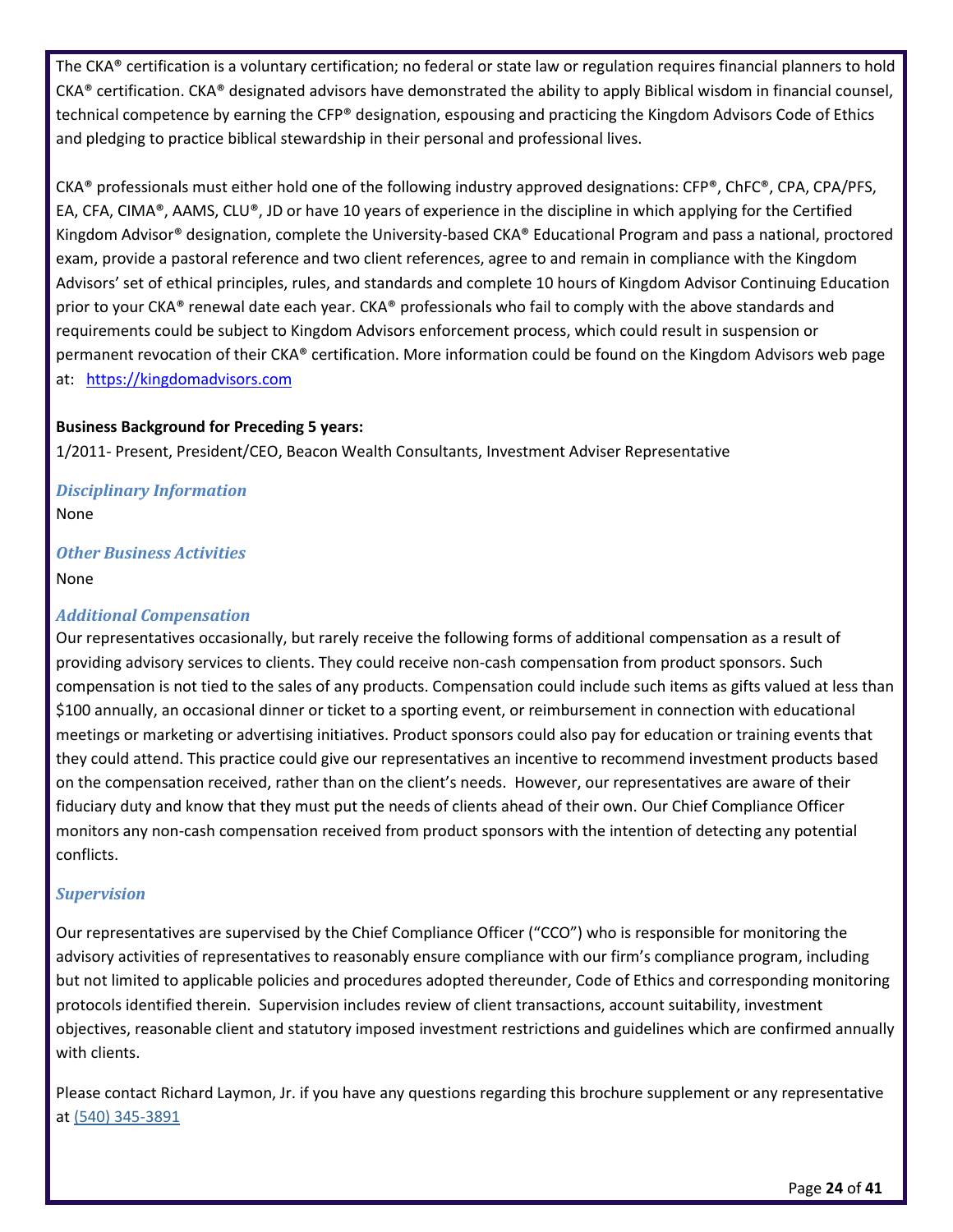The CKA® certification is a voluntary certification; no federal or state law or regulation requires financial planners to hold  $CKA<sup>®</sup>$  certification. CKA<sup>®</sup> designated advisors have demonstrated the ability to apply Biblical wisdom in financial counsel, technical competence by earning the CFP® designation, espousing and practicing the Kingdom Advisors Code of Ethics and pledging to practice biblical stewardship in their personal and professional lives.

CKA® professionals must either hold one of the following industry approved designations: CFP®, ChFC®, CPA, CPA/PFS, EA, CFA, CIMA®, AAMS, CLU®, JD or have 10 years of experience in the discipline in which applying for the Certified Kingdom Advisor® designation, complete the University-based CKA® Educational Program and pass a national, proctored exam, provide a pastoral reference and two client references, agree to and remain in compliance with the Kingdom Advisors' set of ethical principles, rules, and standards and complete 10 hours of Kingdom Advisor Continuing Education prior to your CKA® renewal date each year. CKA® professionals who fail to comply with the above standards and requirements could be subject to Kingdom Advisors enforcement process, which could result in suspension or permanent revocation of their CKA® certification. More information could be found on the Kingdom Advisors web page at: [https://kingdomadvisors.com](https://kingdomadvisors.com/)

#### **Business Background for Preceding 5 years:**

1/2011- Present, President/CEO, Beacon Wealth Consultants, Investment Adviser Representative

#### *Disciplinary Information* None

#### *Other Business Activities* None

#### *Additional Compensation*

Our representatives occasionally, but rarely receive the following forms of additional compensation as a result of providing advisory services to clients. They could receive non-cash compensation from product sponsors. Such compensation is not tied to the sales of any products. Compensation could include such items as gifts valued at less than \$100 annually, an occasional dinner or ticket to a sporting event, or reimbursement in connection with educational meetings or marketing or advertising initiatives. Product sponsors could also pay for education or training events that they could attend. This practice could give our representatives an incentive to recommend investment products based on the compensation received, rather than on the client's needs. However, our representatives are aware of their fiduciary duty and know that they must put the needs of clients ahead of their own. Our Chief Compliance Officer monitors any non-cash compensation received from product sponsors with the intention of detecting any potential conflicts.

### *Supervision*

Our representatives are supervised by the Chief Compliance Officer ("CCO") who is responsible for monitoring the advisory activities of representatives to reasonably ensure compliance with our firm's compliance program, including but not limited to applicable policies and procedures adopted thereunder, Code of Ethics and corresponding monitoring protocols identified therein. Supervision includes review of client transactions, account suitability, investment objectives, reasonable client and statutory imposed investment restrictions and guidelines which are confirmed annually with clients.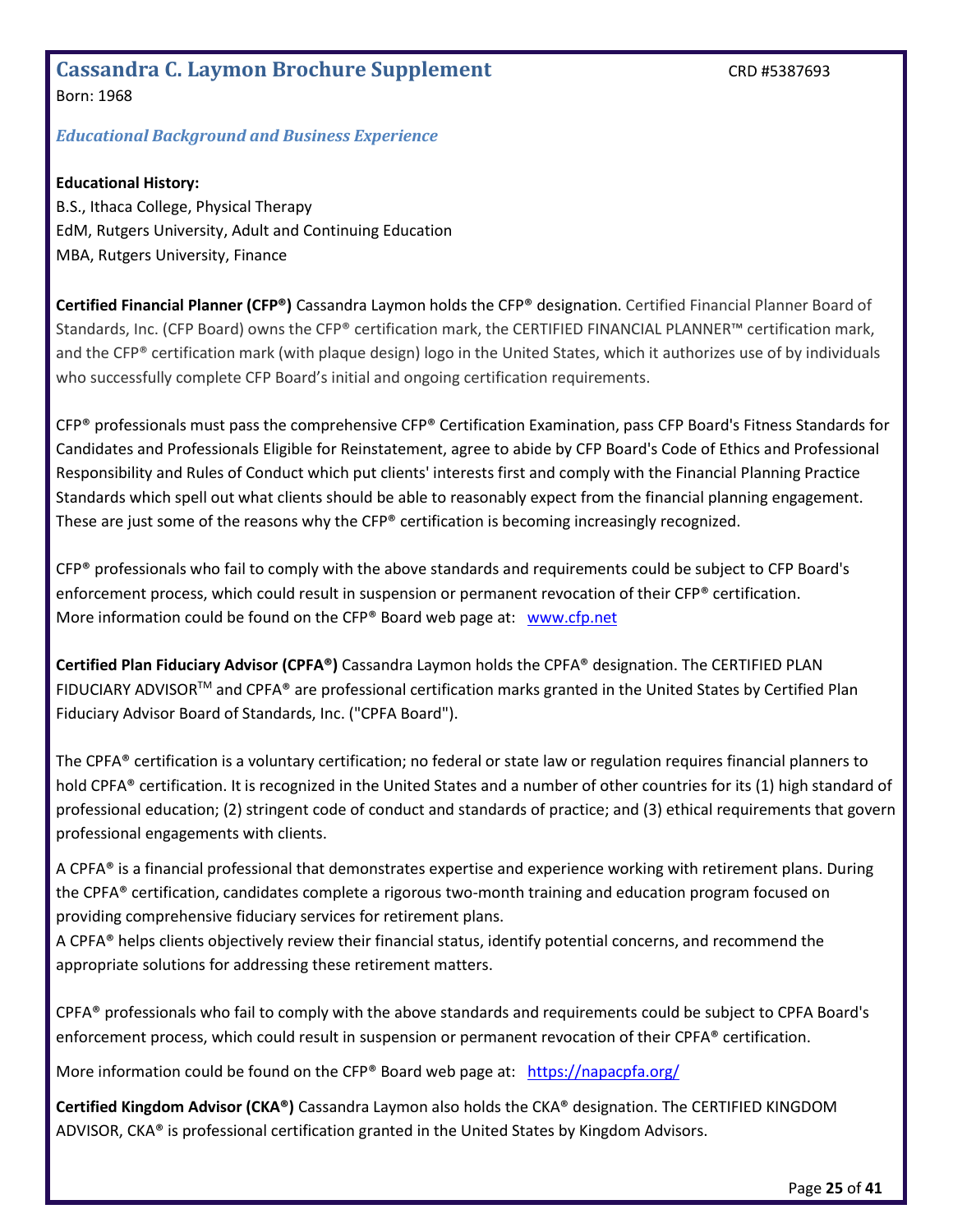#### <span id="page-24-0"></span>Cassandra C. Laymon Brochure Supplement **CASSANGE 2018** CRD #5387693 Born: 1968

#### *Educational Background and Business Experience*

#### **Educational History:**

B.S., Ithaca College, Physical Therapy EdM, Rutgers University, Adult and Continuing Education MBA, Rutgers University, Finance

**Certified Financial Planner (CFP®)** Cassandra Laymon holds the CFP® designation. Certified Financial Planner Board of Standards, Inc. (CFP Board) owns the CFP® certification mark, the CERTIFIED FINANCIAL PLANNER™ certification mark, and the CFP® certification mark (with plaque design) logo in the United States, which it authorizes use of by individuals who successfully complete CFP Board's initial and ongoing certification requirements.

CFP® professionals must pass the comprehensive CFP® Certification Examination, pass CFP Board's Fitness Standards for Candidates and Professionals Eligible for Reinstatement, agree to abide by CFP Board's Code of Ethics and Professional Responsibility and Rules of Conduct which put clients' interests first and comply with the Financial Planning Practice Standards which spell out what clients should be able to reasonably expect from the financial planning engagement. These are just some of the reasons why the  $CFP<sup>®</sup>$  certification is becoming increasingly recognized.

CFP® professionals who fail to comply with the above standards and requirements could be subject to CFP Board's enforcement process, which could result in suspension or permanent revocation of their CFP® certification. More information could be found on the CFP® Board web page at: [www.cfp.net](http://www.cfp.net/)

**Certified Plan Fiduciary Advisor (CPFA®)** Cassandra Laymon holds the CPFA® designation. The CERTIFIED PLAN FIDUCIARY ADVISORTM and CPFA® are professional certification marks granted in the United States by Certified Plan Fiduciary Advisor Board of Standards, Inc. ("CPFA Board").

The CPFA® certification is a voluntary certification; no federal or state law or regulation requires financial planners to hold CPFA® certification. It is recognized in the United States and a number of other countries for its (1) high standard of professional education; (2) stringent code of conduct and standards of practice; and (3) ethical requirements that govern professional engagements with clients.

A CPFA® is a financial professional that demonstrates expertise and experience working with retirement plans. During the CPFA® certification, candidates complete a rigorous two-month training and education program focused on providing comprehensive fiduciary services for retirement plans.

A CPFA® helps clients objectively review their financial status, identify potential concerns, and recommend the appropriate solutions for addressing these retirement matters.

CPFA® professionals who fail to comply with the above standards and requirements could be subject to CPFA Board's enforcement process, which could result in suspension or permanent revocation of their CPFA® certification.

More information could be found on the CFP® Board web page at: <https://napacpfa.org/>

**Certified Kingdom Advisor (CKA®)** Cassandra Laymon also holds the CKA® designation. The CERTIFIED KINGDOM ADVISOR, CKA® is professional certification granted in the United States by Kingdom Advisors.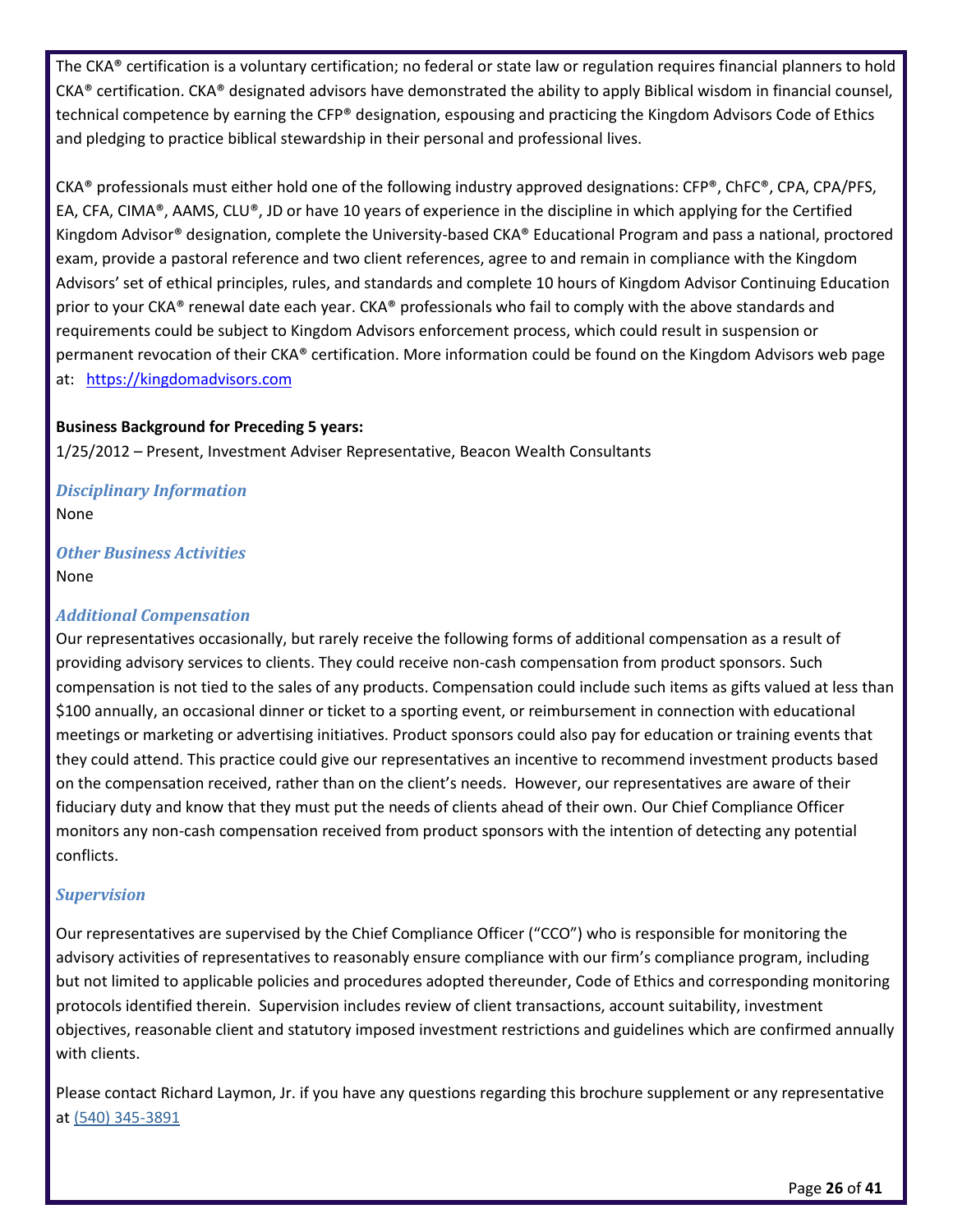The CKA® certification is a voluntary certification; no federal or state law or regulation requires financial planners to hold  $CKA<sup>®</sup>$  certification. CKA<sup>®</sup> designated advisors have demonstrated the ability to apply Biblical wisdom in financial counsel, technical competence by earning the CFP® designation, espousing and practicing the Kingdom Advisors Code of Ethics and pledging to practice biblical stewardship in their personal and professional lives.

CKA® professionals must either hold one of the following industry approved designations: CFP®, ChFC®, CPA, CPA/PFS, EA, CFA, CIMA®, AAMS, CLU®, JD or have 10 years of experience in the discipline in which applying for the Certified Kingdom Advisor® designation, complete the University-based CKA® Educational Program and pass a national, proctored exam, provide a pastoral reference and two client references, agree to and remain in compliance with the Kingdom Advisors' set of ethical principles, rules, and standards and complete 10 hours of Kingdom Advisor Continuing Education prior to your CKA® renewal date each year. CKA® professionals who fail to comply with the above standards and requirements could be subject to Kingdom Advisors enforcement process, which could result in suspension or permanent revocation of their CKA® certification. More information could be found on the Kingdom Advisors web page at: [https://kingdomadvisors.com](https://kingdomadvisors.com/)

#### **Business Background for Preceding 5 years:**

1/25/2012 – Present, Investment Adviser Representative, Beacon Wealth Consultants

*Disciplinary Information* None

*Other Business Activities* None

#### *Additional Compensation*

Our representatives occasionally, but rarely receive the following forms of additional compensation as a result of providing advisory services to clients. They could receive non-cash compensation from product sponsors. Such compensation is not tied to the sales of any products. Compensation could include such items as gifts valued at less than \$100 annually, an occasional dinner or ticket to a sporting event, or reimbursement in connection with educational meetings or marketing or advertising initiatives. Product sponsors could also pay for education or training events that they could attend. This practice could give our representatives an incentive to recommend investment products based on the compensation received, rather than on the client's needs. However, our representatives are aware of their fiduciary duty and know that they must put the needs of clients ahead of their own. Our Chief Compliance Officer monitors any non-cash compensation received from product sponsors with the intention of detecting any potential conflicts.

#### *Supervision*

Our representatives are supervised by the Chief Compliance Officer ("CCO") who is responsible for monitoring the advisory activities of representatives to reasonably ensure compliance with our firm's compliance program, including but not limited to applicable policies and procedures adopted thereunder, Code of Ethics and corresponding monitoring protocols identified therein. Supervision includes review of client transactions, account suitability, investment objectives, reasonable client and statutory imposed investment restrictions and guidelines which are confirmed annually with clients.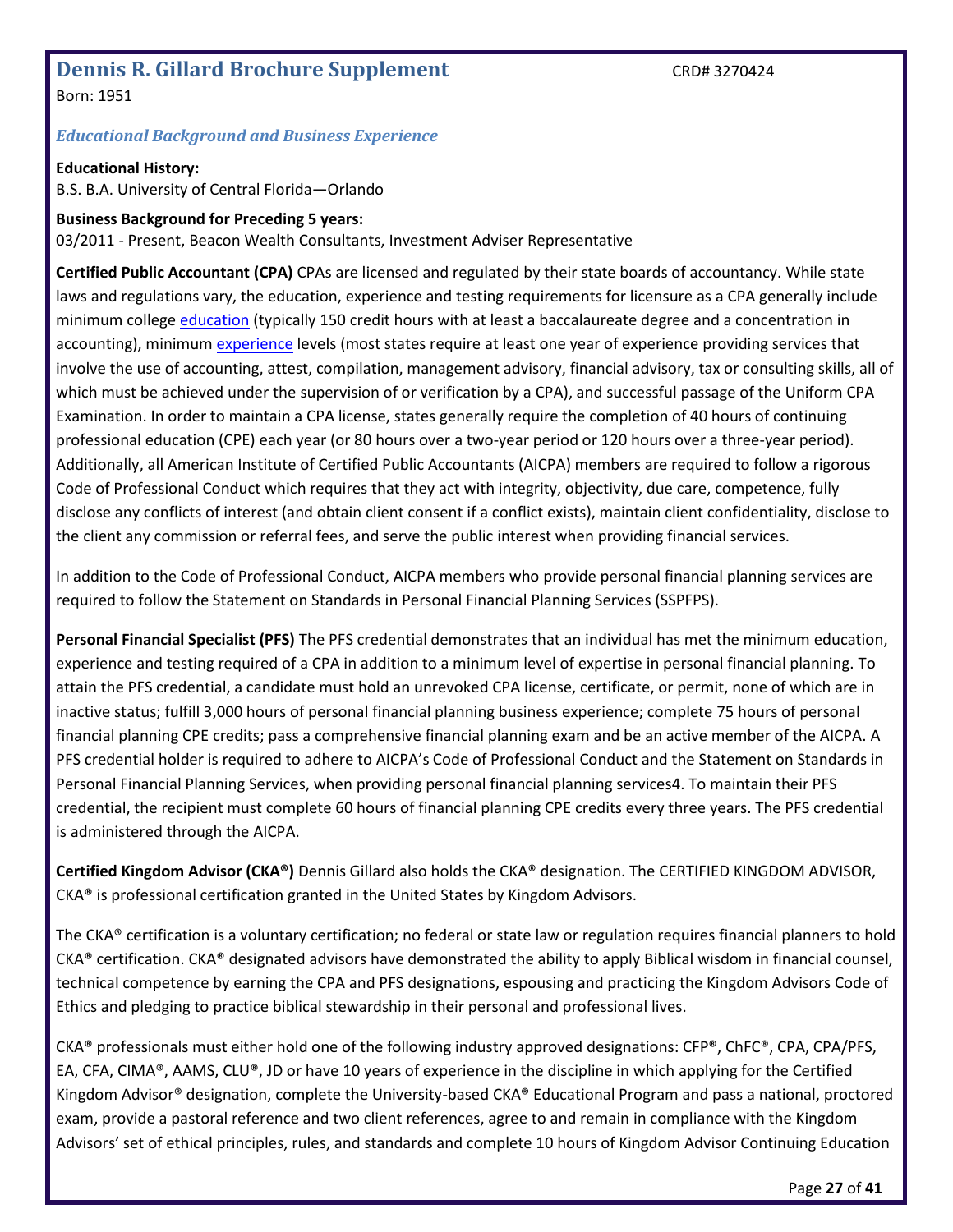## <span id="page-26-0"></span>**Dennis R. Gillard Brochure Supplement** CRD# 3270424

Born: 1951

#### *Educational Background and Business Experience*

**Educational History:** B.S. B.A. University of Central Florida—Orlando

## **Business Background for Preceding 5 years:**

03/2011 - Present, Beacon Wealth Consultants, Investment Adviser Representative

**Certified Public Accountant (CPA)** CPAs are licensed and regulated by their state boards of accountancy. While state laws and regulations vary, the education, experience and testing requirements for licensure as a CPA generally include minimum colleg[e education](http://www.aicpa.org/Advocacy/State/Pages/150-HourEducationRequirement.aspx) (typically 150 credit hours with at least a baccalaureate degree and a concentration in accounting), minimum [experience](http://www.aicpa.org/Advocacy/State/Pages/ExperienceRequirement.aspx) levels (most states require at least one year of experience providing services that involve the use of accounting, attest, compilation, management advisory, financial advisory, tax or consulting skills, all of which must be achieved under the supervision of or verification by a CPA), and successful passage of the Uniform CPA Examination. In order to maintain a CPA license, states generally require the completion of 40 hours of continuing professional education (CPE) each year (or 80 hours over a two-year period or 120 hours over a three-year period). Additionally, all American Institute of Certified Public Accountants (AICPA) members are required to follow a rigorous Code of Professional Conduct which requires that they act with integrity, objectivity, due care, competence, fully disclose any conflicts of interest (and obtain client consent if a conflict exists), maintain client confidentiality, disclose to the client any commission or referral fees, and serve the public interest when providing financial services.

In addition to the Code of Professional Conduct, AICPA members who provide personal financial planning services are required to follow the Statement on Standards in Personal Financial Planning Services (SSPFPS).

**Personal Financial Specialist (PFS)** The PFS credential demonstrates that an individual has met the minimum education, experience and testing required of a CPA in addition to a minimum level of expertise in personal financial planning. To attain the PFS credential, a candidate must hold an unrevoked CPA license, certificate, or permit, none of which are in inactive status; fulfill 3,000 hours of personal financial planning business experience; complete 75 hours of personal financial planning CPE credits; pass a comprehensive financial planning exam and be an active member of the AICPA. A PFS credential holder is required to adhere to AICPA's Code of Professional Conduct and the Statement on Standards in Personal Financial Planning Services, when providing personal financial planning services4. To maintain their PFS credential, the recipient must complete 60 hours of financial planning CPE credits every three years. The PFS credential is administered through the AICPA.

**Certified Kingdom Advisor (CKA®)** Dennis Gillard also holds the CKA® designation. The CERTIFIED KINGDOM ADVISOR, CKA® is professional certification granted in the United States by Kingdom Advisors.

The CKA® certification is a voluntary certification; no federal or state law or regulation requires financial planners to hold  $CKA<sup>®</sup>$  certification. CKA<sup>®</sup> designated advisors have demonstrated the ability to apply Biblical wisdom in financial counsel, technical competence by earning the CPA and PFS designations, espousing and practicing the Kingdom Advisors Code of Ethics and pledging to practice biblical stewardship in their personal and professional lives.

CKA® professionals must either hold one of the following industry approved designations: CFP®, ChFC®, CPA, CPA/PFS, EA, CFA, CIMA®, AAMS, CLU®, JD or have 10 years of experience in the discipline in which applying for the Certified Kingdom Advisor® designation, complete the University-based CKA® Educational Program and pass a national, proctored exam, provide a pastoral reference and two client references, agree to and remain in compliance with the Kingdom Advisors' set of ethical principles, rules, and standards and complete 10 hours of Kingdom Advisor Continuing Education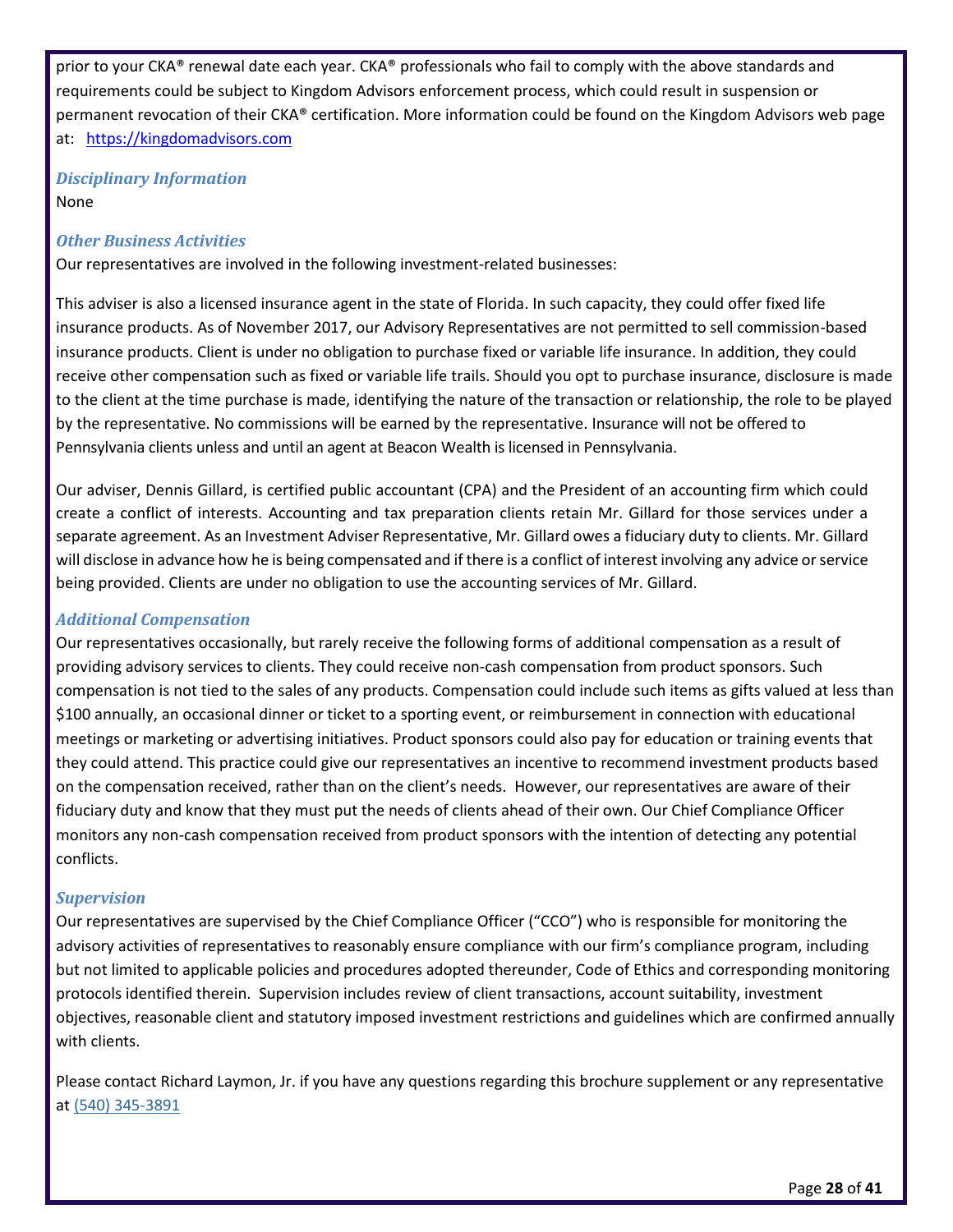prior to your CKA® renewal date each year. CKA® professionals who fail to comply with the above standards and requirements could be subject to Kingdom Advisors enforcement process, which could result in suspension or permanent revocation of their CKA® certification. More information could be found on the Kingdom Advisors web page at: [https://kingdomadvisors.com](https://kingdomadvisors.com/)

*Disciplinary Information* None

#### *Other Business Activities*

Our representatives are involved in the following investment-related businesses:

This adviser is also a licensed insurance agent in the state of Florida. In such capacity, they could offer fixed life insurance products. As of November 2017, our Advisory Representatives are not permitted to sell commission-based insurance products. Client is under no obligation to purchase fixed or variable life insurance. In addition, they could receive other compensation such as fixed or variable life trails. Should you opt to purchase insurance, disclosure is made to the client at the time purchase is made, identifying the nature of the transaction or relationship, the role to be played by the representative. No commissions will be earned by the representative. Insurance will not be offered to Pennsylvania clients unless and until an agent at Beacon Wealth is licensed in Pennsylvania.

Our adviser, Dennis Gillard, is certified public accountant (CPA) and the President of an accounting firm which could create a conflict of interests. Accounting and tax preparation clients retain Mr. Gillard for those services under a separate agreement. As an Investment Adviser Representative, Mr. Gillard owes a fiduciary duty to clients. Mr. Gillard will disclose in advance how he is being compensated and if there is a conflict of interest involving any advice or service being provided. Clients are under no obligation to use the accounting services of Mr. Gillard.

#### *Additional Compensation*

Our representatives occasionally, but rarely receive the following forms of additional compensation as a result of providing advisory services to clients. They could receive non-cash compensation from product sponsors. Such compensation is not tied to the sales of any products. Compensation could include such items as gifts valued at less than \$100 annually, an occasional dinner or ticket to a sporting event, or reimbursement in connection with educational meetings or marketing or advertising initiatives. Product sponsors could also pay for education or training events that they could attend. This practice could give our representatives an incentive to recommend investment products based on the compensation received, rather than on the client's needs. However, our representatives are aware of their fiduciary duty and know that they must put the needs of clients ahead of their own. Our Chief Compliance Officer monitors any non-cash compensation received from product sponsors with the intention of detecting any potential conflicts.

#### *Supervision*

Our representatives are supervised by the Chief Compliance Officer ("CCO") who is responsible for monitoring the advisory activities of representatives to reasonably ensure compliance with our firm's compliance program, including but not limited to applicable policies and procedures adopted thereunder, Code of Ethics and corresponding monitoring protocols identified therein. Supervision includes review of client transactions, account suitability, investment objectives, reasonable client and statutory imposed investment restrictions and guidelines which are confirmed annually with clients.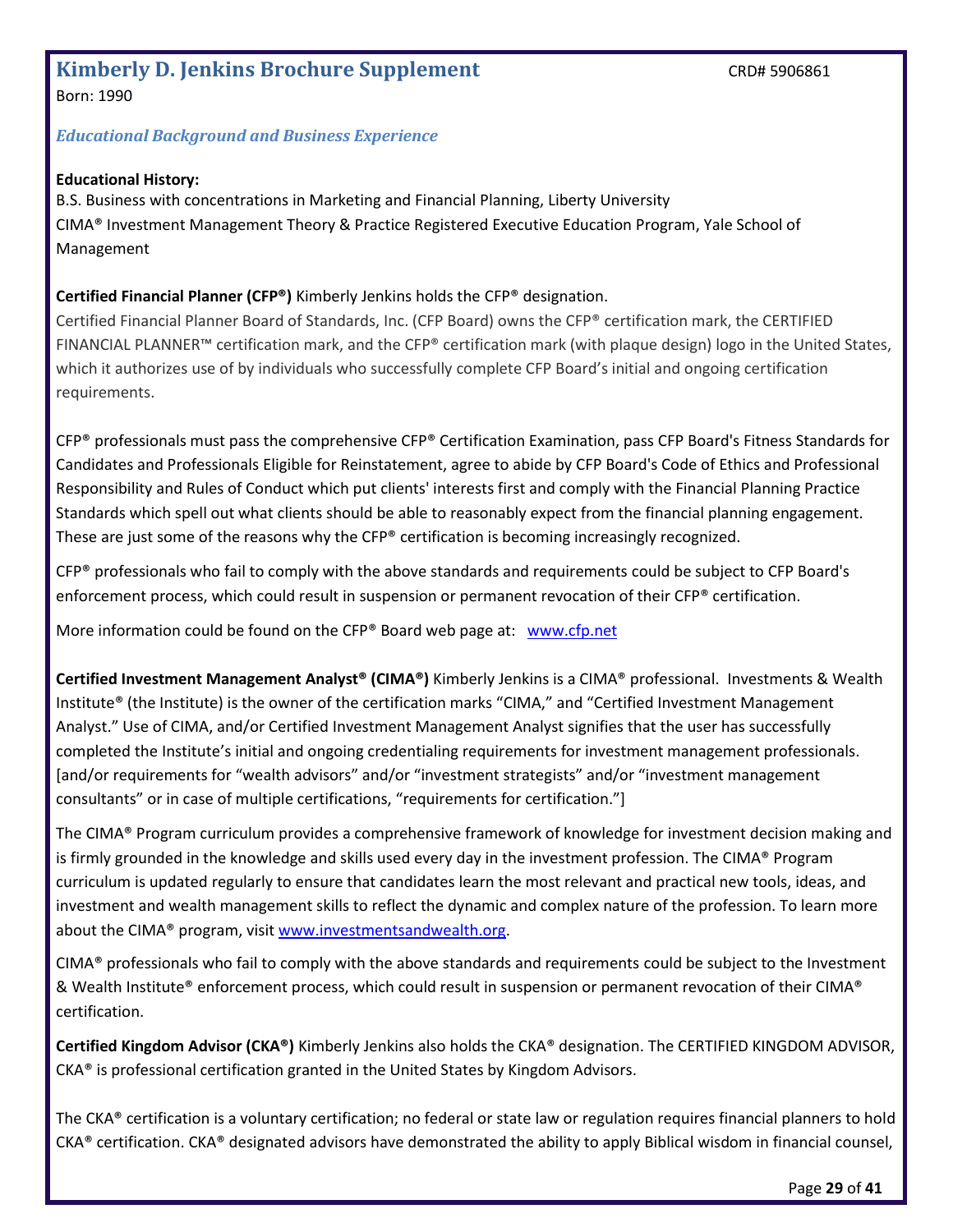# <span id="page-28-0"></span>**Kimberly D. Jenkins Brochure Supplement** CRD# 5906861

Born: 1990

#### *Educational Background and Business Experience*

#### **Educational History:**

B.S. Business with concentrations in Marketing and Financial Planning, Liberty University CIMA® Investment Management Theory & Practice Registered Executive Education Program, Yale School of Management

#### **Certified Financial Planner (CFP®)** Kimberly Jenkins holds the CFP® designation.

Certified Financial Planner Board of Standards, Inc. (CFP Board) owns the CFP® certification mark, the CERTIFIED FINANCIAL PLANNER™ certification mark, and the CFP® certification mark (with plaque design) logo in the United States, which it authorizes use of by individuals who successfully complete CFP Board's initial and ongoing certification requirements.

CFP® professionals must pass the comprehensive CFP® Certification Examination, pass CFP Board's Fitness Standards for Candidates and Professionals Eligible for Reinstatement, agree to abide by CFP Board's Code of Ethics and Professional Responsibility and Rules of Conduct which put clients' interests first and comply with the Financial Planning Practice Standards which spell out what clients should be able to reasonably expect from the financial planning engagement. These are just some of the reasons why the CFP® certification is becoming increasingly recognized.

CFP<sup>®</sup> professionals who fail to comply with the above standards and requirements could be subject to CFP Board's enforcement process, which could result in suspension or permanent revocation of their CFP® certification.

More information could be found on the CFP® Board web page at: [www.cfp.net](http://www.cfp.net/)

**Certified Investment Management Analyst® (CIMA®)** Kimberly Jenkins is a CIMA® professional. Investments & Wealth Institute® (the Institute) is the owner of the certification marks "CIMA," and "Certified Investment Management Analyst." Use of CIMA, and/or Certified Investment Management Analyst signifies that the user has successfully completed the Institute's initial and ongoing credentialing requirements for investment management professionals. [and/or requirements for "wealth advisors" and/or "investment strategists" and/or "investment management consultants" or in case of multiple certifications, "requirements for certification."]

The CIMA® Program curriculum provides a comprehensive framework of knowledge for investment decision making and is firmly grounded in the knowledge and skills used every day in the investment profession. The CIMA® Program curriculum is updated regularly to ensure that candidates learn the most relevant and practical new tools, ideas, and investment and wealth management skills to reflect the dynamic and complex nature of the profession. To learn more about the CIMA® program, visit [www.investmentsandwealth.org.](file:///C:/Users/toddd/Documents/Beacon%20Wealth%20Files/ADV/www.investmentsandwealth.org)

CIMA® professionals who fail to comply with the above standards and requirements could be subject to the Investment & Wealth Institute® enforcement process, which could result in suspension or permanent revocation of their CIMA® certification.

**Certified Kingdom Advisor (CKA®)** Kimberly Jenkins also holds the CKA® designation. The CERTIFIED KINGDOM ADVISOR, CKA® is professional certification granted in the United States by Kingdom Advisors.

The CKA® certification is a voluntary certification; no federal or state law or regulation requires financial planners to hold  $CKA<sup>®</sup>$  certification. CKA<sup>®</sup> designated advisors have demonstrated the ability to apply Biblical wisdom in financial counsel,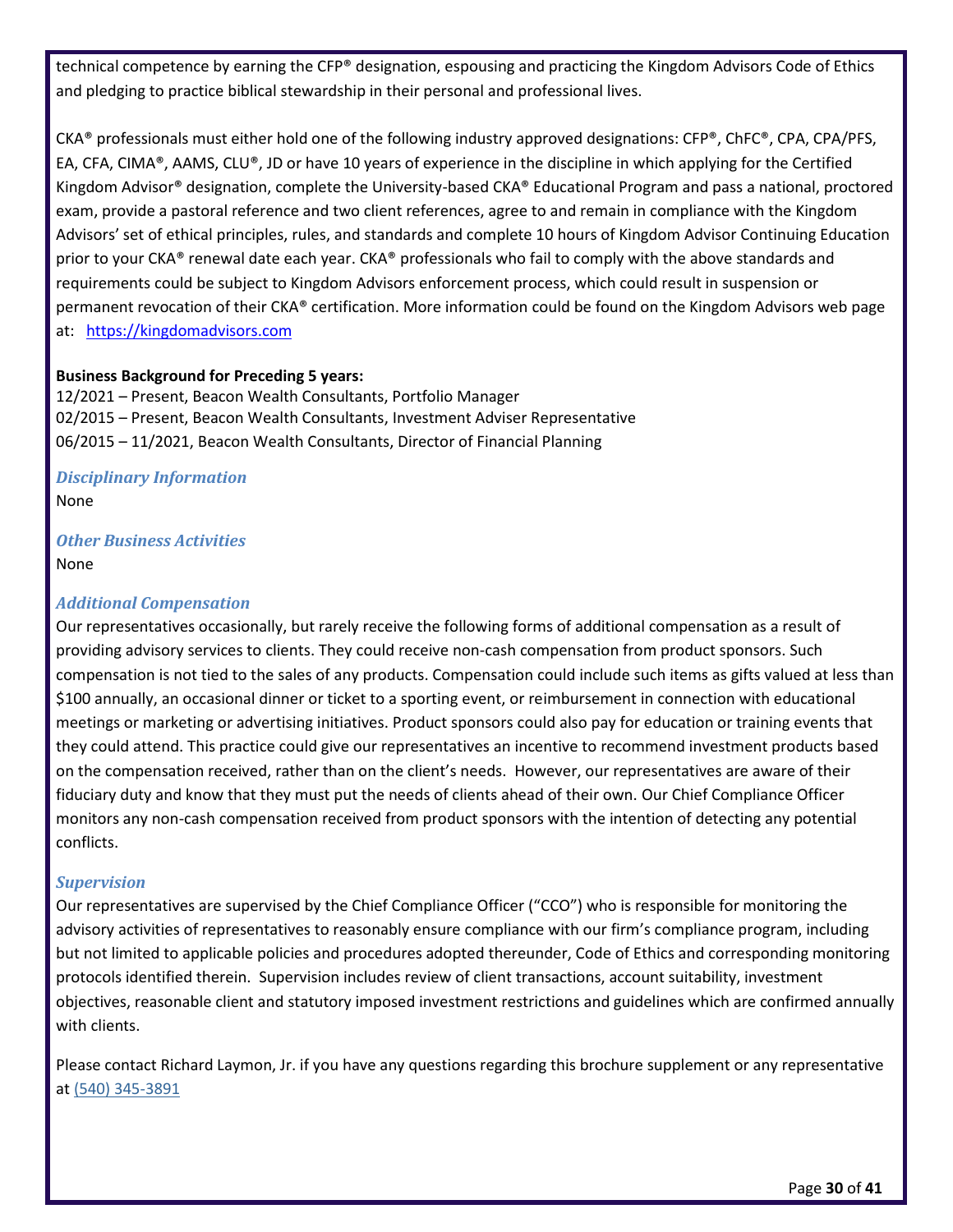technical competence by earning the CFP® designation, espousing and practicing the Kingdom Advisors Code of Ethics and pledging to practice biblical stewardship in their personal and professional lives.

CKA® professionals must either hold one of the following industry approved designations: CFP®, ChFC®, CPA, CPA/PFS, EA, CFA, CIMA®, AAMS, CLU®, JD or have 10 years of experience in the discipline in which applying for the Certified Kingdom Advisor® designation, complete the University-based CKA® Educational Program and pass a national, proctored exam, provide a pastoral reference and two client references, agree to and remain in compliance with the Kingdom Advisors' set of ethical principles, rules, and standards and complete 10 hours of Kingdom Advisor Continuing Education prior to your CKA® renewal date each year. CKA® professionals who fail to comply with the above standards and requirements could be subject to Kingdom Advisors enforcement process, which could result in suspension or permanent revocation of their CKA® certification. More information could be found on the Kingdom Advisors web page at: [https://kingdomadvisors.com](https://kingdomadvisors.com/)

#### **Business Background for Preceding 5 years:**

12/2021 – Present, Beacon Wealth Consultants, Portfolio Manager 02/2015 – Present, Beacon Wealth Consultants, Investment Adviser Representative 06/2015 – 11/2021, Beacon Wealth Consultants, Director of Financial Planning

*Disciplinary Information* None

## *Other Business Activities*

None

#### *Additional Compensation*

Our representatives occasionally, but rarely receive the following forms of additional compensation as a result of providing advisory services to clients. They could receive non-cash compensation from product sponsors. Such compensation is not tied to the sales of any products. Compensation could include such items as gifts valued at less than \$100 annually, an occasional dinner or ticket to a sporting event, or reimbursement in connection with educational meetings or marketing or advertising initiatives. Product sponsors could also pay for education or training events that they could attend. This practice could give our representatives an incentive to recommend investment products based on the compensation received, rather than on the client's needs. However, our representatives are aware of their fiduciary duty and know that they must put the needs of clients ahead of their own. Our Chief Compliance Officer monitors any non-cash compensation received from product sponsors with the intention of detecting any potential conflicts.

#### *Supervision*

Our representatives are supervised by the Chief Compliance Officer ("CCO") who is responsible for monitoring the advisory activities of representatives to reasonably ensure compliance with our firm's compliance program, including but not limited to applicable policies and procedures adopted thereunder, Code of Ethics and corresponding monitoring protocols identified therein. Supervision includes review of client transactions, account suitability, investment objectives, reasonable client and statutory imposed investment restrictions and guidelines which are confirmed annually with clients.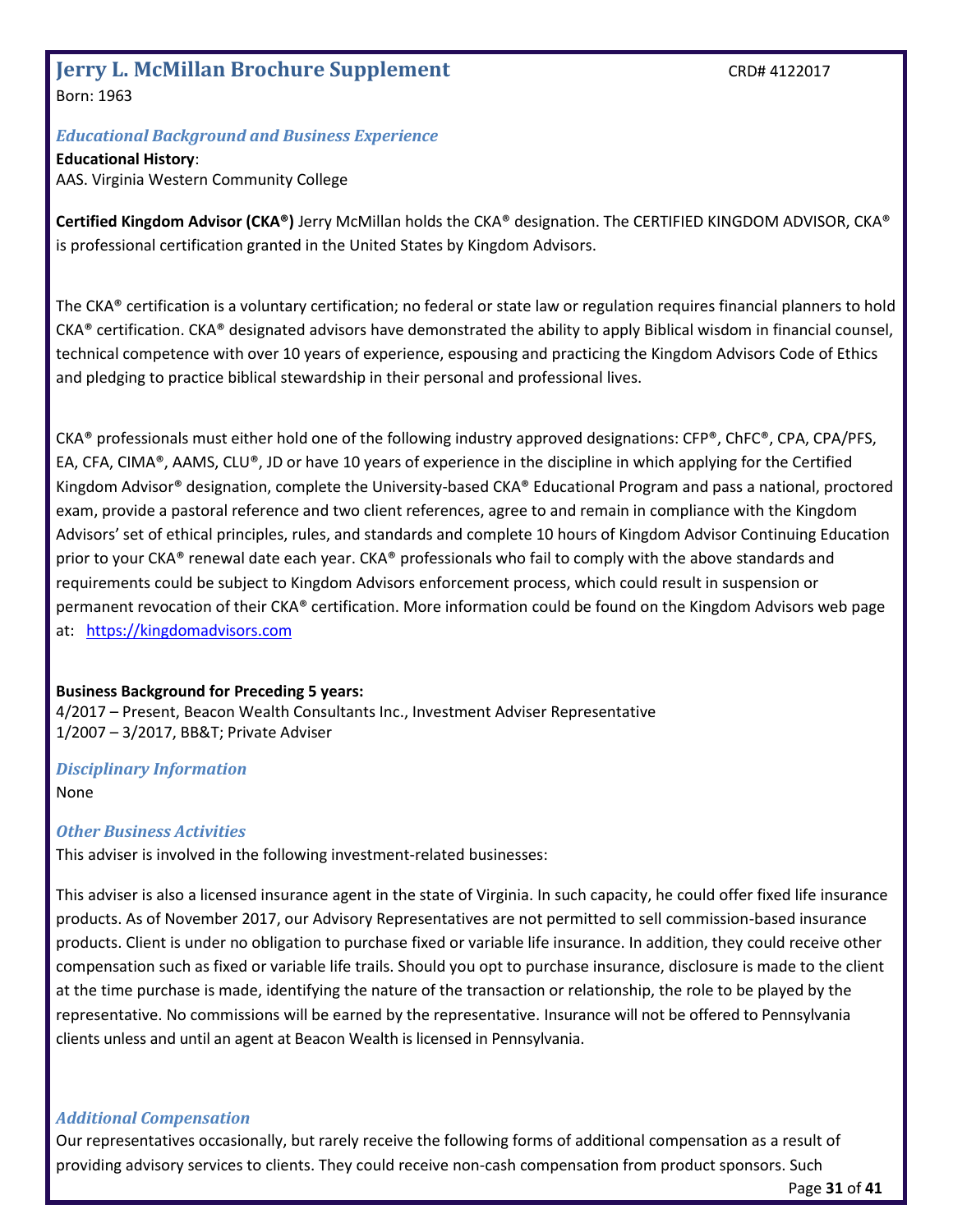## <span id="page-30-0"></span>**Jerry L. McMillan Brochure Supplement** CRD# 4122017

Born: 1963

#### *Educational Background and Business Experience*

**Educational History**: AAS. Virginia Western Community College

**Certified Kingdom Advisor (CKA®)** Jerry McMillan holds the CKA® designation. The CERTIFIED KINGDOM ADVISOR, CKA® is professional certification granted in the United States by Kingdom Advisors.

The CKA® certification is a voluntary certification; no federal or state law or regulation requires financial planners to hold  $CKA<sup>®</sup>$  certification. CKA<sup>®</sup> designated advisors have demonstrated the ability to apply Biblical wisdom in financial counsel, technical competence with over 10 years of experience, espousing and practicing the Kingdom Advisors Code of Ethics and pledging to practice biblical stewardship in their personal and professional lives.

CKA® professionals must either hold one of the following industry approved designations: CFP®, ChFC®, CPA, CPA/PFS, EA, CFA, CIMA®, AAMS, CLU®, JD or have 10 years of experience in the discipline in which applying for the Certified Kingdom Advisor® designation, complete the University-based CKA® Educational Program and pass a national, proctored exam, provide a pastoral reference and two client references, agree to and remain in compliance with the Kingdom Advisors' set of ethical principles, rules, and standards and complete 10 hours of Kingdom Advisor Continuing Education prior to your CKA® renewal date each year. CKA® professionals who fail to comply with the above standards and requirements could be subject to Kingdom Advisors enforcement process, which could result in suspension or permanent revocation of their CKA® certification. More information could be found on the Kingdom Advisors web page at: [https://kingdomadvisors.com](https://kingdomadvisors.com/)

#### **Business Background for Preceding 5 years:**

4/2017 – Present, Beacon Wealth Consultants Inc., Investment Adviser Representative 1/2007 – 3/2017, BB&T; Private Adviser

*Disciplinary Information* None

#### *Other Business Activities*

This adviser is involved in the following investment-related businesses:

This adviser is also a licensed insurance agent in the state of Virginia. In such capacity, he could offer fixed life insurance products. As of November 2017, our Advisory Representatives are not permitted to sell commission-based insurance products. Client is under no obligation to purchase fixed or variable life insurance. In addition, they could receive other compensation such as fixed or variable life trails. Should you opt to purchase insurance, disclosure is made to the client at the time purchase is made, identifying the nature of the transaction or relationship, the role to be played by the representative. No commissions will be earned by the representative. Insurance will not be offered to Pennsylvania clients unless and until an agent at Beacon Wealth is licensed in Pennsylvania.

#### *Additional Compensation*

Our representatives occasionally, but rarely receive the following forms of additional compensation as a result of providing advisory services to clients. They could receive non-cash compensation from product sponsors. Such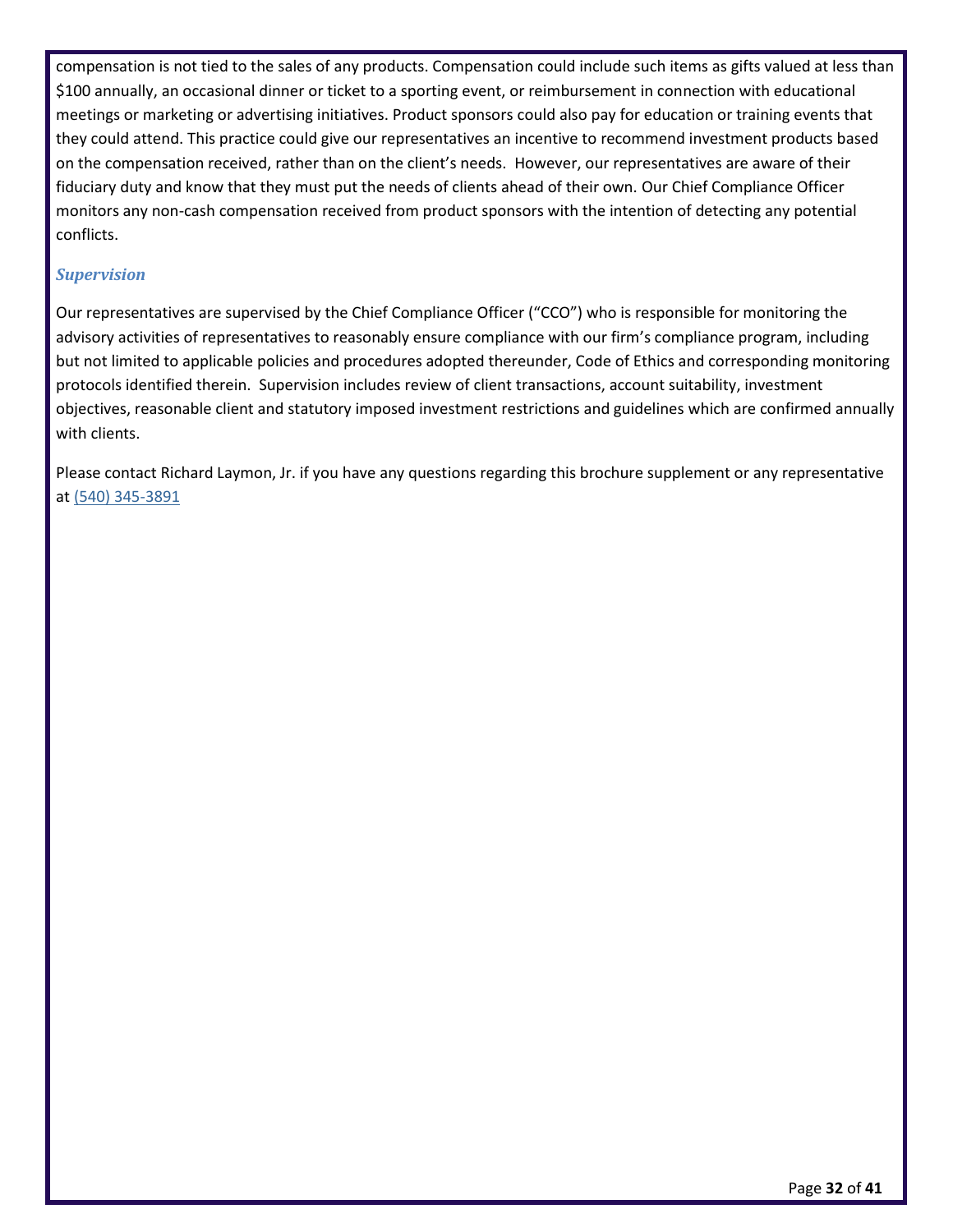compensation is not tied to the sales of any products. Compensation could include such items as gifts valued at less than \$100 annually, an occasional dinner or ticket to a sporting event, or reimbursement in connection with educational meetings or marketing or advertising initiatives. Product sponsors could also pay for education or training events that they could attend. This practice could give our representatives an incentive to recommend investment products based on the compensation received, rather than on the client's needs. However, our representatives are aware of their fiduciary duty and know that they must put the needs of clients ahead of their own. Our Chief Compliance Officer monitors any non-cash compensation received from product sponsors with the intention of detecting any potential conflicts.

#### *Supervision*

Our representatives are supervised by the Chief Compliance Officer ("CCO") who is responsible for monitoring the advisory activities of representatives to reasonably ensure compliance with our firm's compliance program, including but not limited to applicable policies and procedures adopted thereunder, Code of Ethics and corresponding monitoring protocols identified therein. Supervision includes review of client transactions, account suitability, investment objectives, reasonable client and statutory imposed investment restrictions and guidelines which are confirmed annually with clients.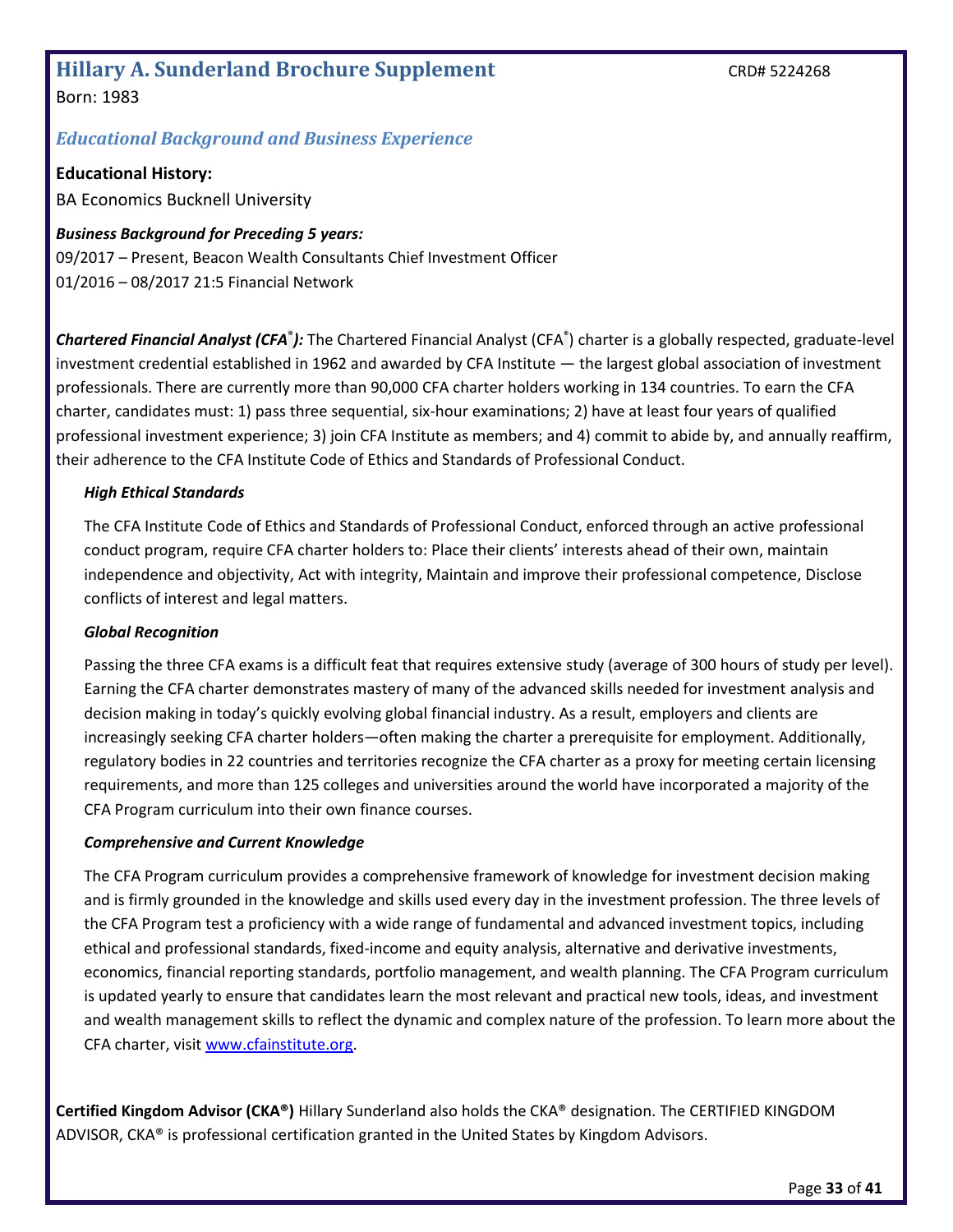### <span id="page-32-0"></span>**Hillary A. Sunderland Brochure Supplement** CRD# 5224268 Born: 1983

## *Educational Background and Business Experience*

**Educational History:** 

BA Economics Bucknell University

*Business Background for Preceding 5 years:* 09/2017 – Present, Beacon Wealth Consultants Chief Investment Officer 01/2016 – 08/2017 21:5 Financial Network

Chartered Financial Analyst (CFA<sup>®</sup>): The Chartered Financial Analyst (CFA<sup>®</sup>) charter is a globally respected, graduate-level investment credential established in 1962 and awarded by CFA Institute — the largest global association of investment professionals. There are currently more than 90,000 CFA charter holders working in 134 countries. To earn the CFA charter, candidates must: 1) pass three sequential, six-hour examinations; 2) have at least four years of qualified professional investment experience; 3) join CFA Institute as members; and 4) commit to abide by, and annually reaffirm, their adherence to the CFA Institute Code of Ethics and Standards of Professional Conduct.

#### *High Ethical Standards*

The CFA Institute Code of Ethics and Standards of Professional Conduct, enforced through an active professional conduct program, require CFA charter holders to: Place their clients' interests ahead of their own, maintain independence and objectivity, Act with integrity, Maintain and improve their professional competence, Disclose conflicts of interest and legal matters.

#### *Global Recognition*

Passing the three CFA exams is a difficult feat that requires extensive study (average of 300 hours of study per level). Earning the CFA charter demonstrates mastery of many of the advanced skills needed for investment analysis and decision making in today's quickly evolving global financial industry. As a result, employers and clients are increasingly seeking CFA charter holders—often making the charter a prerequisite for employment. Additionally, regulatory bodies in 22 countries and territories recognize the CFA charter as a proxy for meeting certain licensing requirements, and more than 125 colleges and universities around the world have incorporated a majority of the CFA Program curriculum into their own finance courses.

#### *Comprehensive and Current Knowledge*

The CFA Program curriculum provides a comprehensive framework of knowledge for investment decision making and is firmly grounded in the knowledge and skills used every day in the investment profession. The three levels of the CFA Program test a proficiency with a wide range of fundamental and advanced investment topics, including ethical and professional standards, fixed-income and equity analysis, alternative and derivative investments, economics, financial reporting standards, portfolio management, and wealth planning. The CFA Program curriculum is updated yearly to ensure that candidates learn the most relevant and practical new tools, ideas, and investment and wealth management skills to reflect the dynamic and complex nature of the profession. To learn more about the CFA charter, visit [www.cfainstitute.org.](http://www.cfainstitute.org/)

**Certified Kingdom Advisor (CKA®)** Hillary Sunderland also holds the CKA® designation. The CERTIFIED KINGDOM ADVISOR, CKA® is professional certification granted in the United States by Kingdom Advisors.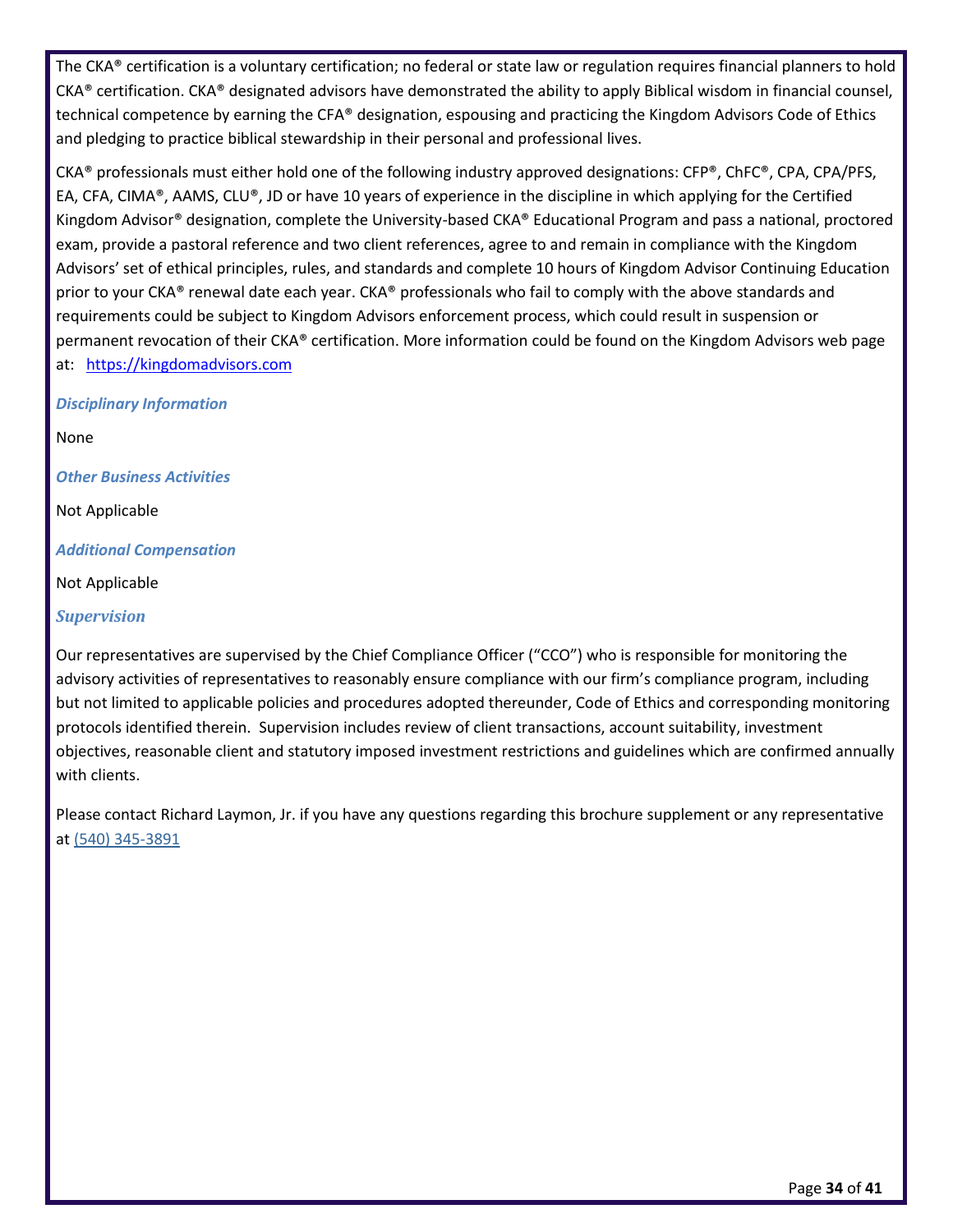The CKA® certification is a voluntary certification; no federal or state law or regulation requires financial planners to hold  $CKA<sup>®</sup>$  certification. CKA<sup>®</sup> designated advisors have demonstrated the ability to apply Biblical wisdom in financial counsel, technical competence by earning the CFA® designation, espousing and practicing the Kingdom Advisors Code of Ethics and pledging to practice biblical stewardship in their personal and professional lives.

CKA® professionals must either hold one of the following industry approved designations: CFP®, ChFC®, CPA, CPA/PFS, EA, CFA, CIMA®, AAMS, CLU®, JD or have 10 years of experience in the discipline in which applying for the Certified Kingdom Advisor® designation, complete the University-based CKA® Educational Program and pass a national, proctored exam, provide a pastoral reference and two client references, agree to and remain in compliance with the Kingdom Advisors' set of ethical principles, rules, and standards and complete 10 hours of Kingdom Advisor Continuing Education prior to your CKA® renewal date each year. CKA® professionals who fail to comply with the above standards and requirements could be subject to Kingdom Advisors enforcement process, which could result in suspension or permanent revocation of their CKA® certification. More information could be found on the Kingdom Advisors web page at: [https://kingdomadvisors.com](https://kingdomadvisors.com/)

#### *Disciplinary Information*

None

*Other Business Activities*

Not Applicable

*Additional Compensation*

Not Applicable

*Supervision*

Our representatives are supervised by the Chief Compliance Officer ("CCO") who is responsible for monitoring the advisory activities of representatives to reasonably ensure compliance with our firm's compliance program, including but not limited to applicable policies and procedures adopted thereunder, Code of Ethics and corresponding monitoring protocols identified therein. Supervision includes review of client transactions, account suitability, investment objectives, reasonable client and statutory imposed investment restrictions and guidelines which are confirmed annually with clients.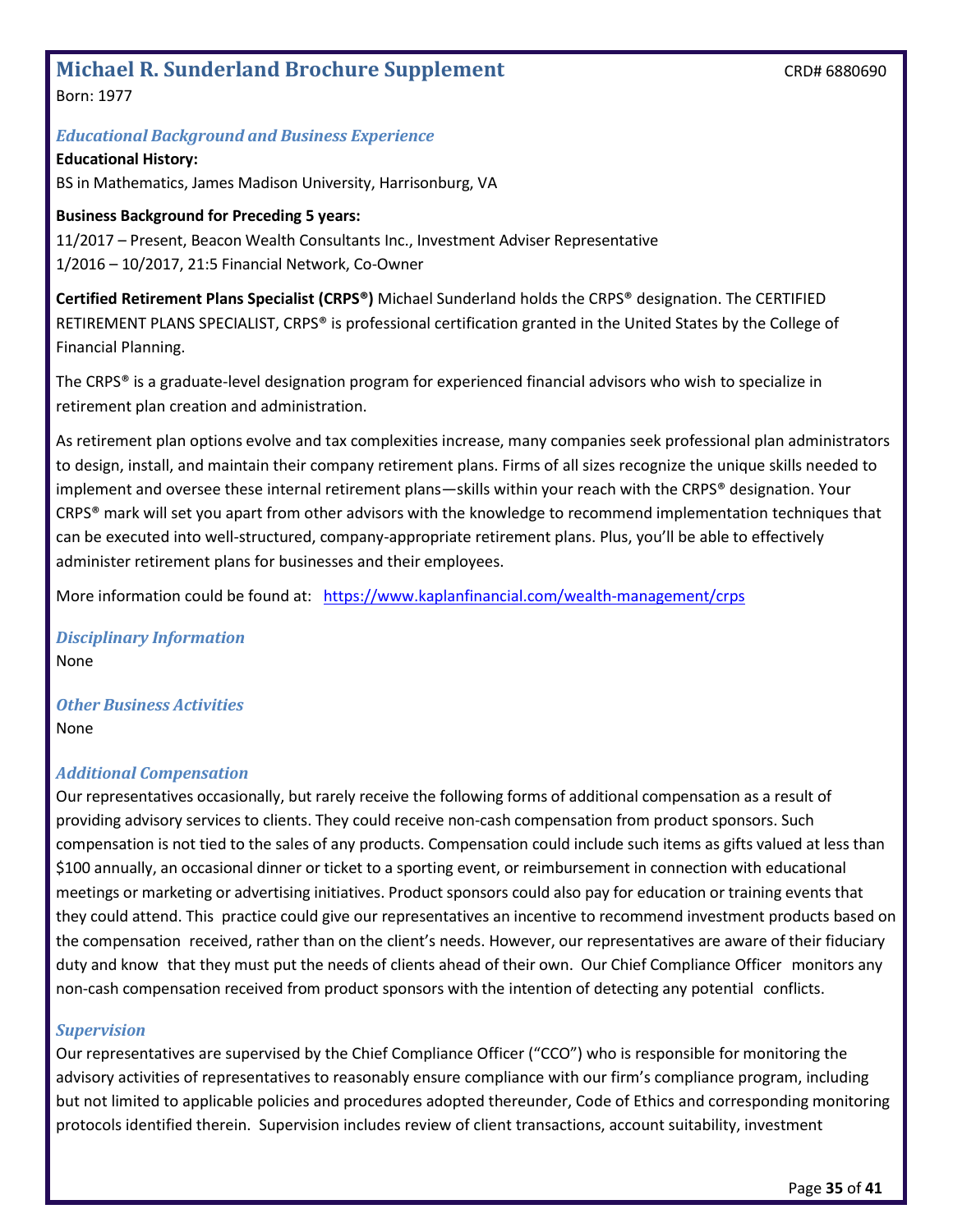## <span id="page-34-0"></span>**Michael R. Sunderland Brochure Supplement** CRD# 6880690

Born: 1977

#### *Educational Background and Business Experience*

**Educational History:** BS in Mathematics, James Madison University, Harrisonburg, VA

#### **Business Background for Preceding 5 years:**

11/2017 – Present, Beacon Wealth Consultants Inc., Investment Adviser Representative 1/2016 – 10/2017, 21:5 Financial Network, Co-Owner

**Certified Retirement Plans Specialist (CRPS®)** Michael Sunderland holds the CRPS® designation. The CERTIFIED RETIREMENT PLANS SPECIALIST, CRPS® is professional certification granted in the United States by the College of Financial Planning.

The CRPS® is a graduate-level designation program for experienced financial advisors who wish to specialize in retirement plan creation and administration.

As retirement plan options evolve and tax complexities increase, many companies seek professional plan administrators to design, install, and maintain their company retirement plans. Firms of all sizes recognize the unique skills needed to implement and oversee these internal retirement plans—skills within your reach with the CRPS® designation. Your CRPS® mark will set you apart from other advisors with the knowledge to recommend implementation techniques that can be executed into well-structured, company-appropriate retirement plans. Plus, you'll be able to effectively administer retirement plans for businesses and their employees.

More information could be found at: <https://www.kaplanfinancial.com/wealth-management/crps>

*Disciplinary Information* None

*Other Business Activities* None

#### *Additional Compensation*

Our representatives occasionally, but rarely receive the following forms of additional compensation as a result of providing advisory services to clients. They could receive non-cash compensation from product sponsors. Such compensation is not tied to the sales of any products. Compensation could include such items as gifts valued at less than \$100 annually, an occasional dinner or ticket to a sporting event, or reimbursement in connection with educational meetings or marketing or advertising initiatives. Product sponsors could also pay for education or training events that they could attend. This practice could give our representatives an incentive to recommend investment products based on the compensation received, rather than on the client's needs. However, our representatives are aware of their fiduciary duty and know that they must put the needs of clients ahead of their own. Our Chief Compliance Officer monitors any non-cash compensation received from product sponsors with the intention of detecting any potential conflicts.

#### *Supervision*

Our representatives are supervised by the Chief Compliance Officer ("CCO") who is responsible for monitoring the advisory activities of representatives to reasonably ensure compliance with our firm's compliance program, including but not limited to applicable policies and procedures adopted thereunder, Code of Ethics and corresponding monitoring protocols identified therein. Supervision includes review of client transactions, account suitability, investment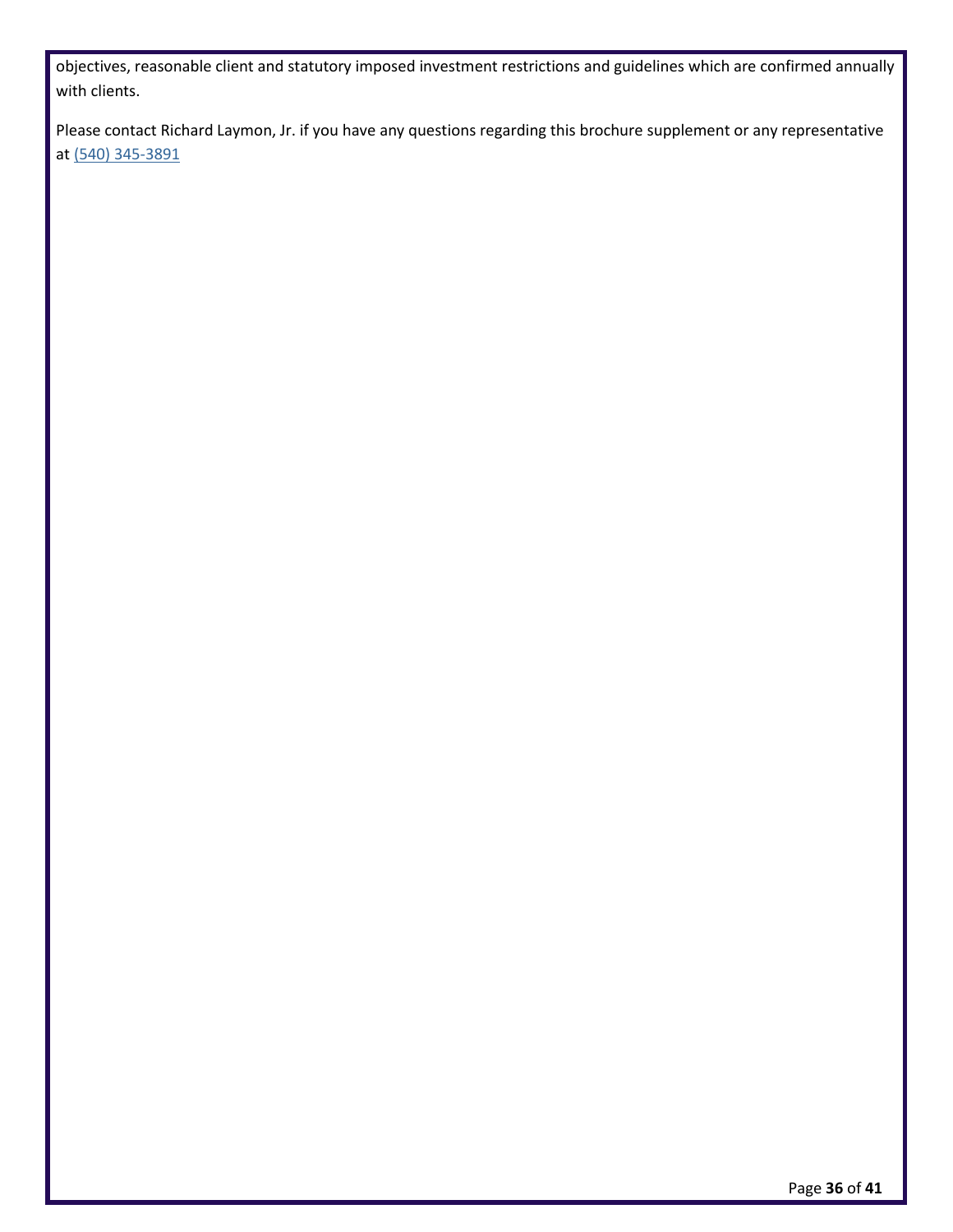objectives, reasonable client and statutory imposed investment restrictions and guidelines which are confirmed annually with clients.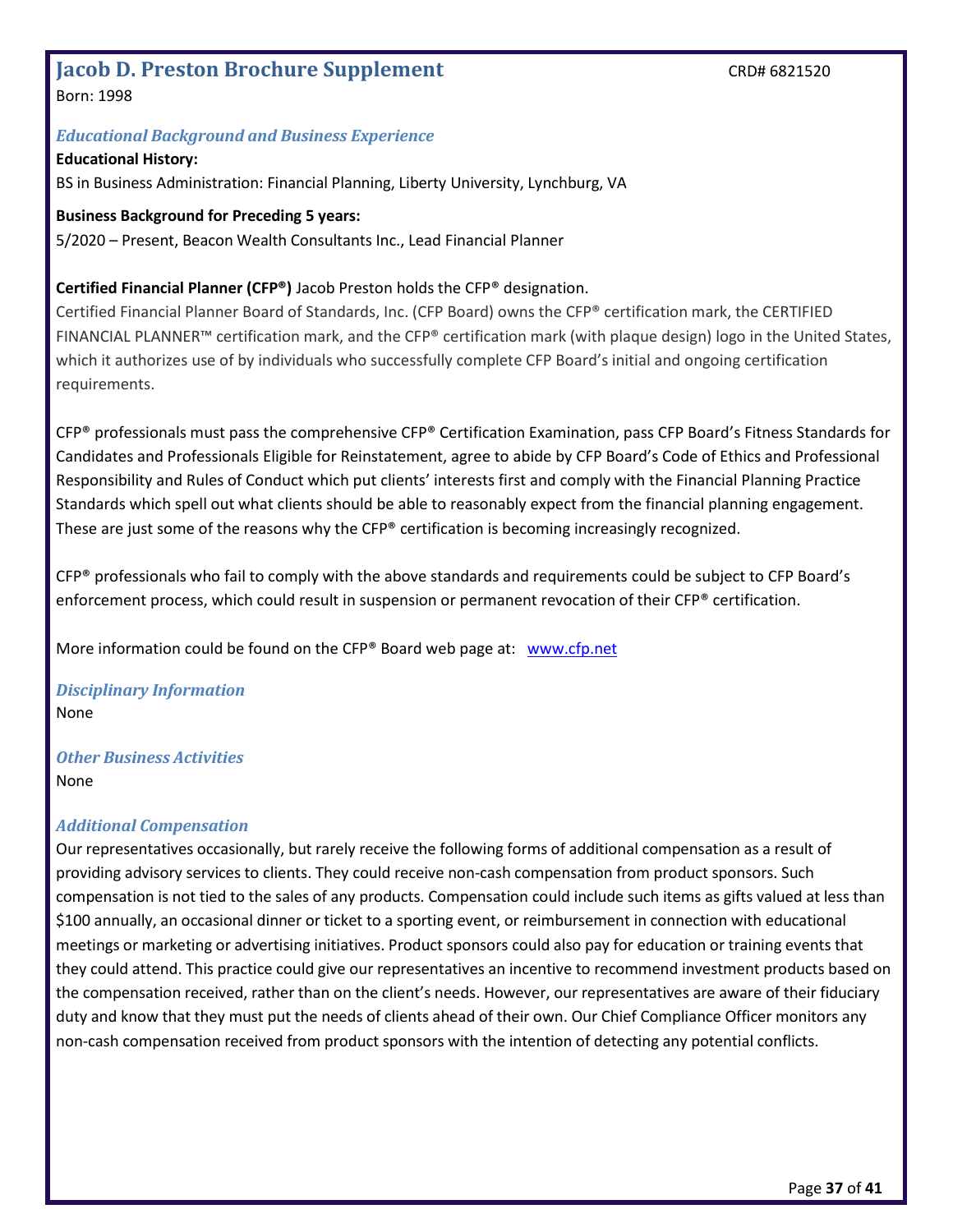## <span id="page-36-0"></span>**Jacob D. Preston Brochure Supplement** CRD# 6821520

Born: 1998

#### *Educational Background and Business Experience*

#### **Educational History:**

BS in Business Administration: Financial Planning, Liberty University, Lynchburg, VA

#### **Business Background for Preceding 5 years:**

5/2020 – Present, Beacon Wealth Consultants Inc., Lead Financial Planner

#### **Certified Financial Planner (CFP®)** Jacob Preston holds the CFP® designation.

Certified Financial Planner Board of Standards, Inc. (CFP Board) owns the CFP® certification mark, the CERTIFIED FINANCIAL PLANNER™ certification mark, and the CFP® certification mark (with plaque design) logo in the United States, which it authorizes use of by individuals who successfully complete CFP Board's initial and ongoing certification requirements.

CFP® professionals must pass the comprehensive CFP® Certification Examination, pass CFP Board's Fitness Standards for Candidates and Professionals Eligible for Reinstatement, agree to abide by CFP Board's Code of Ethics and Professional Responsibility and Rules of Conduct which put clients' interests first and comply with the Financial Planning Practice Standards which spell out what clients should be able to reasonably expect from the financial planning engagement. These are just some of the reasons why the CFP® certification is becoming increasingly recognized.

CFP® professionals who fail to comply with the above standards and requirements could be subject to CFP Board's enforcement process, which could result in suspension or permanent revocation of their CFP® certification.

More information could be found on the CFP® Board web page at: [www.cfp.net](http://www.cfp.net/)

*Disciplinary Information* None

*Other Business Activities* None

#### *Additional Compensation*

Our representatives occasionally, but rarely receive the following forms of additional compensation as a result of providing advisory services to clients. They could receive non-cash compensation from product sponsors. Such compensation is not tied to the sales of any products. Compensation could include such items as gifts valued at less than \$100 annually, an occasional dinner or ticket to a sporting event, or reimbursement in connection with educational meetings or marketing or advertising initiatives. Product sponsors could also pay for education or training events that they could attend. This practice could give our representatives an incentive to recommend investment products based on the compensation received, rather than on the client's needs. However, our representatives are aware of their fiduciary duty and know that they must put the needs of clients ahead of their own. Our Chief Compliance Officer monitors any non-cash compensation received from product sponsors with the intention of detecting any potential conflicts.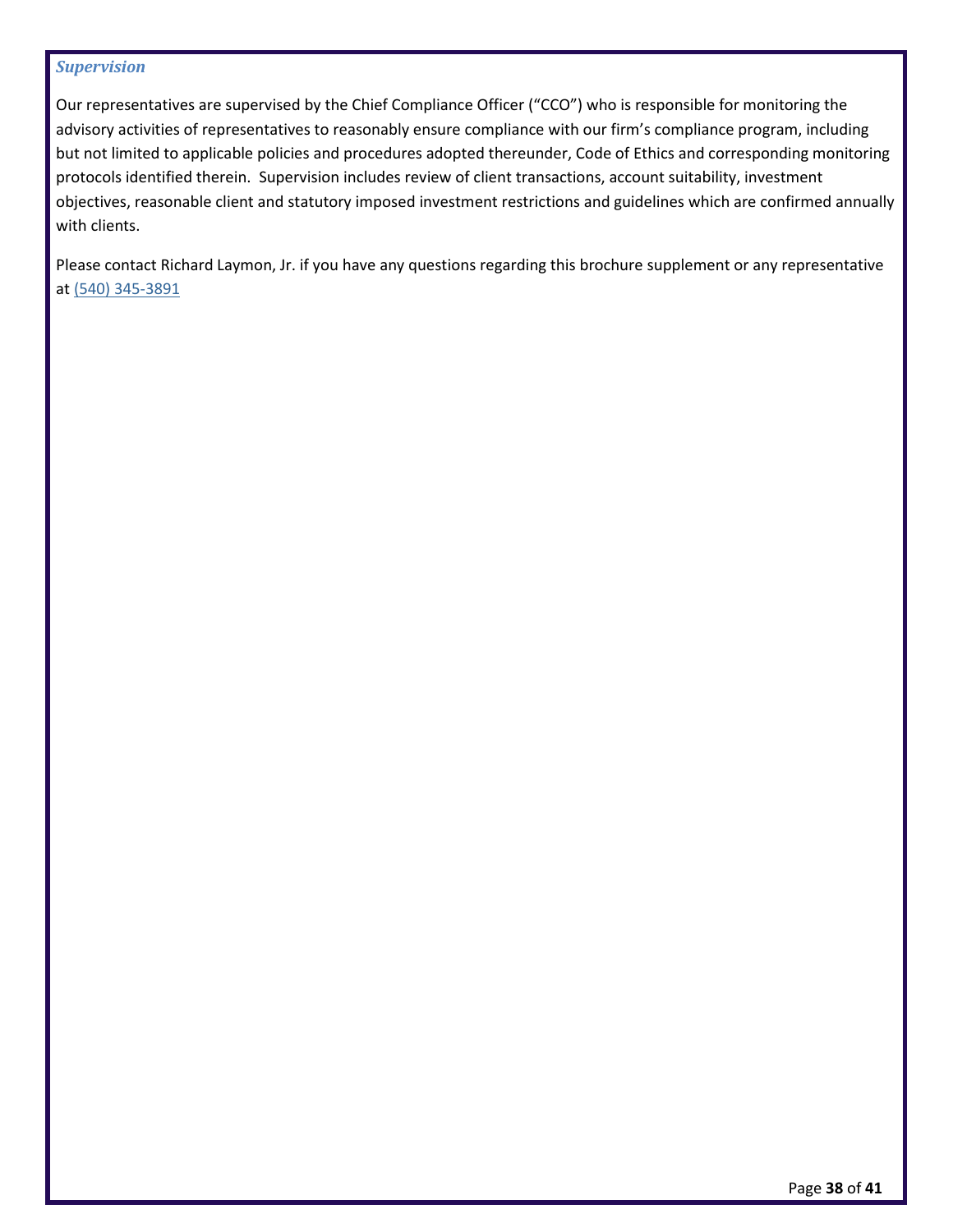#### *Supervision*

Our representatives are supervised by the Chief Compliance Officer ("CCO") who is responsible for monitoring the advisory activities of representatives to reasonably ensure compliance with our firm's compliance program, including but not limited to applicable policies and procedures adopted thereunder, Code of Ethics and corresponding monitoring protocols identified therein. Supervision includes review of client transactions, account suitability, investment objectives, reasonable client and statutory imposed investment restrictions and guidelines which are confirmed annually with clients.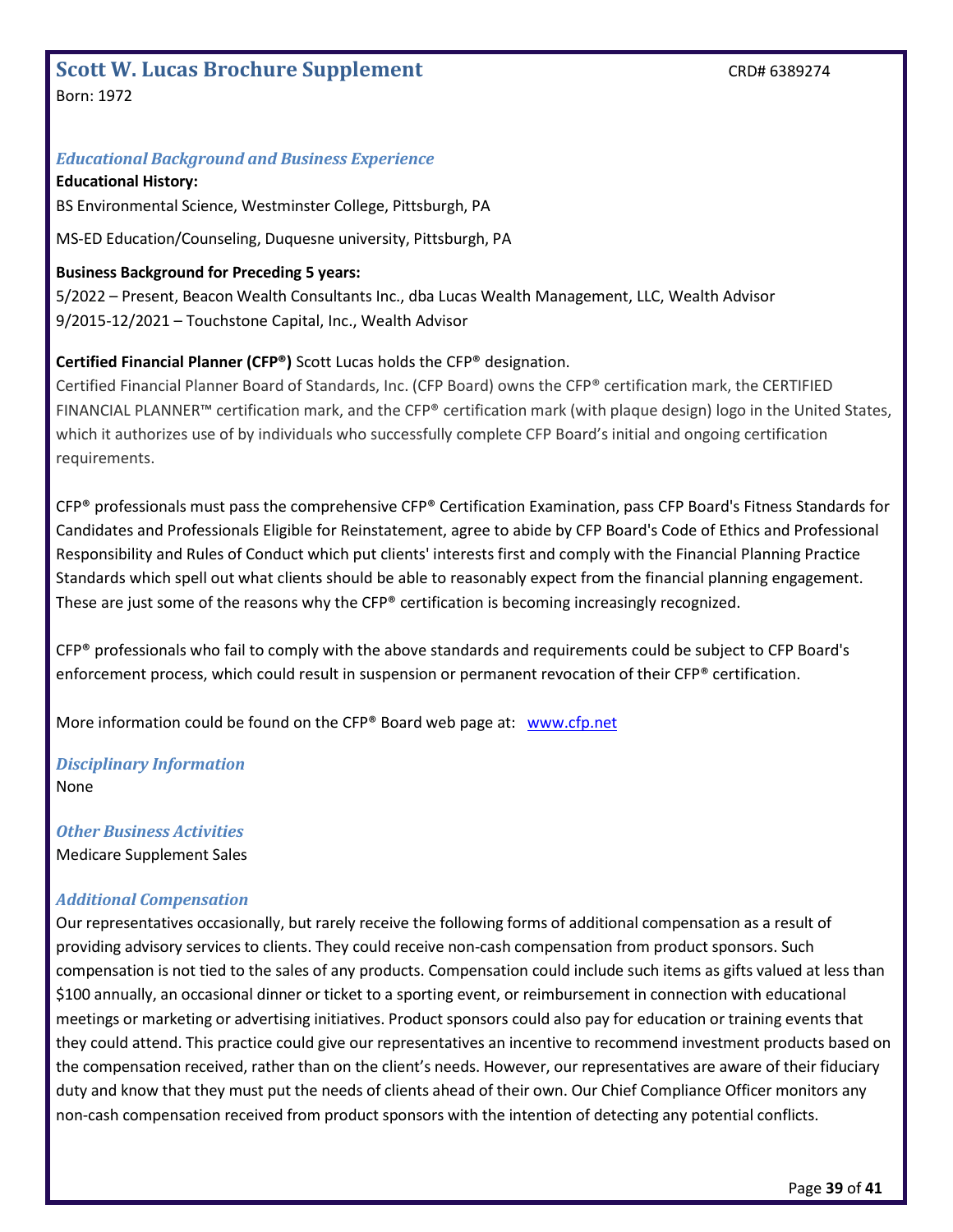## <span id="page-38-0"></span>**Scott W. Lucas Brochure Supplement** CRD# 6389274

Born: 1972

#### *Educational Background and Business Experience*

#### **Educational History:**

BS Environmental Science, Westminster College, Pittsburgh, PA

MS-ED Education/Counseling, Duquesne university, Pittsburgh, PA

#### **Business Background for Preceding 5 years:**

5/2022 – Present, Beacon Wealth Consultants Inc., dba Lucas Wealth Management, LLC, Wealth Advisor 9/2015-12/2021 – Touchstone Capital, Inc., Wealth Advisor

#### **Certified Financial Planner (CFP®)** Scott Lucas holds the CFP® designation.

Certified Financial Planner Board of Standards, Inc. (CFP Board) owns the CFP® certification mark, the CERTIFIED FINANCIAL PLANNER™ certification mark, and the CFP® certification mark (with plaque design) logo in the United States, which it authorizes use of by individuals who successfully complete CFP Board's initial and ongoing certification requirements.

CFP® professionals must pass the comprehensive CFP® Certification Examination, pass CFP Board's Fitness Standards for Candidates and Professionals Eligible for Reinstatement, agree to abide by CFP Board's Code of Ethics and Professional Responsibility and Rules of Conduct which put clients' interests first and comply with the Financial Planning Practice Standards which spell out what clients should be able to reasonably expect from the financial planning engagement. These are just some of the reasons why the  $CFP<sup>®</sup>$  certification is becoming increasingly recognized.

CFP<sup>®</sup> professionals who fail to comply with the above standards and requirements could be subject to CFP Board's enforcement process, which could result in suspension or permanent revocation of their CFP® certification.

More information could be found on the CFP® Board web page at: [www.cfp.net](http://www.cfp.net/)

#### *Disciplinary Information* None

*Other Business Activities* Medicare Supplement Sales

#### *Additional Compensation*

Our representatives occasionally, but rarely receive the following forms of additional compensation as a result of providing advisory services to clients. They could receive non-cash compensation from product sponsors. Such compensation is not tied to the sales of any products. Compensation could include such items as gifts valued at less than \$100 annually, an occasional dinner or ticket to a sporting event, or reimbursement in connection with educational meetings or marketing or advertising initiatives. Product sponsors could also pay for education or training events that they could attend. This practice could give our representatives an incentive to recommend investment products based on the compensation received, rather than on the client's needs. However, our representatives are aware of their fiduciary duty and know that they must put the needs of clients ahead of their own. Our Chief Compliance Officer monitors any non-cash compensation received from product sponsors with the intention of detecting any potential conflicts.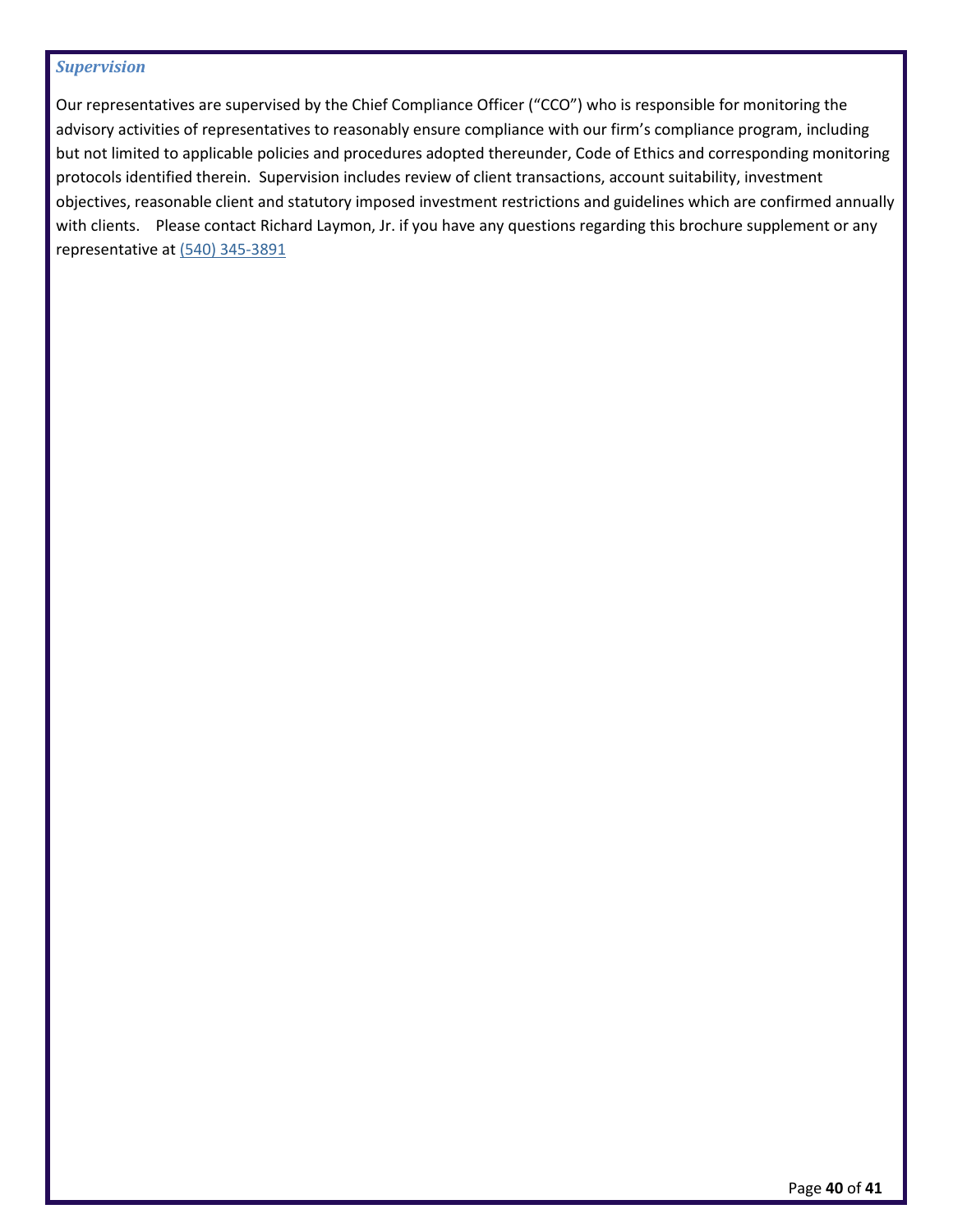#### *Supervision*

Our representatives are supervised by the Chief Compliance Officer ("CCO") who is responsible for monitoring the advisory activities of representatives to reasonably ensure compliance with our firm's compliance program, including but not limited to applicable policies and procedures adopted thereunder, Code of Ethics and corresponding monitoring protocols identified therein. Supervision includes review of client transactions, account suitability, investment objectives, reasonable client and statutory imposed investment restrictions and guidelines which are confirmed annually with clients. Please contact Richard Laymon, Jr. if you have any questions regarding this brochure supplement or any representative at [\(540\) 345-3891](callto:(540)%20345-3891)